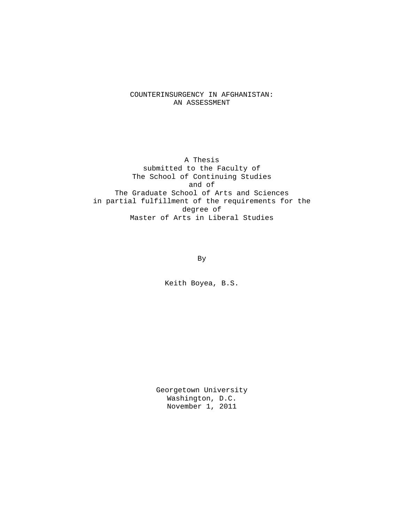# COUNTERINSURGENCY IN AFGHANISTAN: AN ASSESSMENT

A Thesis submitted to the Faculty of The School of Continuing Studies and of The Graduate School of Arts and Sciences in partial fulfillment of the requirements for the degree of Master of Arts in Liberal Studies

By

Keith Boyea, B.S.

Georgetown University Washington, D.C. November 1, 2011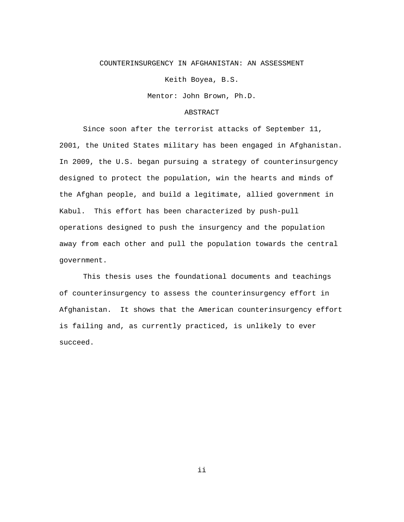## COUNTERINSURGENCY IN AFGHANISTAN: AN ASSESSMENT

Keith Boyea, B.S.

Mentor: John Brown, Ph.D.

## ABSTRACT

Since soon after the terrorist attacks of September 11, 2001, the United States military has been engaged in Afghanistan. In 2009, the U.S. began pursuing a strategy of counterinsurgency designed to protect the population, win the hearts and minds of the Afghan people, and build a legitimate, allied government in Kabul. This effort has been characterized by push-pull operations designed to push the insurgency and the population away from each other and pull the population towards the central government.

This thesis uses the foundational documents and teachings of counterinsurgency to assess the counterinsurgency effort in Afghanistan. It shows that the American counterinsurgency effort is failing and, as currently practiced, is unlikely to ever succeed.

ii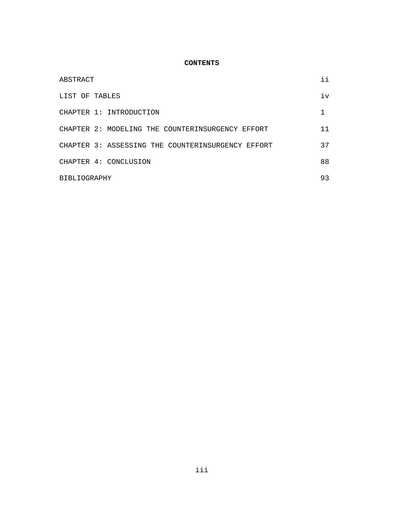# **CONTENTS**

| ABSTRACT                                          | ii |
|---------------------------------------------------|----|
| LIST OF TABLES                                    | iv |
| CHAPTER 1: INTRODUCTION                           |    |
| CHAPTER 2: MODELING THE COUNTERINSURGENCY EFFORT  | 11 |
| CHAPTER 3: ASSESSING THE COUNTERINSURGENCY EFFORT | 37 |
| CHAPTER 4: CONCLUSION                             | 88 |
| <b>BIBLIOGRAPHY</b>                               | 93 |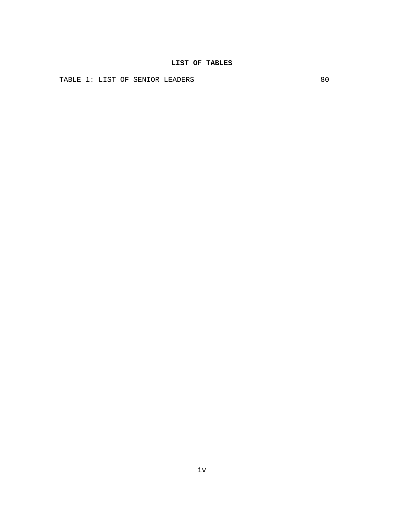TABLE 1: LIST OF SENIOR LEADERS 80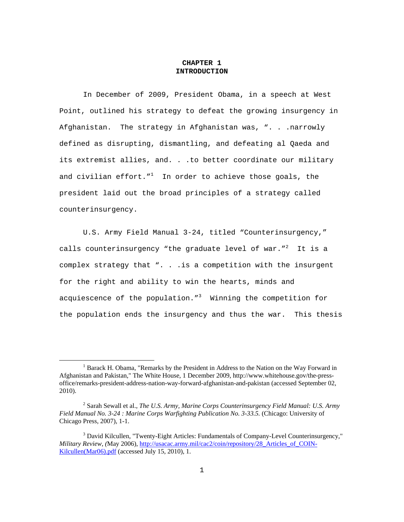### **CHAPTER 1 INTRODUCTION**

In December of 2009, President Obama, in a speech at West Point, outlined his strategy to defeat the growing insurgency in Afghanistan. The strategy in Afghanistan was, ". . .narrowly defined as disrupting, dismantling, and defeating al Qaeda and its extremist allies, and. . .to better coordinate our military and civilian effort. $^{\prime\prime}{}^{1}$  In order to achieve those goals, the president laid out the broad principles of a strategy called counterinsurgency.

 U.S. Army Field Manual 3-24, titled "Counterinsurgency," calls counterinsurgency "the graduate level of war." $^2$  It is a complex strategy that ". . .is a competition with the insurgent for the right and ability to win the hearts, minds and acquiescence of the population."<sup>3</sup> Winning the competition for the population ends the insurgency and thus the war. This thesis

<sup>&</sup>lt;u>1</u>  $<sup>1</sup>$  Barack H. Obama, "Remarks by the President in Address to the Nation on the Way Forward in</sup> Afghanistan and Pakistan," The White House, 1 December 2009, http://www.whitehouse.gov/the-pressoffice/remarks-president-address-nation-way-forward-afghanistan-and-pakistan (accessed September 02, 2010).

<sup>2</sup> Sarah Sewall et al., *The U.S. Army, Marine Corps Counterinsurgency Field Manual: U.S. Army Field Manual No. 3-24 : Marine Corps Warfighting Publication No. 3-33.5.* (Chicago: University of Chicago Press, 2007), 1-1.

<sup>&</sup>lt;sup>3</sup> David Kilcullen, "Twenty-Eight Articles: Fundamentals of Company-Level Counterinsurgency," *Military Review, (*May 2006), http://usacac.army.mil/cac2/coin/repository/28\_Articles\_of\_COIN-Kilcullen(Mar06).pdf (accessed July 15, 2010), 1.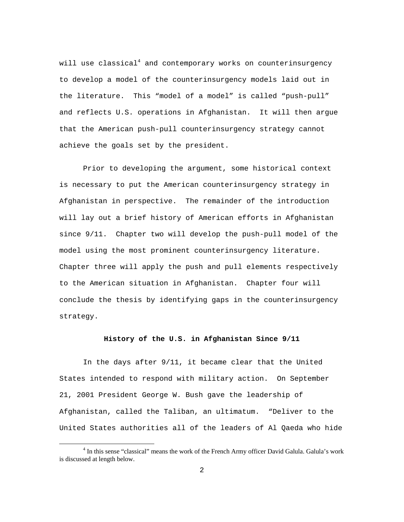will use classical $^4$  and contemporary works on counterinsurgency to develop a model of the counterinsurgency models laid out in the literature. This "model of a model" is called "push-pull" and reflects U.S. operations in Afghanistan. It will then argue that the American push-pull counterinsurgency strategy cannot achieve the goals set by the president.

 Prior to developing the argument, some historical context is necessary to put the American counterinsurgency strategy in Afghanistan in perspective. The remainder of the introduction will lay out a brief history of American efforts in Afghanistan since 9/11. Chapter two will develop the push-pull model of the model using the most prominent counterinsurgency literature. Chapter three will apply the push and pull elements respectively to the American situation in Afghanistan. Chapter four will conclude the thesis by identifying gaps in the counterinsurgency strategy.

#### **History of the U.S. in Afghanistan Since 9/11**

 In the days after 9/11, it became clear that the United States intended to respond with military action. On September 21, 2001 President George W. Bush gave the leadership of Afghanistan, called the Taliban, an ultimatum. "Deliver to the United States authorities all of the leaders of Al Qaeda who hide

 $\overline{\phantom{a}}$ <sup>4</sup> In this sense "classical" means the work of the French Army officer David Galula. Galula's work is discussed at length below.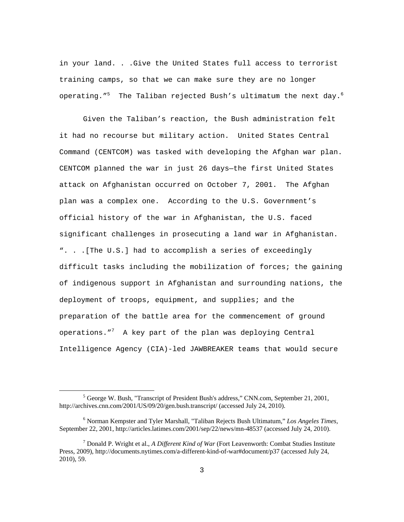in your land. . .Give the United States full access to terrorist training camps, so that we can make sure they are no longer operating." $^5$  The Taliban rejected Bush's ultimatum the next day. $^6$ 

 Given the Taliban's reaction, the Bush administration felt it had no recourse but military action. United States Central Command (CENTCOM) was tasked with developing the Afghan war plan. CENTCOM planned the war in just 26 days—the first United States attack on Afghanistan occurred on October 7, 2001. The Afghan plan was a complex one. According to the U.S. Government's official history of the war in Afghanistan, the U.S. faced significant challenges in prosecuting a land war in Afghanistan. ". . .[The U.S.] had to accomplish a series of exceedingly difficult tasks including the mobilization of forces; the gaining of indigenous support in Afghanistan and surrounding nations, the deployment of troops, equipment, and supplies; and the preparation of the battle area for the commencement of ground operations."<sup>7</sup> A key part of the plan was deploying Central Intelligence Agency (CIA)-led JAWBREAKER teams that would secure

 $\frac{1}{5}$  $<sup>5</sup>$  George W. Bush, "Transcript of President Bush's address," CNN.com, September 21, 2001,</sup> http://archives.cnn.com/2001/US/09/20/gen.bush.transcript/ (accessed July 24, 2010).

<sup>6</sup> Norman Kempster and Tyler Marshall, "Taliban Rejects Bush Ultimatum," *Los Angeles Times,*  September 22, 2001, http://articles.latimes.com/2001/sep/22/news/mn-48537 (accessed July 24, 2010).

<sup>7</sup> Donald P. Wright et al., *A Different Kind of War* (Fort Leavenworth: Combat Studies Institute Press, 2009), http://documents.nytimes.com/a-different-kind-of-war#document/p37 (accessed July 24, 2010), 59.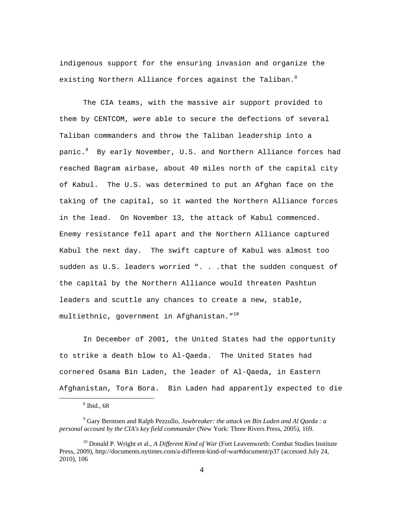indigenous support for the ensuring invasion and organize the existing Northern Alliance forces against the Taliban. $8$ 

 The CIA teams, with the massive air support provided to them by CENTCOM, were able to secure the defections of several Taliban commanders and throw the Taliban leadership into a panic. $^9$  By early November, U.S. and Northern Alliance forces had reached Bagram airbase, about 40 miles north of the capital city of Kabul. The U.S. was determined to put an Afghan face on the taking of the capital, so it wanted the Northern Alliance forces in the lead. On November 13, the attack of Kabul commenced. Enemy resistance fell apart and the Northern Alliance captured Kabul the next day. The swift capture of Kabul was almost too sudden as U.S. leaders worried ". . .that the sudden conquest of the capital by the Northern Alliance would threaten Pashtun leaders and scuttle any chances to create a new, stable, multiethnic, government in Afghanistan."<sup>10</sup>

 In December of 2001, the United States had the opportunity to strike a death blow to Al-Qaeda. The United States had cornered Osama Bin Laden, the leader of Al-Qaeda, in Eastern Afghanistan, Tora Bora. Bin Laden had apparently expected to die

<sup>8</sup>  $8$  Ibid., 68

<sup>9</sup> Gary Berntsen and Ralph Pezzullo, *Jawbreaker: the attack on Bin Laden and Al Qaeda : a personal account by the CIA's key field commander* (New York: Three Rivers Press, 2005), 169.

<sup>10</sup> Donald P. Wright et al., *A Different Kind of War* (Fort Leavenworth: Combat Studies Institute Press, 2009), http://documents.nytimes.com/a-different-kind-of-war#document/p37 (accessed July 24, 2010), 106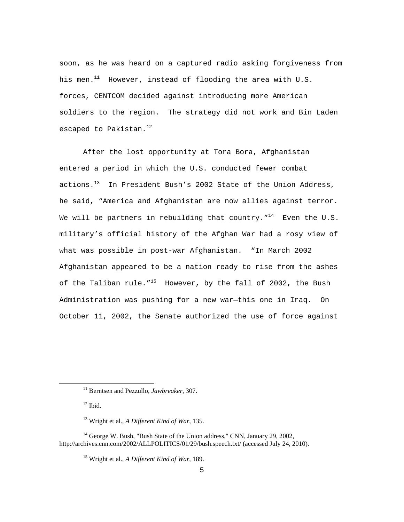soon, as he was heard on a captured radio asking forgiveness from his men. $^{11}$  However, instead of flooding the area with U.S. forces, CENTCOM decided against introducing more American soldiers to the region. The strategy did not work and Bin Laden escaped to Pakistan. $12$ 

 After the lost opportunity at Tora Bora, Afghanistan entered a period in which the U.S. conducted fewer combat actions. $13$  In President Bush's 2002 State of the Union Address, he said, "America and Afghanistan are now allies against terror. We will be partners in rebuilding that country.  $14$  Even the U.S. military's official history of the Afghan War had a rosy view of what was possible in post-war Afghanistan. "In March 2002 Afghanistan appeared to be a nation ready to rise from the ashes of the Taliban rule."<sup>15</sup> However, by the fall of 2002, the Bush Administration was pushing for a new war—this one in Iraq. On October 11, 2002, the Senate authorized the use of force against

11 Berntsen and Pezzullo, *Jawbreaker*, 307.

 $12$  Ibid.

<sup>13</sup> Wright et al., *A Different Kind of War*, 135.

<sup>&</sup>lt;sup>14</sup> George W. Bush, "Bush State of the Union address," CNN, January 29, 2002, http://archives.cnn.com/2002/ALLPOLITICS/01/29/bush.speech.txt/ (accessed July 24, 2010).

<sup>15</sup> Wright et al., *A Different Kind of War*, 189.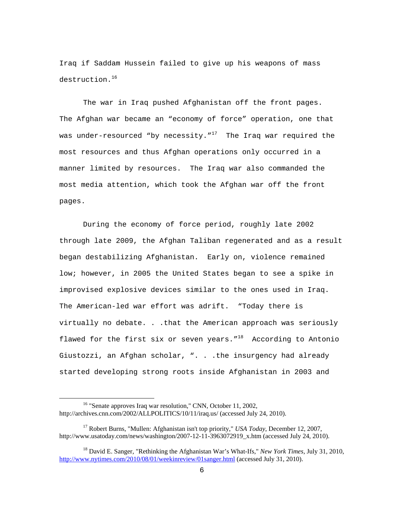Iraq if Saddam Hussein failed to give up his weapons of mass destruction.<sup>16</sup>

 The war in Iraq pushed Afghanistan off the front pages. The Afghan war became an "economy of force" operation, one that was under-resourced "by necessity."<sup>17</sup> The Iraq war required the most resources and thus Afghan operations only occurred in a manner limited by resources. The Iraq war also commanded the most media attention, which took the Afghan war off the front pages.

 During the economy of force period, roughly late 2002 through late 2009, the Afghan Taliban regenerated and as a result began destabilizing Afghanistan. Early on, violence remained low; however, in 2005 the United States began to see a spike in improvised explosive devices similar to the ones used in Iraq. The American-led war effort was adrift. "Today there is virtually no debate. . .that the American approach was seriously flawed for the first six or seven years.  $''^{18}$  According to Antonio Giustozzi, an Afghan scholar, ". . .the insurgency had already started developing strong roots inside Afghanistan in 2003 and

<sup>&</sup>lt;sup>16</sup> "Senate approves Iraq war resolution," CNN, October 11, 2002, http://archives.cnn.com/2002/ALLPOLITICS/10/11/iraq.us/ (accessed July 24, 2010).

<sup>17</sup> Robert Burns, "Mullen: Afghanistan isn't top priority," *USA Today*, December 12, 2007, http://www.usatoday.com/news/washington/2007-12-11-3963072919\_x.htm (accessed July 24, 2010).

<sup>18</sup> David E. Sanger, "Rethinking the Afghanistan War's What-Ifs," *New York Times*, July 31, 2010, http://www.nytimes.com/2010/08/01/weekinreview/01sanger.html (accessed July 31, 2010).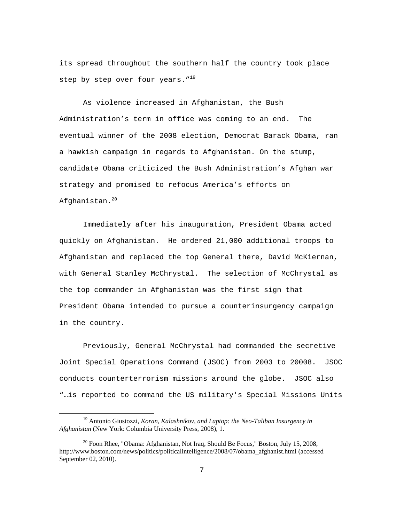its spread throughout the southern half the country took place step by step over four years." $19$ 

 As violence increased in Afghanistan, the Bush Administration's term in office was coming to an end. The eventual winner of the 2008 election, Democrat Barack Obama, ran a hawkish campaign in regards to Afghanistan. On the stump, candidate Obama criticized the Bush Administration's Afghan war strategy and promised to refocus America's efforts on Afghanistan.<sup>20</sup>

 Immediately after his inauguration, President Obama acted quickly on Afghanistan. He ordered 21,000 additional troops to Afghanistan and replaced the top General there, David McKiernan, with General Stanley McChrystal. The selection of McChrystal as the top commander in Afghanistan was the first sign that President Obama intended to pursue a counterinsurgency campaign in the country.

 Previously, General McChrystal had commanded the secretive Joint Special Operations Command (JSOC) from 2003 to 20008. JSOC conducts counterterrorism missions around the globe. JSOC also "…is reported to command the US military's Special Missions Units

19 Antonio Giustozzi, *Koran, Kalashnikov, and Laptop: the Neo-Taliban Insurgency in Afghanistan* (New York: Columbia University Press, 2008), 1.

 $20$  Foon Rhee, "Obama: Afghanistan, Not Iraq, Should Be Focus," Boston, July 15, 2008, http://www.boston.com/news/politics/politicalintelligence/2008/07/obama\_afghanist.html (accessed September 02, 2010).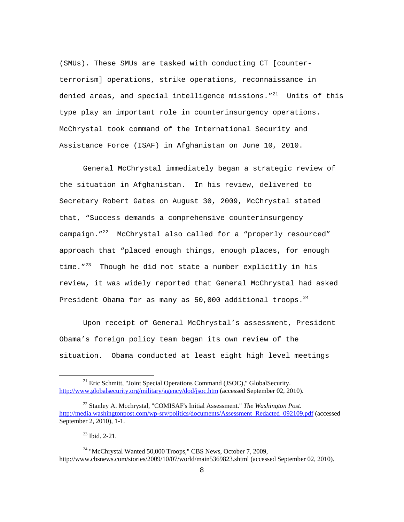(SMUs). These SMUs are tasked with conducting CT [counterterrorism] operations, strike operations, reconnaissance in denied areas, and special intelligence missions."<sup>21</sup> Units of this type play an important role in counterinsurgency operations. McChrystal took command of the International Security and Assistance Force (ISAF) in Afghanistan on June 10, 2010.

 General McChrystal immediately began a strategic review of the situation in Afghanistan. In his review, delivered to Secretary Robert Gates on August 30, 2009, McChrystal stated that, "Success demands a comprehensive counterinsurgency campaign."<sup>22</sup> McChrystal also called for a "properly resourced" approach that "placed enough things, enough places, for enough time."<sup>23</sup> Though he did not state a number explicitly in his review, it was widely reported that General McChrystal had asked President Obama for as many as  $50,000$  additional troops.<sup>24</sup>

 Upon receipt of General McChrystal's assessment, President Obama's foreign policy team began its own review of the situation. Obama conducted at least eight high level meetings

<sup>&</sup>lt;sup>21</sup> Eric Schmitt, "Joint Special Operations Command (JSOC)," GlobalSecurity. http://www.globalsecurity.org/military/agency/dod/jsoc.htm (accessed September 02, 2010).

<sup>22</sup> Stanley A. Mcchrystal, "COMISAF's Initial Assessment." *The Washington Post*. http://media.washingtonpost.com/wp-srv/politics/documents/Assessment\_Redacted\_092109.pdf (accessed September 2, 2010), 1-1.

<sup>23</sup> Ibid. 2-21.

 $24$  "McChrystal Wanted 50,000 Troops," CBS News, October 7, 2009, http://www.cbsnews.com/stories/2009/10/07/world/main5369823.shtml (accessed September 02, 2010).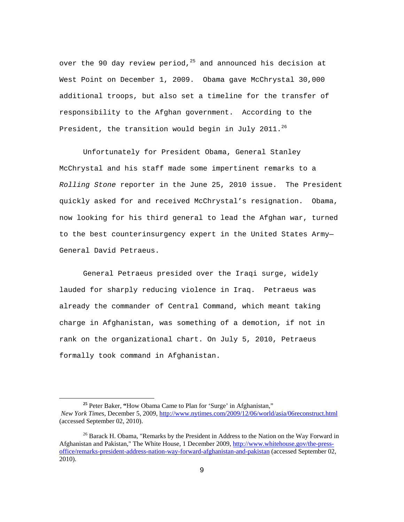over the 90 day review period, $^{25}$  and announced his decision at West Point on December 1, 2009. Obama gave McChrystal 30,000 additional troops, but also set a timeline for the transfer of responsibility to the Afghan government. According to the President, the transition would begin in July 2011.<sup>26</sup>

 Unfortunately for President Obama, General Stanley McChrystal and his staff made some impertinent remarks to a *Rolling Stone* reporter in the June 25, 2010 issue. The President quickly asked for and received McChrystal's resignation. Obama, now looking for his third general to lead the Afghan war, turned to the best counterinsurgency expert in the United States Army— General David Petraeus.

 General Petraeus presided over the Iraqi surge, widely lauded for sharply reducing violence in Iraq. Petraeus was already the commander of Central Command, which meant taking charge in Afghanistan, was something of a demotion, if not in rank on the organizational chart. On July 5, 2010, Petraeus formally took command in Afghanistan.

**<sup>25</sup>** Peter Baker, **"**How Obama Came to Plan for 'Surge' in Afghanistan," *New York Times*, December 5, 2009, http://www.nytimes.com/2009/12/06/world/asia/06reconstruct.html (accessed September 02, 2010).

<sup>&</sup>lt;sup>26</sup> Barack H. Obama, "Remarks by the President in Address to the Nation on the Way Forward in Afghanistan and Pakistan," The White House, 1 December 2009, http://www.whitehouse.gov/the-pressoffice/remarks-president-address-nation-way-forward-afghanistan-and-pakistan (accessed September 02, 2010).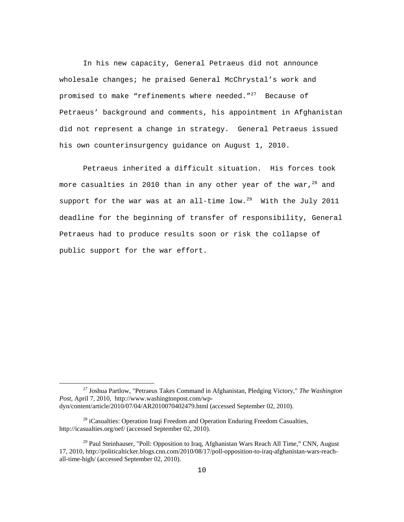In his new capacity, General Petraeus did not announce wholesale changes; he praised General McChrystal's work and promised to make "refinements where needed." $^{27}$  Because of Petraeus' background and comments, his appointment in Afghanistan did not represent a change in strategy. General Petraeus issued his own counterinsurgency guidance on August 1, 2010.

 Petraeus inherited a difficult situation. His forces took more casualties in 2010 than in any other year of the war,  $28$  and support for the war was at an all-time low.<sup>29</sup> With the July 2011 deadline for the beginning of transfer of responsibility, General Petraeus had to produce results soon or risk the collapse of public support for the war effort.

27 Joshua Partlow, "Petraeus Takes Command in Afghanistan, Pledging Victory," *The Washington Post,* April 7, 2010, http://www.washingtonpost.com/wpdyn/content/article/2010/07/04/AR2010070402479.html (accessed September 02, 2010).

 $28$  iCasualties: Operation Iraqi Freedom and Operation Enduring Freedom Casualties, http://icasualties.org/oef/ (accessed September 02, 2010).

 $29$  Paul Steinhauser, "Poll: Opposition to Iraq, Afghanistan Wars Reach All Time," CNN, August 17, 2010, http://politicalticker.blogs.cnn.com/2010/08/17/poll-opposition-to-iraq-afghanistan-wars-reachall-time-high/ (accessed September 02, 2010).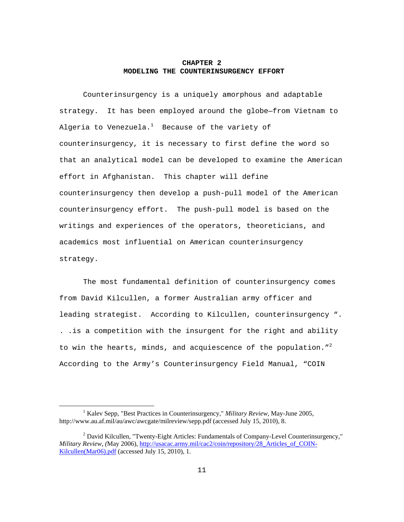#### **CHAPTER 2 MODELING THE COUNTERINSURGENCY EFFORT**

Counterinsurgency is a uniquely amorphous and adaptable strategy. It has been employed around the globe—from Vietnam to Algeria to Venezuela. $^1$  Because of the variety of counterinsurgency, it is necessary to first define the word so that an analytical model can be developed to examine the American effort in Afghanistan. This chapter will define counterinsurgency then develop a push-pull model of the American counterinsurgency effort. The push-pull model is based on the writings and experiences of the operators, theoreticians, and academics most influential on American counterinsurgency strategy.

The most fundamental definition of counterinsurgency comes from David Kilcullen, a former Australian army officer and leading strategist. According to Kilcullen, counterinsurgency ". . .is a competition with the insurgent for the right and ability to win the hearts, minds, and acquiescence of the population." $^2$ According to the Army's Counterinsurgency Field Manual, "COIN

<sup>&</sup>lt;u>1</u> <sup>1</sup> Kalev Sepp, "Best Practices in Counterinsurgency," *Military Review*, May-June 2005, http://www.au.af.mil/au/awc/awcgate/milreview/sepp.pdf (accessed July 15, 2010), 8.

<sup>&</sup>lt;sup>2</sup> David Kilcullen, "Twenty-Eight Articles: Fundamentals of Company-Level Counterinsurgency," *Military Review, (*May 2006), http://usacac.army.mil/cac2/coin/repository/28\_Articles\_of\_COIN-Kilcullen(Mar06).pdf (accessed July 15, 2010), 1.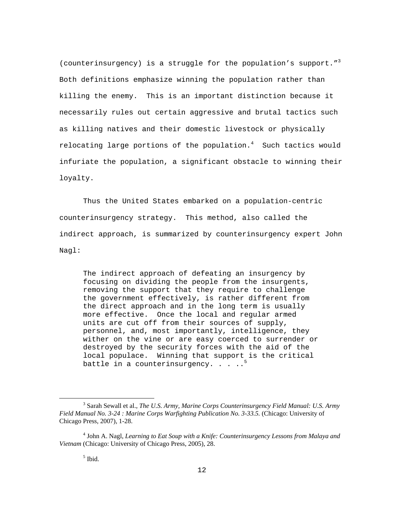(counterinsurgency) is a struggle for the population's support."<sup>3</sup> Both definitions emphasize winning the population rather than killing the enemy. This is an important distinction because it necessarily rules out certain aggressive and brutal tactics such as killing natives and their domestic livestock or physically relocating large portions of the population.<sup>4</sup> Such tactics would infuriate the population, a significant obstacle to winning their loyalty.

Thus the United States embarked on a population-centric counterinsurgency strategy. This method, also called the indirect approach, is summarized by counterinsurgency expert John Nagl:

The indirect approach of defeating an insurgency by focusing on dividing the people from the insurgents, removing the support that they require to challenge the government effectively, is rather different from the direct approach and in the long term is usually more effective. Once the local and regular armed units are cut off from their sources of supply, personnel, and, most importantly, intelligence, they wither on the vine or are easy coerced to surrender or destroyed by the security forces with the aid of the local populace. Winning that support is the critical battle in a counterinsurgency.  $\ldots$ .<sup>5</sup>

<sup>3</sup> <sup>3</sup> Sarah Sewall et al., *The U.S. Army, Marine Corps Counterinsurgency Field Manual: U.S. Army Field Manual No. 3-24 : Marine Corps Warfighting Publication No. 3-33.5.* (Chicago: University of Chicago Press, 2007), 1-28.

<sup>4</sup> John A. Nagl, *Learning to Eat Soup with a Knife: Counterinsurgency Lessons from Malaya and Vietnam* (Chicago: University of Chicago Press, 2005), 28.

<sup>5</sup> Ibid.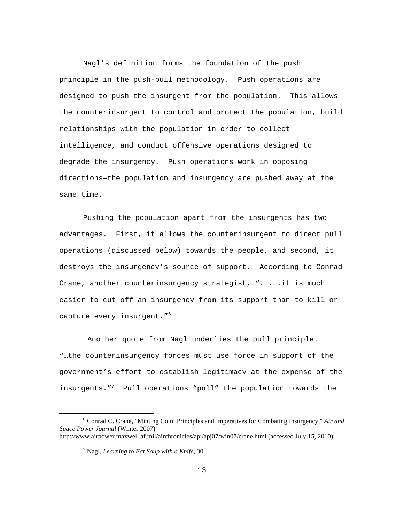Nagl's definition forms the foundation of the push principle in the push-pull methodology. Push operations are designed to push the insurgent from the population. This allows the counterinsurgent to control and protect the population, build relationships with the population in order to collect intelligence, and conduct offensive operations designed to degrade the insurgency. Push operations work in opposing directions—the population and insurgency are pushed away at the same time.

Pushing the population apart from the insurgents has two advantages. First, it allows the counterinsurgent to direct pull operations (discussed below) towards the people, and second, it destroys the insurgency's source of support. According to Conrad Crane, another counterinsurgency strategist, ". . .it is much easier to cut off an insurgency from its support than to kill or capture every insurgent."<sup>6</sup>

 Another quote from Nagl underlies the pull principle. "…the counterinsurgency forces must use force in support of the government's effort to establish legitimacy at the expense of the insurgents."<sup>7</sup> Pull operations "pull" the population towards the

<sup>6</sup> Conrad C. Crane, "Minting Coin: Principles and Imperatives for Combating Insurgency," *Air and Space Power Journal* (Winter 2007) http://www.airpower.maxwell.af.mil/airchronicles/apj/apj07/win07/crane.html (accessed July 15, 2010).

<sup>7</sup> Nagl, *Learning to Eat Soup with a Knife*, 30.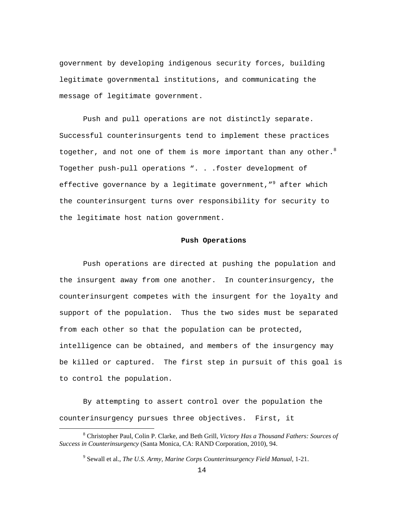government by developing indigenous security forces, building legitimate governmental institutions, and communicating the message of legitimate government.

Push and pull operations are not distinctly separate. Successful counterinsurgents tend to implement these practices together, and not one of them is more important than any other.<sup>8</sup> Together push-pull operations ". . .foster development of effective governance by a legitimate government,"<sup>9</sup> after which the counterinsurgent turns over responsibility for security to the legitimate host nation government.

#### **Push Operations**

Push operations are directed at pushing the population and the insurgent away from one another. In counterinsurgency, the counterinsurgent competes with the insurgent for the loyalty and support of the population. Thus the two sides must be separated from each other so that the population can be protected, intelligence can be obtained, and members of the insurgency may be killed or captured. The first step in pursuit of this goal is to control the population.

By attempting to assert control over the population the counterinsurgency pursues three objectives. First, it

 $\overline{\qquad \qquad }$  8 Christopher Paul, Colin P. Clarke, and Beth Grill, *Victory Has a Thousand Fathers: Sources of Success in Counterinsurgency* (Santa Monica, CA: RAND Corporation, 2010), 94.

<sup>&</sup>lt;sup>9</sup> Sewall et al., *The U.S. Army, Marine Corps Counterinsurgency Field Manual, 1-21.*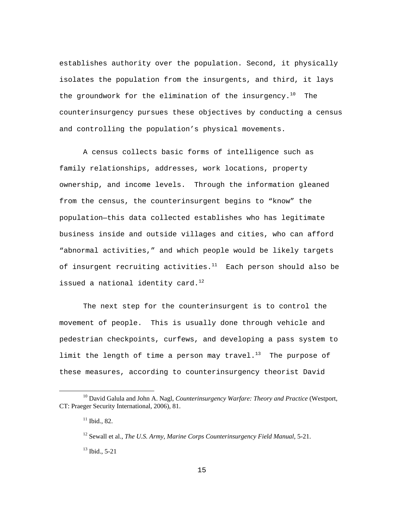establishes authority over the population. Second, it physically isolates the population from the insurgents, and third, it lays the groundwork for the elimination of the insurgency.<sup>10</sup> The counterinsurgency pursues these objectives by conducting a census and controlling the population's physical movements.

A census collects basic forms of intelligence such as family relationships, addresses, work locations, property ownership, and income levels. Through the information gleaned from the census, the counterinsurgent begins to "know" the population—this data collected establishes who has legitimate business inside and outside villages and cities, who can afford "abnormal activities," and which people would be likely targets of insurgent recruiting activities. $11$  Each person should also be issued a national identity card. $^{12}$ 

The next step for the counterinsurgent is to control the movement of people. This is usually done through vehicle and pedestrian checkpoints, curfews, and developing a pass system to limit the length of time a person may travel.<sup>13</sup> The purpose of these measures, according to counterinsurgency theorist David

<sup>&</sup>lt;sup>10</sup> David Galula and John A. Nagl, *Counterinsurgency Warfare: Theory and Practice* (Westport, CT: Praeger Security International, 2006), 81.

 $11$  Ibid., 82.

<sup>12</sup> Sewall et al., *The U.S. Army, Marine Corps Counterinsurgency Field Manual*, 5-21.

 $13$  Ibid., 5-21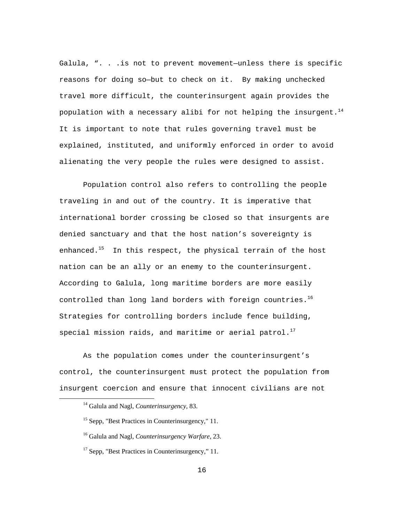Galula, ". . .is not to prevent movement—unless there is specific reasons for doing so—but to check on it. By making unchecked travel more difficult, the counterinsurgent again provides the population with a necessary alibi for not helping the insurgent.<sup>14</sup> It is important to note that rules governing travel must be explained, instituted, and uniformly enforced in order to avoid alienating the very people the rules were designed to assist.

Population control also refers to controlling the people traveling in and out of the country. It is imperative that international border crossing be closed so that insurgents are denied sanctuary and that the host nation's sovereignty is enhanced.<sup>15</sup> In this respect, the physical terrain of the host nation can be an ally or an enemy to the counterinsurgent. According to Galula, long maritime borders are more easily controlled than long land borders with foreign countries. $1^6$ Strategies for controlling borders include fence building, special mission raids, and maritime or aerial patrol.<sup>17</sup>

As the population comes under the counterinsurgent's control, the counterinsurgent must protect the population from insurgent coercion and ensure that innocent civilians are not

14 Galula and Nagl, *Counterinsurgency*, 83.

<sup>&</sup>lt;sup>15</sup> Sepp, "Best Practices in Counterinsurgency," 11.

<sup>16</sup> Galula and Nagl, *Counterinsurgency Warfare*, 23.

 $17$  Sepp, "Best Practices in Counterinsurgency," 11.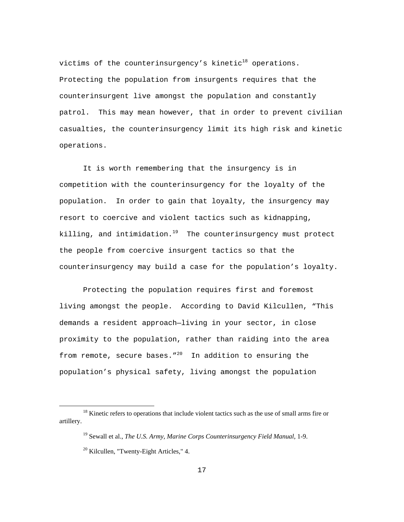victims of the counterinsurgency's kinetic<sup>18</sup> operations. Protecting the population from insurgents requires that the counterinsurgent live amongst the population and constantly patrol. This may mean however, that in order to prevent civilian casualties, the counterinsurgency limit its high risk and kinetic operations.

It is worth remembering that the insurgency is in competition with the counterinsurgency for the loyalty of the population. In order to gain that loyalty, the insurgency may resort to coercive and violent tactics such as kidnapping, killing, and intimidation. $19$  The counterinsurgency must protect the people from coercive insurgent tactics so that the counterinsurgency may build a case for the population's loyalty.

Protecting the population requires first and foremost living amongst the people. According to David Kilcullen, "This demands a resident approach—living in your sector, in close proximity to the population, rather than raiding into the area from remote, secure bases. $120$  In addition to ensuring the population's physical safety, living amongst the population

<sup>&</sup>lt;sup>18</sup> Kinetic refers to operations that include violent tactics such as the use of small arms fire or artillery.

<sup>19</sup> Sewall et al., *The U.S. Army, Marine Corps Counterinsurgency Field Manual*, 1-9.

 $20$  Kilcullen, "Twenty-Eight Articles," 4.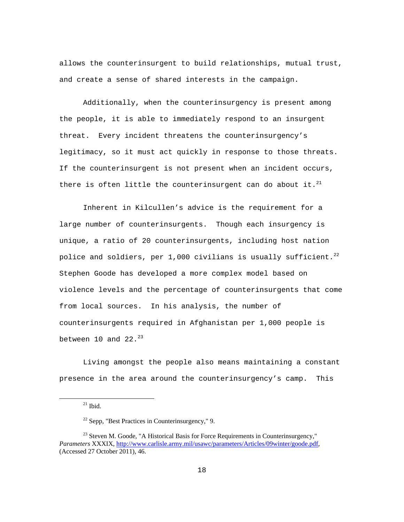allows the counterinsurgent to build relationships, mutual trust, and create a sense of shared interests in the campaign.

Additionally, when the counterinsurgency is present among the people, it is able to immediately respond to an insurgent threat. Every incident threatens the counterinsurgency's legitimacy, so it must act quickly in response to those threats. If the counterinsurgent is not present when an incident occurs, there is often little the counterinsurgent can do about it. $^{21}$ 

Inherent in Kilcullen's advice is the requirement for a large number of counterinsurgents. Though each insurgency is unique, a ratio of 20 counterinsurgents, including host nation police and soldiers, per 1,000 civilians is usually sufficient.<sup>22</sup> Stephen Goode has developed a more complex model based on violence levels and the percentage of counterinsurgents that come from local sources. In his analysis, the number of counterinsurgents required in Afghanistan per 1,000 people is between 10 and  $22.^{23}$ 

Living amongst the people also means maintaining a constant presence in the area around the counterinsurgency's camp. This

 $^{21}$  Ibid.

 $22$  Sepp, "Best Practices in Counterinsurgency," 9.

<sup>&</sup>lt;sup>23</sup> Steven M. Goode, "A Historical Basis for Force Requirements in Counterinsurgency," *Parameters* XXXIX, http://www.carlisle.army.mil/usawc/parameters/Articles/09winter/goode.pdf, (Accessed 27 October 2011), 46.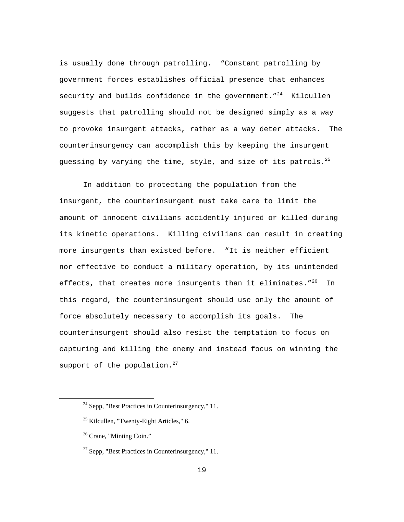is usually done through patrolling. "Constant patrolling by government forces establishes official presence that enhances security and builds confidence in the government.  $1^{24}$  Kilcullen suggests that patrolling should not be designed simply as a way to provoke insurgent attacks, rather as a way deter attacks. The counterinsurgency can accomplish this by keeping the insurgent guessing by varying the time, style, and size of its patrols.<sup>25</sup>

In addition to protecting the population from the insurgent, the counterinsurgent must take care to limit the amount of innocent civilians accidently injured or killed during its kinetic operations. Killing civilians can result in creating more insurgents than existed before. "It is neither efficient nor effective to conduct a military operation, by its unintended effects, that creates more insurgents than it eliminates."<sup>26</sup> In this regard, the counterinsurgent should use only the amount of force absolutely necessary to accomplish its goals. The counterinsurgent should also resist the temptation to focus on capturing and killing the enemy and instead focus on winning the support of the population. $27$ 

 $24$  Sepp, "Best Practices in Counterinsurgency," 11.

<sup>&</sup>lt;sup>25</sup> Kilcullen, "Twenty-Eight Articles," 6.

<sup>&</sup>lt;sup>26</sup> Crane, "Minting Coin."

 $27$  Sepp, "Best Practices in Counterinsurgency," 11.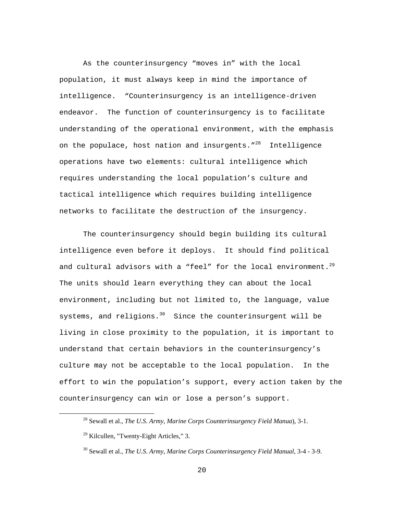As the counterinsurgency "moves in" with the local population, it must always keep in mind the importance of intelligence. "Counterinsurgency is an intelligence-driven endeavor. The function of counterinsurgency is to facilitate understanding of the operational environment, with the emphasis on the populace, host nation and insurgents."<sup>28</sup> Intelligence operations have two elements: cultural intelligence which requires understanding the local population's culture and tactical intelligence which requires building intelligence networks to facilitate the destruction of the insurgency.

The counterinsurgency should begin building its cultural intelligence even before it deploys. It should find political and cultural advisors with a "feel" for the local environment.<sup>29</sup> The units should learn everything they can about the local environment, including but not limited to, the language, value systems, and religions.  $30$  Since the counterinsurgent will be living in close proximity to the population, it is important to understand that certain behaviors in the counterinsurgency's culture may not be acceptable to the local population. In the effort to win the population's support, every action taken by the counterinsurgency can win or lose a person's support.

28 Sewall et al., *The U.S. Army, Marine Corps Counterinsurgency Field Manua*), 3-1.

 $29$  Kilcullen, "Twenty-Eight Articles," 3.

<sup>30</sup> Sewall et al., *The U.S. Army, Marine Corps Counterinsurgency Field Manual*, 3-4 - 3-9.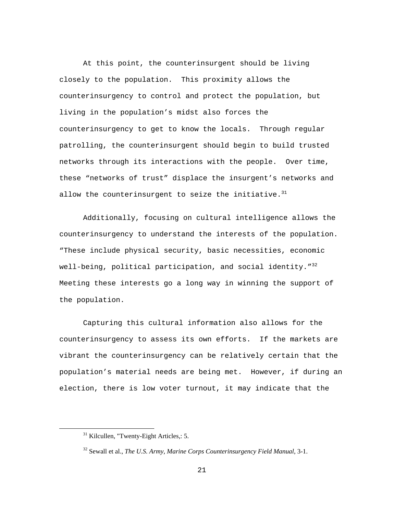At this point, the counterinsurgent should be living closely to the population. This proximity allows the counterinsurgency to control and protect the population, but living in the population's midst also forces the counterinsurgency to get to know the locals. Through regular patrolling, the counterinsurgent should begin to build trusted networks through its interactions with the people. Over time, these "networks of trust" displace the insurgent's networks and allow the counterinsurgent to seize the initiative. $31$ 

Additionally, focusing on cultural intelligence allows the counterinsurgency to understand the interests of the population. "These include physical security, basic necessities, economic well-being, political participation, and social identity." $^{32}$ Meeting these interests go a long way in winning the support of the population.

Capturing this cultural information also allows for the counterinsurgency to assess its own efforts. If the markets are vibrant the counterinsurgency can be relatively certain that the population's material needs are being met. However, if during an election, there is low voter turnout, it may indicate that the

 $31$  Kilcullen, "Twenty-Eight Articles,: 5.

<sup>32</sup> Sewall et al., *The U.S. Army, Marine Corps Counterinsurgency Field Manual*, 3-1.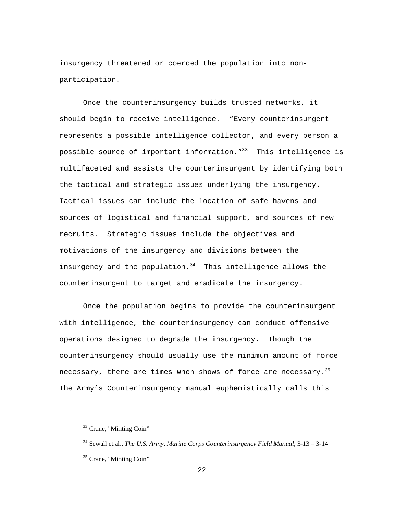insurgency threatened or coerced the population into nonparticipation.

Once the counterinsurgency builds trusted networks, it should begin to receive intelligence. "Every counterinsurgent represents a possible intelligence collector, and every person a possible source of important information.  $133$  This intelligence is multifaceted and assists the counterinsurgent by identifying both the tactical and strategic issues underlying the insurgency. Tactical issues can include the location of safe havens and sources of logistical and financial support, and sources of new recruits. Strategic issues include the objectives and motivations of the insurgency and divisions between the insurgency and the population. $34$  This intelligence allows the counterinsurgent to target and eradicate the insurgency.

Once the population begins to provide the counterinsurgent with intelligence, the counterinsurgency can conduct offensive operations designed to degrade the insurgency. Though the counterinsurgency should usually use the minimum amount of force necessary, there are times when shows of force are necessary. $^{35}$ The Army's Counterinsurgency manual euphemistically calls this

<sup>&</sup>lt;sup>33</sup> Crane, "Minting Coin"

<sup>34</sup> Sewall et al., *The U.S. Army, Marine Corps Counterinsurgency Field Manual*, 3-13 – 3-14

<sup>&</sup>lt;sup>35</sup> Crane, "Minting Coin"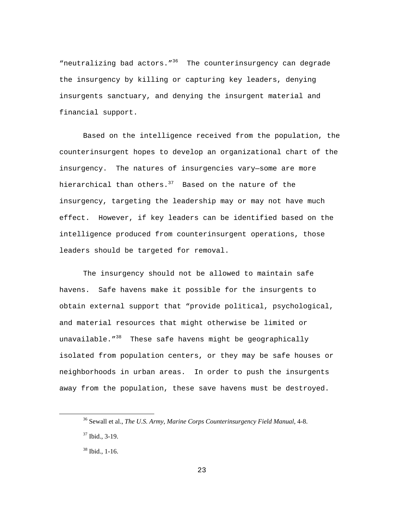"neutralizing bad actors."<sup>36</sup> The counterinsurgency can degrade the insurgency by killing or capturing key leaders, denying insurgents sanctuary, and denying the insurgent material and financial support.

Based on the intelligence received from the population, the counterinsurgent hopes to develop an organizational chart of the insurgency. The natures of insurgencies vary—some are more hierarchical than others. $37$  Based on the nature of the insurgency, targeting the leadership may or may not have much effect. However, if key leaders can be identified based on the intelligence produced from counterinsurgent operations, those leaders should be targeted for removal.

The insurgency should not be allowed to maintain safe havens. Safe havens make it possible for the insurgents to obtain external support that "provide political, psychological, and material resources that might otherwise be limited or unavailable."38 These safe havens might be geographically isolated from population centers, or they may be safe houses or neighborhoods in urban areas. In order to push the insurgents away from the population, these save havens must be destroyed.

36 Sewall et al., *The U.S. Army, Marine Corps Counterinsurgency Field Manual*, 4-8.

<sup>37</sup> Ibid., 3-19.

<sup>38</sup> Ibid., 1-16.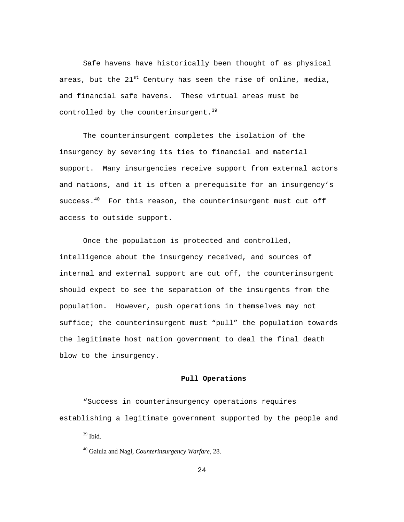Safe havens have historically been thought of as physical areas, but the  $21^{st}$  Century has seen the rise of online, media, and financial safe havens. These virtual areas must be controlled by the counterinsurgent.  $39$ 

The counterinsurgent completes the isolation of the insurgency by severing its ties to financial and material support. Many insurgencies receive support from external actors and nations, and it is often a prerequisite for an insurgency's success.<sup>40</sup> For this reason, the counterinsurgent must cut off access to outside support.

Once the population is protected and controlled, intelligence about the insurgency received, and sources of internal and external support are cut off, the counterinsurgent should expect to see the separation of the insurgents from the population. However, push operations in themselves may not suffice; the counterinsurgent must "pull" the population towards the legitimate host nation government to deal the final death blow to the insurgency.

## **Pull Operations**

"Success in counterinsurgency operations requires establishing a legitimate government supported by the people and

 $39$  Ibid.

<sup>40</sup> Galula and Nagl, *Counterinsurgency Warfare*, 28.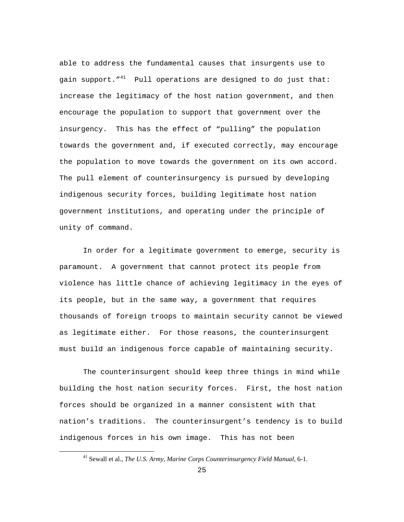able to address the fundamental causes that insurgents use to gain support." $41$  Pull operations are designed to do just that: increase the legitimacy of the host nation government, and then encourage the population to support that government over the insurgency. This has the effect of "pulling" the population towards the government and, if executed correctly, may encourage the population to move towards the government on its own accord. The pull element of counterinsurgency is pursued by developing indigenous security forces, building legitimate host nation government institutions, and operating under the principle of unity of command.

In order for a legitimate government to emerge, security is paramount. A government that cannot protect its people from violence has little chance of achieving legitimacy in the eyes of its people, but in the same way, a government that requires thousands of foreign troops to maintain security cannot be viewed as legitimate either. For those reasons, the counterinsurgent must build an indigenous force capable of maintaining security.

The counterinsurgent should keep three things in mind while building the host nation security forces. First, the host nation forces should be organized in a manner consistent with that nation's traditions. The counterinsurgent's tendency is to build indigenous forces in his own image. This has not been

41 Sewall et al., *The U.S. Army, Marine Corps Counterinsurgency Field Manual*, 6-1.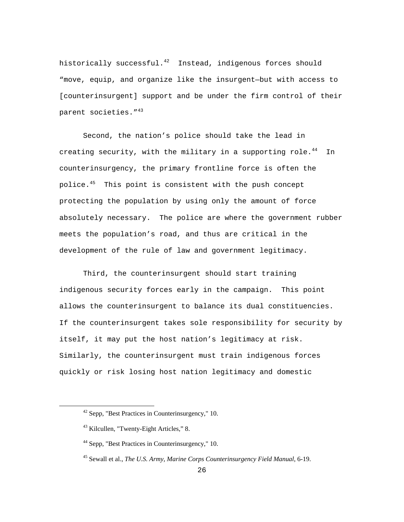historically successful.<sup>42</sup> Instead, indigenous forces should "move, equip, and organize like the insurgent—but with access to [counterinsurgent] support and be under the firm control of their parent societies."43

Second, the nation's police should take the lead in creating security, with the military in a supporting role. $44$  In counterinsurgency, the primary frontline force is often the police.<sup>45</sup> This point is consistent with the push concept protecting the population by using only the amount of force absolutely necessary. The police are where the government rubber meets the population's road, and thus are critical in the development of the rule of law and government legitimacy.

Third, the counterinsurgent should start training indigenous security forces early in the campaign. This point allows the counterinsurgent to balance its dual constituencies. If the counterinsurgent takes sole responsibility for security by itself, it may put the host nation's legitimacy at risk. Similarly, the counterinsurgent must train indigenous forces quickly or risk losing host nation legitimacy and domestic

42 Sepp, "Best Practices in Counterinsurgency," 10.

<sup>&</sup>lt;sup>43</sup> Kilcullen, "Twenty-Eight Articles," 8.

<sup>44</sup> Sepp, "Best Practices in Counterinsurgency," 10.

<sup>45</sup> Sewall et al., *The U.S. Army, Marine Corps Counterinsurgency Field Manual*, 6-19.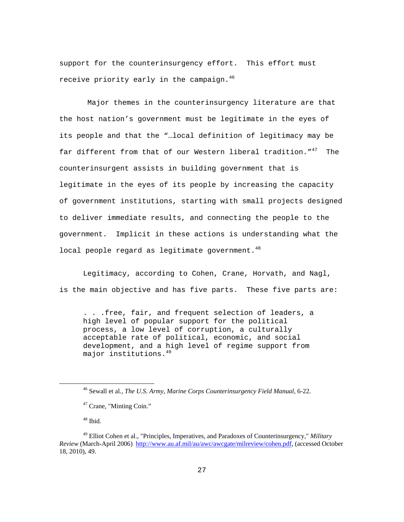support for the counterinsurgency effort. This effort must receive priority early in the campaign.<sup>46</sup>

 Major themes in the counterinsurgency literature are that the host nation's government must be legitimate in the eyes of its people and that the "…local definition of legitimacy may be far different from that of our Western liberal tradition."<sup>47</sup> The counterinsurgent assists in building government that is legitimate in the eyes of its people by increasing the capacity of government institutions, starting with small projects designed to deliver immediate results, and connecting the people to the government. Implicit in these actions is understanding what the local people regard as legitimate government. $48$ 

Legitimacy, according to Cohen, Crane, Horvath, and Nagl, is the main objective and has five parts. These five parts are:

. . .free, fair, and frequent selection of leaders, a high level of popular support for the political process, a low level of corruption, a culturally acceptable rate of political, economic, and social development, and a high level of regime support from major institutions.<sup>49</sup>

 $48$  Ibid.

46 Sewall et al., *The U.S. Army, Marine Corps Counterinsurgency Field Manual*, 6-22.

<sup>47</sup> Crane, "Minting Coin."

<sup>49</sup> Elliot Cohen et al., "Principles, Imperatives, and Paradoxes of Counterinsurgency," *Military Review* (March-April 2006) http://www.au.af.mil/au/awc/awcgate/milreview/cohen.pdf, (accessed October 18, 2010), 49.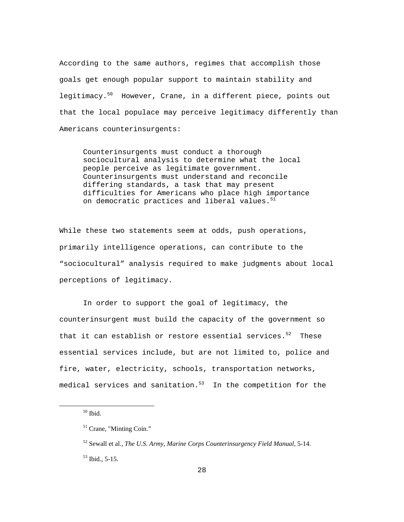According to the same authors, regimes that accomplish those goals get enough popular support to maintain stability and legitimacy.<sup>50</sup> However, Crane, in a different piece, points out that the local populace may perceive legitimacy differently than Americans counterinsurgents:

Counterinsurgents must conduct a thorough sociocultural analysis to determine what the local people perceive as legitimate government. Counterinsurgents must understand and reconcile differing standards, a task that may present difficulties for Americans who place high importance on democratic practices and liberal values.<sup>51</sup>

While these two statements seem at odds, push operations, primarily intelligence operations, can contribute to the "sociocultural" analysis required to make judgments about local perceptions of legitimacy.

In order to support the goal of legitimacy, the counterinsurgent must build the capacity of the government so that it can establish or restore essential services. $52$  These essential services include, but are not limited to, police and fire, water, electricity, schools, transportation networks, medical services and sanitation.<sup>53</sup> In the competition for the

 $50$  Ibid.

<sup>&</sup>lt;sup>51</sup> Crane, "Minting Coin."

<sup>52</sup> Sewall et al., *The U.S. Army, Marine Corps Counterinsurgency Field Manual*, 5-14.

<sup>53</sup> Ibid., 5-15.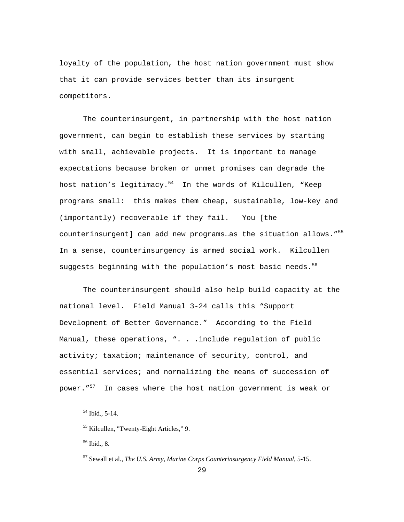loyalty of the population, the host nation government must show that it can provide services better than its insurgent competitors.

The counterinsurgent, in partnership with the host nation government, can begin to establish these services by starting with small, achievable projects. It is important to manage expectations because broken or unmet promises can degrade the host nation's legitimacy.<sup>54</sup> In the words of Kilcullen, "Keep programs small: this makes them cheap, sustainable, low-key and (importantly) recoverable if they fail. You [the counterinsurgent] can add new programs...as the situation allows."<sup>55</sup> In a sense, counterinsurgency is armed social work. Kilcullen suggests beginning with the population's most basic needs. $5^6$ 

The counterinsurgent should also help build capacity at the national level. Field Manual 3-24 calls this "Support Development of Better Governance." According to the Field Manual, these operations, ". . .include regulation of public activity; taxation; maintenance of security, control, and essential services; and normalizing the means of succession of power."<sup>57</sup> In cases where the host nation government is weak or

54 Ibid., 5-14.

<sup>55</sup> Kilcullen, "Twenty-Eight Articles," 9.

<sup>56</sup> Ibid., 8.

<sup>57</sup> Sewall et al., *The U.S. Army, Marine Corps Counterinsurgency Field Manual,* 5-15.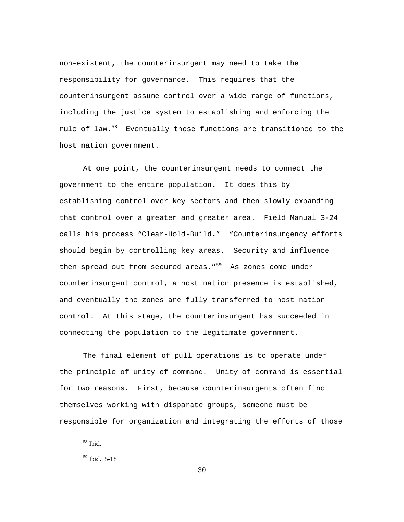non-existent, the counterinsurgent may need to take the responsibility for governance. This requires that the counterinsurgent assume control over a wide range of functions, including the justice system to establishing and enforcing the rule of law.<sup>58</sup> Eventually these functions are transitioned to the host nation government.

At one point, the counterinsurgent needs to connect the government to the entire population. It does this by establishing control over key sectors and then slowly expanding that control over a greater and greater area. Field Manual 3-24 calls his process "Clear-Hold-Build." "Counterinsurgency efforts should begin by controlling key areas. Security and influence then spread out from secured areas."<sup>59</sup> As zones come under counterinsurgent control, a host nation presence is established, and eventually the zones are fully transferred to host nation control. At this stage, the counterinsurgent has succeeded in connecting the population to the legitimate government.

The final element of pull operations is to operate under the principle of unity of command. Unity of command is essential for two reasons. First, because counterinsurgents often find themselves working with disparate groups, someone must be responsible for organization and integrating the efforts of those

58 Ibid.

<sup>59</sup> Ibid., 5-18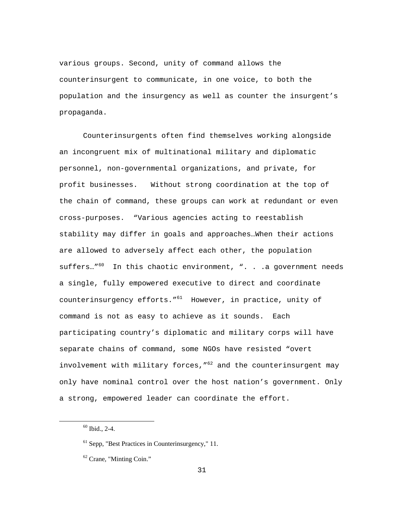various groups. Second, unity of command allows the counterinsurgent to communicate, in one voice, to both the population and the insurgency as well as counter the insurgent's propaganda.

 Counterinsurgents often find themselves working alongside an incongruent mix of multinational military and diplomatic personnel, non-governmental organizations, and private, for profit businesses. Without strong coordination at the top of the chain of command, these groups can work at redundant or even cross-purposes. "Various agencies acting to reestablish stability may differ in goals and approaches…When their actions are allowed to adversely affect each other, the population suffers..." $60$  In this chaotic environment, ". . .a government needs a single, fully empowered executive to direct and coordinate counterinsurgency efforts."<sup>61</sup> However, in practice, unity of command is not as easy to achieve as it sounds. Each participating country's diplomatic and military corps will have separate chains of command, some NGOs have resisted "overt involvement with military forces,  $162$  and the counterinsurgent may only have nominal control over the host nation's government. Only a strong, empowered leader can coordinate the effort.

 $60$  Ibid., 2-4.

<sup>&</sup>lt;sup>61</sup> Sepp, "Best Practices in Counterinsurgency," 11.

<sup>62</sup> Crane, "Minting Coin."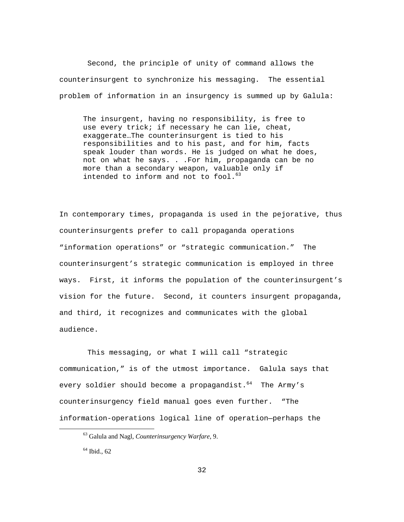Second, the principle of unity of command allows the counterinsurgent to synchronize his messaging. The essential problem of information in an insurgency is summed up by Galula:

The insurgent, having no responsibility, is free to use every trick; if necessary he can lie, cheat, exaggerate…The counterinsurgent is tied to his responsibilities and to his past, and for him, facts speak louder than words. He is judged on what he does, not on what he says. . .For him, propaganda can be no more than a secondary weapon, valuable only if intended to inform and not to fool. $^{63}$ 

In contemporary times, propaganda is used in the pejorative, thus counterinsurgents prefer to call propaganda operations "information operations" or "strategic communication." The counterinsurgent's strategic communication is employed in three ways. First, it informs the population of the counterinsurgent's vision for the future. Second, it counters insurgent propaganda, and third, it recognizes and communicates with the global audience.

 This messaging, or what I will call "strategic communication," is of the utmost importance. Galula says that every soldier should become a propagandist.<sup>64</sup> The Army's counterinsurgency field manual goes even further. "The information-operations logical line of operation—perhaps the

63 Galula and Nagl, *Counterinsurgency Warfare*, 9.

 $64$  Ibid., 62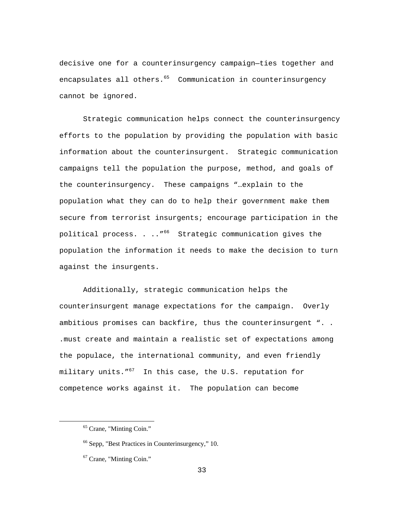decisive one for a counterinsurgency campaign—ties together and encapsulates all others.<sup>65</sup> Communication in counterinsurgency cannot be ignored.

Strategic communication helps connect the counterinsurgency efforts to the population by providing the population with basic information about the counterinsurgent. Strategic communication campaigns tell the population the purpose, method, and goals of the counterinsurgency. These campaigns "…explain to the population what they can do to help their government make them secure from terrorist insurgents; encourage participation in the political process. . .." $^{66}$  Strategic communication gives the population the information it needs to make the decision to turn against the insurgents.

Additionally, strategic communication helps the counterinsurgent manage expectations for the campaign. Overly ambitious promises can backfire, thus the counterinsurgent ". . .must create and maintain a realistic set of expectations among the populace, the international community, and even friendly military units."<sup>67</sup> In this case, the U.S. reputation for competence works against it. The population can become

65 Crane, "Minting Coin."

<sup>66</sup> Sepp, "Best Practices in Counterinsurgency," 10.

<sup>67</sup> Crane, "Minting Coin."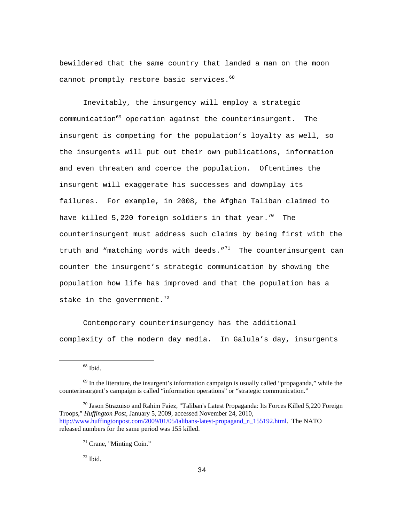bewildered that the same country that landed a man on the moon cannot promptly restore basic services.<sup>68</sup>

Inevitably, the insurgency will employ a strategic communication<sup>69</sup> operation against the counterinsurgent. The insurgent is competing for the population's loyalty as well, so the insurgents will put out their own publications, information and even threaten and coerce the population. Oftentimes the insurgent will exaggerate his successes and downplay its failures. For example, in 2008, the Afghan Taliban claimed to have killed 5,220 foreign soldiers in that year.<sup>70</sup> The counterinsurgent must address such claims by being first with the truth and "matching words with deeds." $71$  The counterinsurgent can counter the insurgent's strategic communication by showing the population how life has improved and that the population has a stake in the government.<sup>72</sup>

 Contemporary counterinsurgency has the additional complexity of the modern day media. In Galula's day, insurgents

 $68$  Ibid.

 $72$  Ibid.

 $69$  In the literature, the insurgent's information campaign is usually called "propaganda," while the counterinsurgent's campaign is called "information operations" or "strategic communication."

<sup>&</sup>lt;sup>70</sup> Jason Strazuiso and Rahim Faiez, "Taliban's Latest Propaganda: Its Forces Killed 5,220 Foreign Troops," *Huffington Post*, January 5, 2009, accessed November 24, 2010, http://www.huffingtonpost.com/2009/01/05/talibans-latest-propagand\_n\_155192.html. The NATO released numbers for the same period was 155 killed.

 $71$  Crane, "Minting Coin."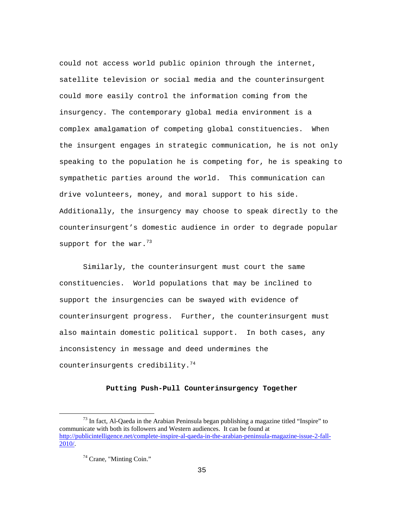could not access world public opinion through the internet, satellite television or social media and the counterinsurgent could more easily control the information coming from the insurgency. The contemporary global media environment is a complex amalgamation of competing global constituencies. When the insurgent engages in strategic communication, he is not only speaking to the population he is competing for, he is speaking to sympathetic parties around the world. This communication can drive volunteers, money, and moral support to his side. Additionally, the insurgency may choose to speak directly to the counterinsurgent's domestic audience in order to degrade popular support for the war.  $73$ 

 Similarly, the counterinsurgent must court the same constituencies. World populations that may be inclined to support the insurgencies can be swayed with evidence of counterinsurgent progress. Further, the counterinsurgent must also maintain domestic political support. In both cases, any inconsistency in message and deed undermines the counterinsurgents credibility. $74$ 

# **Putting Push-Pull Counterinsurgency Together**

 $<sup>73</sup>$  In fact, Al-Qaeda in the Arabian Peninsula began publishing a magazine titled "Inspire" to</sup> communicate with both its followers and Western audiences. It can be found at http://publicintelligence.net/complete-inspire-al-qaeda-in-the-arabian-peninsula-magazine-issue-2-fall-2010/.

 $74$  Crane, "Minting Coin."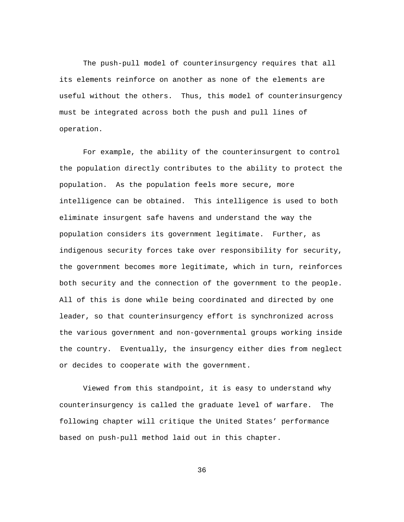The push-pull model of counterinsurgency requires that all its elements reinforce on another as none of the elements are useful without the others. Thus, this model of counterinsurgency must be integrated across both the push and pull lines of operation.

 For example, the ability of the counterinsurgent to control the population directly contributes to the ability to protect the population. As the population feels more secure, more intelligence can be obtained. This intelligence is used to both eliminate insurgent safe havens and understand the way the population considers its government legitimate. Further, as indigenous security forces take over responsibility for security, the government becomes more legitimate, which in turn, reinforces both security and the connection of the government to the people. All of this is done while being coordinated and directed by one leader, so that counterinsurgency effort is synchronized across the various government and non-governmental groups working inside the country. Eventually, the insurgency either dies from neglect or decides to cooperate with the government.

Viewed from this standpoint, it is easy to understand why counterinsurgency is called the graduate level of warfare. The following chapter will critique the United States' performance based on push-pull method laid out in this chapter.

36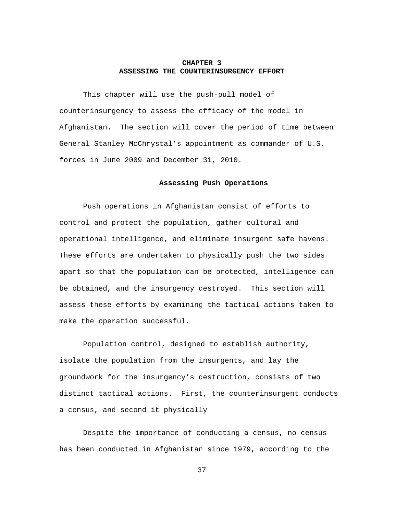## **CHAPTER 3 ASSESSING THE COUNTERINSURGENCY EFFORT**

This chapter will use the push-pull model of counterinsurgency to assess the efficacy of the model in Afghanistan. The section will cover the period of time between General Stanley McChrystal's appointment as commander of U.S. forces in June 2009 and December 31, 2010.

#### **Assessing Push Operations**

Push operations in Afghanistan consist of efforts to control and protect the population, gather cultural and operational intelligence, and eliminate insurgent safe havens. These efforts are undertaken to physically push the two sides apart so that the population can be protected, intelligence can be obtained, and the insurgency destroyed. This section will assess these efforts by examining the tactical actions taken to make the operation successful.

Population control, designed to establish authority, isolate the population from the insurgents, and lay the groundwork for the insurgency's destruction, consists of two distinct tactical actions. First, the counterinsurgent conducts a census, and second it physically

Despite the importance of conducting a census, no census has been conducted in Afghanistan since 1979, according to the

37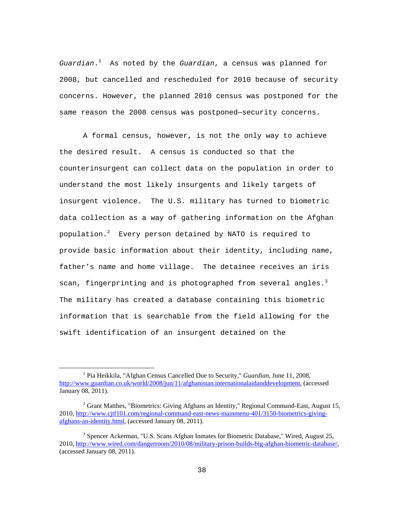*Guardian*.<sup>1</sup> As noted by the *Guardian*, a census was planned for 2008, but cancelled and rescheduled for 2010 because of security concerns. However, the planned 2010 census was postponed for the same reason the 2008 census was postponed—security concerns.

A formal census, however, is not the only way to achieve the desired result. A census is conducted so that the counterinsurgent can collect data on the population in order to understand the most likely insurgents and likely targets of insurgent violence. The U.S. military has turned to biometric data collection as a way of gathering information on the Afghan population.<sup>2</sup> Every person detained by NATO is required to provide basic information about their identity, including name, father's name and home village. The detainee receives an iris scan, fingerprinting and is photographed from several angles. $^3$ The military has created a database containing this biometric information that is searchable from the field allowing for the swift identification of an insurgent detained on the

<sup>&</sup>lt;u>1</u> <sup>1</sup> Pia Heikkila, "Afghan Census Cancelled Due to Security," *Guardian*, June 11, 2008, http://www.guardian.co.uk/world/2008/jun/11/afghanistan.internationalaidanddevelopment, (accessed January 08, 2011).

 $2^{2}$  Grant Matthes, "Biometrics: Giving Afghans an Identity," Regional Command-East, August 15, 2010, http://www.cjtf101.com/regional-command-east-news-mainmenu-401/3150-biometrics-givingafghans-an-identity.html, (accessed January 08, 2011).

<sup>&</sup>lt;sup>3</sup> Spencer Ackerman, "U.S. Scans Afghan Inmates for Biometric Database," Wired, August 25, 2010, http://www.wired.com/dangerroom/2010/08/military-prison-builds-big-afghan-biometric-database/, (accessed January 08, 2011).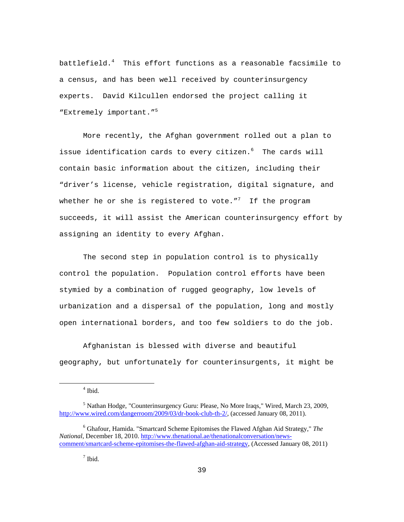battlefield.<sup>4</sup> This effort functions as a reasonable facsimile to a census, and has been well received by counterinsurgency experts. David Kilcullen endorsed the project calling it "Extremely important."<sup>5</sup>

More recently, the Afghan government rolled out a plan to issue identification cards to every citizen.<sup>6</sup> The cards will contain basic information about the citizen, including their "driver's license, vehicle registration, digital signature, and whether he or she is registered to vote. $^{\prime \prime}$  If the program succeeds, it will assist the American counterinsurgency effort by assigning an identity to every Afghan.

The second step in population control is to physically control the population. Population control efforts have been stymied by a combination of rugged geography, low levels of urbanization and a dispersal of the population, long and mostly open international borders, and too few soldiers to do the job.

Afghanistan is blessed with diverse and beautiful geography, but unfortunately for counterinsurgents, it might be

 <sup>4</sup>  $<sup>4</sup>$  Ibid.</sup>

<sup>&</sup>lt;sup>5</sup> Nathan Hodge, "Counterinsurgency Guru: Please, No More Iraqs," Wired, March 23, 2009, http://www.wired.com/dangerroom/2009/03/dr-book-club-th-2/, (accessed January 08, 2011).

<sup>6</sup> Ghafour, Hamida. "Smartcard Scheme Epitomises the Flawed Afghan Aid Strategy," *The National*, December 18, 2010. http://www.thenational.ae/thenationalconversation/newscomment/smartcard-scheme-epitomises-the-flawed-afghan-aid-strategy, (Accessed January 08, 2011)

 $<sup>7</sup>$  Ibid.</sup>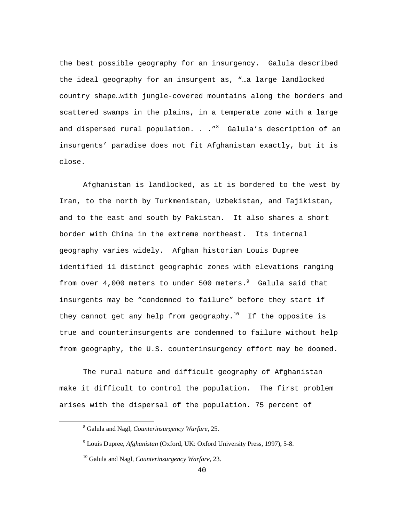the best possible geography for an insurgency. Galula described the ideal geography for an insurgent as, "…a large landlocked country shape…with jungle-covered mountains along the borders and scattered swamps in the plains, in a temperate zone with a large and dispersed rural population. . ."<sup>8</sup> Galula's description of an insurgents' paradise does not fit Afghanistan exactly, but it is close.

Afghanistan is landlocked, as it is bordered to the west by Iran, to the north by Turkmenistan, Uzbekistan, and Tajikistan, and to the east and south by Pakistan. It also shares a short border with China in the extreme northeast. Its internal geography varies widely. Afghan historian Louis Dupree identified 11 distinct geographic zones with elevations ranging from over 4,000 meters to under 500 meters.<sup>9</sup> Galula said that insurgents may be "condemned to failure" before they start if they cannot get any help from geography.<sup>10</sup> If the opposite is true and counterinsurgents are condemned to failure without help from geography, the U.S. counterinsurgency effort may be doomed.

The rural nature and difficult geography of Afghanistan make it difficult to control the population. The first problem arises with the dispersal of the population. 75 percent of

<sup>8</sup> Galula and Nagl, *Counterinsurgency Warfare*, 25.

<sup>9</sup> Louis Dupree, *Afghanistan* (Oxford, UK: Oxford University Press, 1997), 5-8.

<sup>10</sup> Galula and Nagl, *Counterinsurgency Warfare*, 23.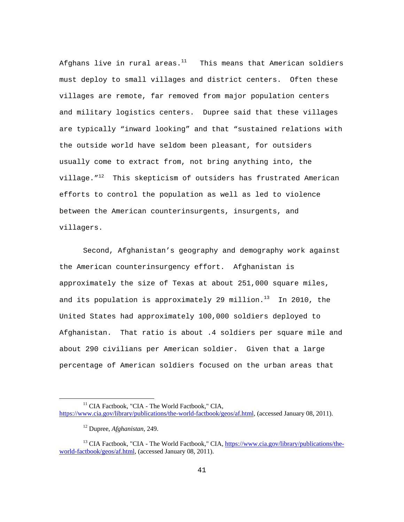Afghans live in rural areas. $^{11}$  This means that American soldiers must deploy to small villages and district centers. Often these villages are remote, far removed from major population centers and military logistics centers. Dupree said that these villages are typically "inward looking" and that "sustained relations with the outside world have seldom been pleasant, for outsiders usually come to extract from, not bring anything into, the village. $1^{12}$  This skepticism of outsiders has frustrated American efforts to control the population as well as led to violence between the American counterinsurgents, insurgents, and villagers.

Second, Afghanistan's geography and demography work against the American counterinsurgency effort. Afghanistan is approximately the size of Texas at about 251,000 square miles, and its population is approximately 29 million. $^{13}$  In 2010, the United States had approximately 100,000 soldiers deployed to Afghanistan. That ratio is about .4 soldiers per square mile and about 290 civilians per American soldier. Given that a large percentage of American soldiers focused on the urban areas that

<sup>&</sup>lt;sup>11</sup> CIA Factbook, "CIA - The World Factbook," CIA, https://www.cia.gov/library/publications/the-world-factbook/geos/af.html, (accessed January 08, 2011).

<sup>12</sup> Dupree, *Afghanistan*, 249.

<sup>&</sup>lt;sup>13</sup> CIA Factbook, "CIA - The World Factbook," CIA, https://www.cia.gov/library/publications/theworld-factbook/geos/af.html, (accessed January 08, 2011).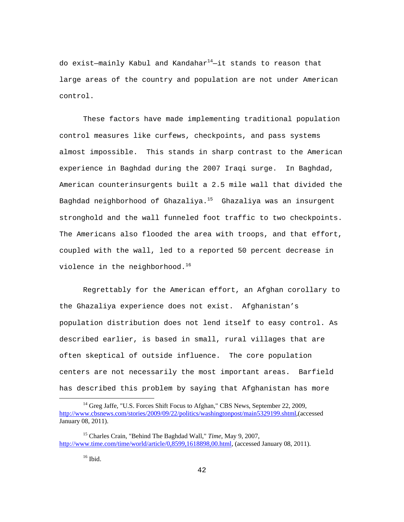do exist—mainly Kabul and Kandaha $r^{14}$ —it stands to reason that large areas of the country and population are not under American control.

These factors have made implementing traditional population control measures like curfews, checkpoints, and pass systems almost impossible. This stands in sharp contrast to the American experience in Baghdad during the 2007 Iraqi surge. In Baghdad, American counterinsurgents built a 2.5 mile wall that divided the Baghdad neighborhood of Ghazaliya. $15$  Ghazaliya was an insurgent stronghold and the wall funneled foot traffic to two checkpoints. The Americans also flooded the area with troops, and that effort, coupled with the wall, led to a reported 50 percent decrease in violence in the neighborhood. $16$ 

Regrettably for the American effort, an Afghan corollary to the Ghazaliya experience does not exist. Afghanistan's population distribution does not lend itself to easy control. As described earlier, is based in small, rural villages that are often skeptical of outside influence. The core population centers are not necessarily the most important areas. Barfield has described this problem by saying that Afghanistan has more

<sup>&</sup>lt;sup>14</sup> Greg Jaffe, "U.S. Forces Shift Focus to Afghan," CBS News, September 22, 2009, http://www.cbsnews.com/stories/2009/09/22/politics/washingtonpost/main5329199.shtml,(accessed January 08, 2011).

<sup>15</sup> Charles Crain, "Behind The Baghdad Wall," *Time*, May 9, 2007, http://www.time.com/time/world/article/0,8599,1618898,00.html, (accessed January 08, 2011).

 $16$  Ibid.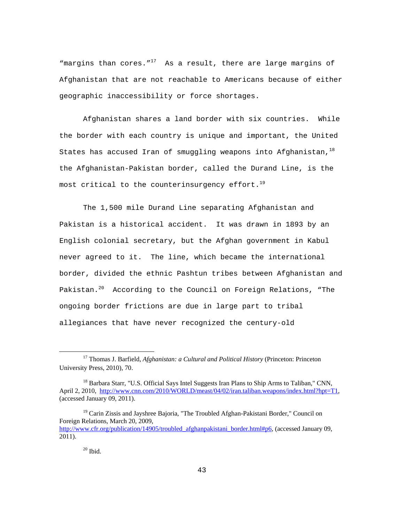"margins than cores." $17$  As a result, there are large margins of Afghanistan that are not reachable to Americans because of either geographic inaccessibility or force shortages.

Afghanistan shares a land border with six countries. While the border with each country is unique and important, the United States has accused Iran of smuggling weapons into Afghanistan,  $18$ the Afghanistan-Pakistan border, called the Durand Line, is the most critical to the counterinsurgency effort. $^{19}$ 

The 1,500 mile Durand Line separating Afghanistan and Pakistan is a historical accident. It was drawn in 1893 by an English colonial secretary, but the Afghan government in Kabul never agreed to it. The line, which became the international border, divided the ethnic Pashtun tribes between Afghanistan and Pakistan.<sup>20</sup> According to the Council on Foreign Relations, "The ongoing border frictions are due in large part to tribal allegiances that have never recognized the century-old

<sup>19</sup> Carin Zissis and Jayshree Bajoria, "The Troubled Afghan-Pakistani Border," Council on Foreign Relations, March 20, 2009, http://www.cfr.org/publication/14905/troubled afghanpakistani border.html#p6, (accessed January 09, 2011).

17 Thomas J. Barfield, *Afghanistan: a Cultural and Political History* (Princeton: Princeton University Press, 2010), 70.

<sup>&</sup>lt;sup>18</sup> Barbara Starr, "U.S. Official Says Intel Suggests Iran Plans to Ship Arms to Taliban," CNN, April 2, 2010, http://www.cnn.com/2010/WORLD/meast/04/02/iran.taliban.weapons/index.html?hpt=T1, (accessed January 09, 2011).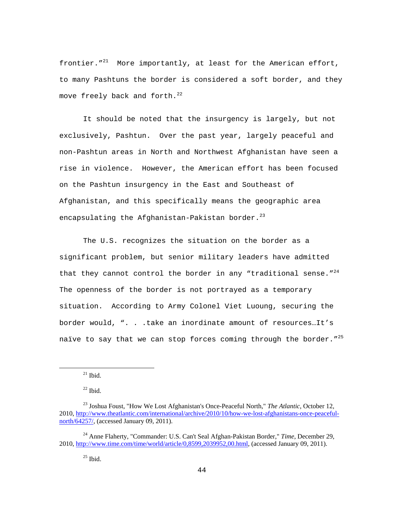frontier. $"^{21}$  More importantly, at least for the American effort, to many Pashtuns the border is considered a soft border, and they move freely back and forth.<sup>22</sup>

It should be noted that the insurgency is largely, but not exclusively, Pashtun. Over the past year, largely peaceful and non-Pashtun areas in North and Northwest Afghanistan have seen a rise in violence. However, the American effort has been focused on the Pashtun insurgency in the East and Southeast of Afghanistan, and this specifically means the geographic area encapsulating the Afghanistan-Pakistan border. $^{23}$ 

The U.S. recognizes the situation on the border as a significant problem, but senior military leaders have admitted that they cannot control the border in any "traditional sense." $^{24}$ The openness of the border is not portrayed as a temporary situation. According to Army Colonel Viet Luoung, securing the border would, ". . .take an inordinate amount of resources…It's naïve to say that we can stop forces coming through the border." $^{25}$ 

 $^{21}$  Ibid.

 $^{22}$  Ibid.

<sup>23</sup> Joshua Foust, "How We Lost Afghanistan's Once-Peaceful North," *The Atlantic*, October 12, 2010, http://www.theatlantic.com/international/archive/2010/10/how-we-lost-afghanistans-once-peacefulnorth/64257/, (accessed January 09, 2011).

<sup>24</sup> Anne Flaherty, "Commander: U.S. Can't Seal Afghan-Pakistan Border," *Time*, December 29, 2010, http://www.time.com/time/world/article/0,8599,2039952,00.html, (accessed January 09, 2011).

 $^{25}$  Ibid.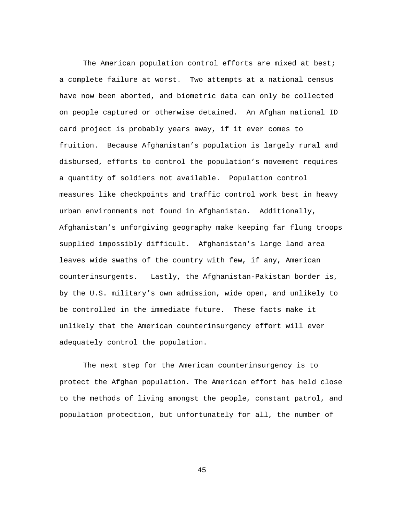The American population control efforts are mixed at best; a complete failure at worst. Two attempts at a national census have now been aborted, and biometric data can only be collected on people captured or otherwise detained. An Afghan national ID card project is probably years away, if it ever comes to fruition. Because Afghanistan's population is largely rural and disbursed, efforts to control the population's movement requires a quantity of soldiers not available. Population control measures like checkpoints and traffic control work best in heavy urban environments not found in Afghanistan. Additionally, Afghanistan's unforgiving geography make keeping far flung troops supplied impossibly difficult. Afghanistan's large land area leaves wide swaths of the country with few, if any, American counterinsurgents. Lastly, the Afghanistan-Pakistan border is, by the U.S. military's own admission, wide open, and unlikely to be controlled in the immediate future. These facts make it unlikely that the American counterinsurgency effort will ever adequately control the population.

The next step for the American counterinsurgency is to protect the Afghan population. The American effort has held close to the methods of living amongst the people, constant patrol, and population protection, but unfortunately for all, the number of

45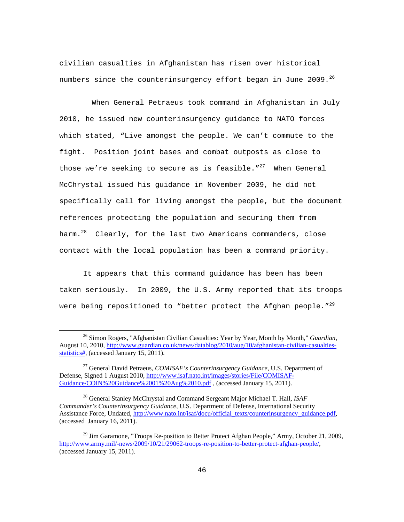civilian casualties in Afghanistan has risen over historical numbers since the counterinsurgency effort began in June 2009.<sup>26</sup>

 When General Petraeus took command in Afghanistan in July 2010, he issued new counterinsurgency guidance to NATO forces which stated, "Live amongst the people. We can't commute to the fight. Position joint bases and combat outposts as close to those we're seeking to secure as is feasible."<sup>27</sup> When General McChrystal issued his guidance in November 2009, he did not specifically call for living amongst the people, but the document references protecting the population and securing them from harm.<sup>28</sup> Clearly, for the last two Americans commanders, close contact with the local population has been a command priority.

It appears that this command guidance has been has been taken seriously. In 2009, the U.S. Army reported that its troops were being repositioned to "better protect the Afghan people."<sup>29</sup>

26 Simon Rogers, "Afghanistan Civilian Casualties: Year by Year, Month by Month," *Guardian*, August 10, 2010, http://www.guardian.co.uk/news/datablog/2010/aug/10/afghanistan-civilian-casualtiesstatistics#, (accessed January 15, 2011).

<sup>27</sup> General David Petraeus, *COMISAF's Counterinsurgency Guidance*, U.S. Department of Defense, Signed 1 August 2010, http://www.isaf.nato.int/images/stories/File/COMISAF-Guidance/COIN%20Guidance%2001%20Aug%2010.pdf , (accessed January 15, 2011).

<sup>28</sup> General Stanley McChrystal and Command Sergeant Major Michael T. Hall, *ISAF Commander's Counterinsurgency Guidance*, U.S. Department of Defense, International Security Assistance Force, Undated, http://www.nato.int/isaf/docu/official\_texts/counterinsurgency\_guidance.pdf, (accessed January 16, 2011).

 $29$  Jim Garamone, "Troops Re-position to Better Protect Afghan People," Army, October 21, 2009, http://www.army.mil/-news/2009/10/21/29062-troops-re-position-to-better-protect-afghan-people/, (accessed January 15, 2011).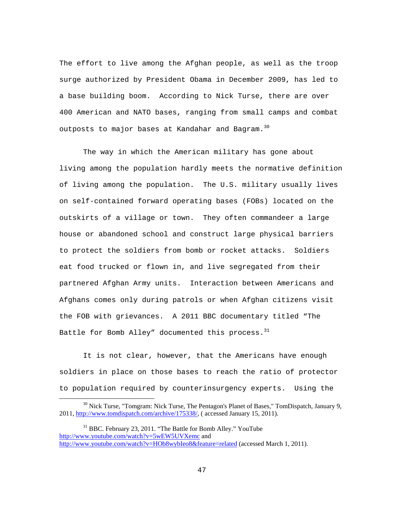The effort to live among the Afghan people, as well as the troop surge authorized by President Obama in December 2009, has led to a base building boom. According to Nick Turse, there are over 400 American and NATO bases, ranging from small camps and combat outposts to major bases at Kandahar and Bagram.<sup>30</sup>

The way in which the American military has gone about living among the population hardly meets the normative definition of living among the population. The U.S. military usually lives on self-contained forward operating bases (FOBs) located on the outskirts of a village or town. They often commandeer a large house or abandoned school and construct large physical barriers to protect the soldiers from bomb or rocket attacks. Soldiers eat food trucked or flown in, and live segregated from their partnered Afghan Army units. Interaction between Americans and Afghans comes only during patrols or when Afghan citizens visit the FOB with grievances. A 2011 BBC documentary titled "The Battle for Bomb Alley" documented this process.<sup>31</sup>

It is not clear, however, that the Americans have enough soldiers in place on those bases to reach the ratio of protector to population required by counterinsurgency experts. Using the

 $30$  Nick Turse, "Tomgram: Nick Turse, The Pentagon's Planet of Bases," TomDispatch, January 9, 2011, http://www.tomdispatch.com/archive/175338/, (accessed January 15, 2011).

 $31$  BBC. February 23, 2011. "The Battle for Bomb Alley." YouTube http://www.youtube.com/watch?v=5wEW5UVXemc and http://www.youtube.com/watch?v=HOb8wybIeo8&feature=related (accessed March 1, 2011).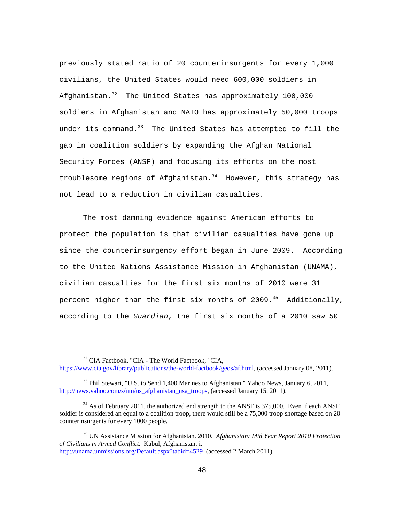previously stated ratio of 20 counterinsurgents for every 1,000 civilians, the United States would need 600,000 soldiers in Afghanistan. $32$  The United States has approximately 100,000 soldiers in Afghanistan and NATO has approximately 50,000 troops under its command. $^{33}$  The United States has attempted to fill the gap in coalition soldiers by expanding the Afghan National Security Forces (ANSF) and focusing its efforts on the most troublesome regions of Afghanistan. $34$  However, this strategy has not lead to a reduction in civilian casualties.

The most damning evidence against American efforts to protect the population is that civilian casualties have gone up since the counterinsurgency effort began in June 2009. According to the United Nations Assistance Mission in Afghanistan (UNAMA), civilian casualties for the first six months of 2010 were 31 percent higher than the first six months of 2009.<sup>35</sup> Additionally, according to the *Guardian*, the first six months of a 2010 saw 50

<sup>&</sup>lt;sup>32</sup> CIA Factbook, "CIA - The World Factbook," CIA, https://www.cia.gov/library/publications/the-world-factbook/geos/af.html, (accessed January 08, 2011).

<sup>&</sup>lt;sup>33</sup> Phil Stewart, "U.S. to Send 1,400 Marines to Afghanistan," Yahoo News, January 6, 2011, http://news.yahoo.com/s/nm/us\_afghanistan\_usa\_troops, (accessed January 15, 2011).

<sup>&</sup>lt;sup>34</sup> As of February 2011, the authorized end strength to the ANSF is 375,000. Even if each ANSF soldier is considered an equal to a coalition troop, there would still be a 75,000 troop shortage based on 20 counterinsurgents for every 1000 people.

<sup>35</sup> UN Assistance Mission for Afghanistan. 2010. *Afghanistan: Mid Year Report 2010 Protection of Civilians in Armed Conflict*. Kabul, Afghanistan. i, http://unama.unmissions.org/Default.aspx?tabid=4529 (accessed 2 March 2011).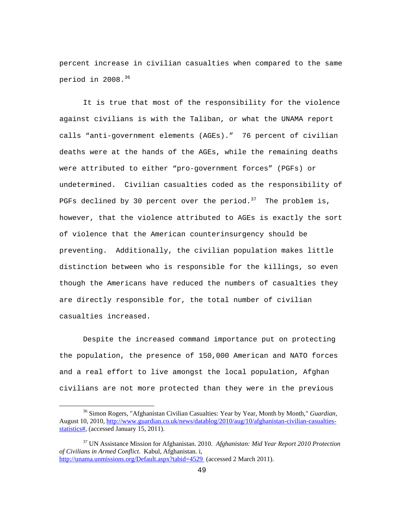percent increase in civilian casualties when compared to the same period in 2008.<sup>36</sup>

It is true that most of the responsibility for the violence against civilians is with the Taliban, or what the UNAMA report calls "anti-government elements (AGEs)." 76 percent of civilian deaths were at the hands of the AGEs, while the remaining deaths were attributed to either "pro-government forces" (PGFs) or undetermined. Civilian casualties coded as the responsibility of PGFs declined by 30 percent over the period.<sup>37</sup> The problem is, however, that the violence attributed to AGEs is exactly the sort of violence that the American counterinsurgency should be preventing. Additionally, the civilian population makes little distinction between who is responsible for the killings, so even though the Americans have reduced the numbers of casualties they are directly responsible for, the total number of civilian casualties increased.

Despite the increased command importance put on protecting the population, the presence of 150,000 American and NATO forces and a real effort to live amongst the local population, Afghan civilians are not more protected than they were in the previous

36 Simon Rogers, "Afghanistan Civilian Casualties: Year by Year, Month by Month," *Guardian,* August 10, 2010, http://www.guardian.co.uk/news/datablog/2010/aug/10/afghanistan-civilian-casualtiesstatistics#, (accessed January 15, 2011).

<sup>37</sup> UN Assistance Mission for Afghanistan. 2010. *Afghanistan: Mid Year Report 2010 Protection of Civilians in Armed Conflict*. Kabul, Afghanistan. i, http://unama.unmissions.org/Default.aspx?tabid=4529 (accessed 2 March 2011).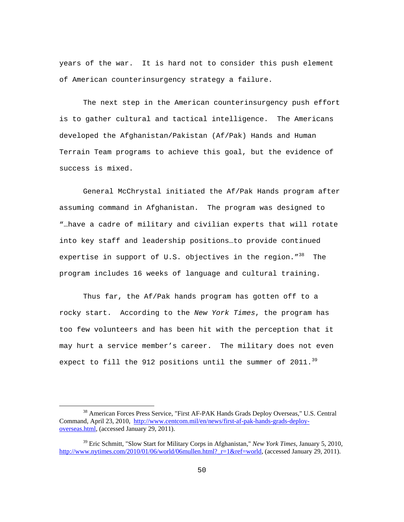years of the war. It is hard not to consider this push element of American counterinsurgency strategy a failure.

The next step in the American counterinsurgency push effort is to gather cultural and tactical intelligence. The Americans developed the Afghanistan/Pakistan (Af/Pak) Hands and Human Terrain Team programs to achieve this goal, but the evidence of success is mixed.

General McChrystal initiated the Af/Pak Hands program after assuming command in Afghanistan. The program was designed to "…have a cadre of military and civilian experts that will rotate into key staff and leadership positions…to provide continued expertise in support of U.S. objectives in the region. "<sup>38</sup> The program includes 16 weeks of language and cultural training.

Thus far, the Af/Pak hands program has gotten off to a rocky start. According to the *New York Times*, the program has too few volunteers and has been hit with the perception that it may hurt a service member's career. The military does not even expect to fill the 912 positions until the summer of 2011.<sup>39</sup>

38 American Forces Press Service, "First AF-PAK Hands Grads Deploy Overseas," U.S. Central Command, April 23, 2010, http://www.centcom.mil/en/news/first-af-pak-hands-grads-deployoverseas.html, (accessed January 29, 2011).

<sup>39</sup> Eric Schmitt, "Slow Start for Military Corps in Afghanistan," *New York Times*, January 5, 2010, http://www.nytimes.com/2010/01/06/world/06mullen.html?\_r=1&ref=world, (accessed January 29, 2011).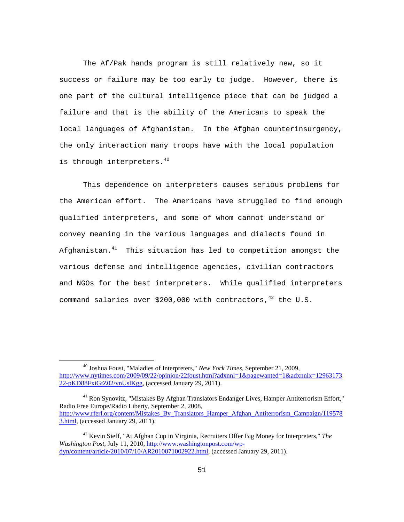The Af/Pak hands program is still relatively new, so it success or failure may be too early to judge. However, there is one part of the cultural intelligence piece that can be judged a failure and that is the ability of the Americans to speak the local languages of Afghanistan. In the Afghan counterinsurgency, the only interaction many troops have with the local population is through interpreters.<sup>40</sup>

This dependence on interpreters causes serious problems for the American effort. The Americans have struggled to find enough qualified interpreters, and some of whom cannot understand or convey meaning in the various languages and dialects found in Afghanistan. $41$  This situation has led to competition amongst the various defense and intelligence agencies, civilian contractors and NGOs for the best interpreters. While qualified interpreters command salaries over \$200,000 with contractors,  $^{42}$  the U.S.

<sup>41</sup> Ron Synovitz, "Mistakes By Afghan Translators Endanger Lives, Hamper Antiterrorism Effort," Radio Free Europe/Radio Liberty, September 2, 2008, http://www.rferl.org/content/Mistakes\_By\_Translators\_Hamper\_Afghan\_Antiterrorism\_Campaign/119578 3.html, (accessed January 29, 2011).

40 Joshua Foust, "Maladies of Interpreters," *New York Times*, September 21, 2009, http://www.nytimes.com/2009/09/22/opinion/22foust.html?adxnnl=1&pagewanted=1&adxnnlx=12963173 22-pKD88FxiGtZ02/vnUslKgg, (accessed January 29, 2011).

<sup>42</sup> Kevin Sieff, "At Afghan Cup in Virginia, Recruiters Offer Big Money for Interpreters," *The Washington Post*, July 11, 2010, http://www.washingtonpost.com/wpdyn/content/article/2010/07/10/AR2010071002922.html, (accessed January 29, 2011).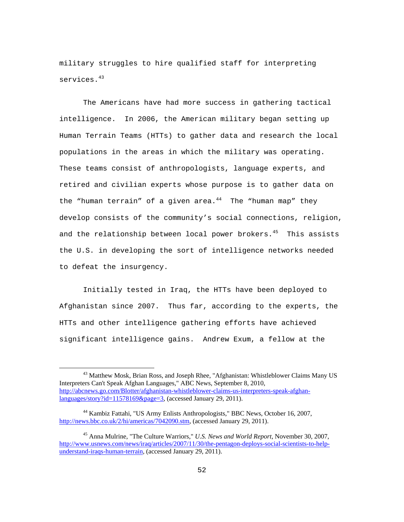military struggles to hire qualified staff for interpreting services.<sup>43</sup>

The Americans have had more success in gathering tactical intelligence. In 2006, the American military began setting up Human Terrain Teams (HTTs) to gather data and research the local populations in the areas in which the military was operating. These teams consist of anthropologists, language experts, and retired and civilian experts whose purpose is to gather data on the "human terrain" of a given area. $44$  The "human map" they develop consists of the community's social connections, religion, and the relationship between local power brokers.<sup>45</sup> This assists the U.S. in developing the sort of intelligence networks needed to defeat the insurgency.

Initially tested in Iraq, the HTTs have been deployed to Afghanistan since 2007. Thus far, according to the experts, the HTTs and other intelligence gathering efforts have achieved significant intelligence gains. Andrew Exum, a fellow at the

43 Matthew Mosk, Brian Ross, and Joseph Rhee, "Afghanistan: Whistleblower Claims Many US Interpreters Can't Speak Afghan Languages," ABC News, September 8, 2010, http://abcnews.go.com/Blotter/afghanistan-whistleblower-claims-us-interpreters-speak-afghanlanguages/story?id=11578169&page=3, (accessed January 29, 2011).

<sup>&</sup>lt;sup>44</sup> Kambiz Fattahi, "US Army Enlists Anthropologists," BBC News, October 16, 2007, http://news.bbc.co.uk/2/hi/americas/7042090.stm, (accessed January 29, 2011).

<sup>45</sup> Anna Mulrine, "The Culture Warriors," *U.S. News and World Report*, November 30, 2007, http://www.usnews.com/news/iraq/articles/2007/11/30/the-pentagon-deploys-social-scientists-to-helpunderstand-iraqs-human-terrain, (accessed January 29, 2011).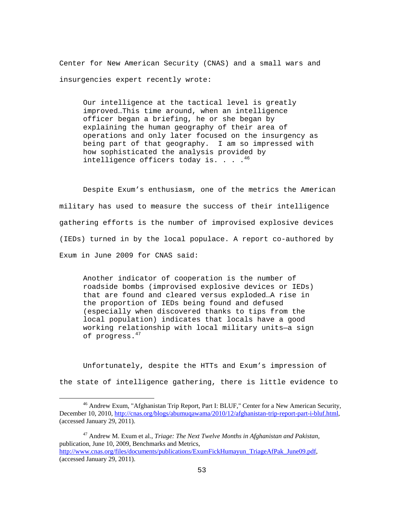Center for New American Security (CNAS) and a small wars and insurgencies expert recently wrote:

Our intelligence at the tactical level is greatly improved…This time around, when an intelligence officer began a briefing, he or she began by explaining the human geography of their area of operations and only later focused on the insurgency as being part of that geography. I am so impressed with how sophisticated the analysis provided by intelligence officers today is. . .  $4^{6}$ 

Despite Exum's enthusiasm, one of the metrics the American military has used to measure the success of their intelligence gathering efforts is the number of improvised explosive devices (IEDs) turned in by the local populace. A report co-authored by Exum in June 2009 for CNAS said:

Another indicator of cooperation is the number of roadside bombs (improvised explosive devices or IEDs) that are found and cleared versus exploded…A rise in the proportion of IEDs being found and defused (especially when discovered thanks to tips from the local population) indicates that locals have a good working relationship with local military units—a sign of progress.<sup>47</sup>

Unfortunately, despite the HTTs and Exum's impression of the state of intelligence gathering, there is little evidence to

<sup>&</sup>lt;sup>46</sup> Andrew Exum, "Afghanistan Trip Report, Part I: BLUF," Center for a New American Security, December 10, 2010, http://cnas.org/blogs/abumuqawama/2010/12/afghanistan-trip-report-part-i-bluf.html, (accessed January 29, 2011).

<sup>47</sup> Andrew M. Exum et al., *Triage: The Next Twelve Months in Afghanistan and Pakistan,* publication, June 10, 2009, Benchmarks and Metrics, http://www.cnas.org/files/documents/publications/ExumFickHumayun\_TriageAfPak\_June09.pdf, (accessed January 29, 2011).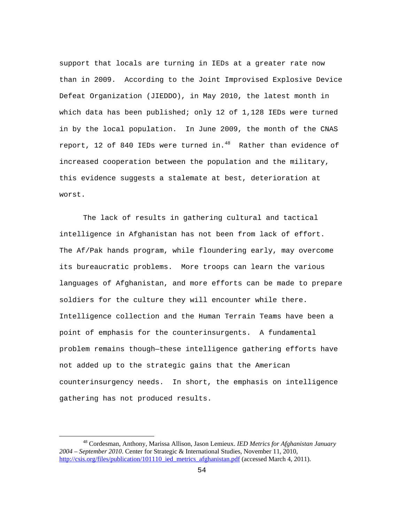support that locals are turning in IEDs at a greater rate now than in 2009. According to the Joint Improvised Explosive Device Defeat Organization (JIEDDO), in May 2010, the latest month in which data has been published; only 12 of 1,128 IEDs were turned in by the local population. In June 2009, the month of the CNAS report, 12 of 840 IEDs were turned in. $48$  Rather than evidence of increased cooperation between the population and the military, this evidence suggests a stalemate at best, deterioration at worst.

The lack of results in gathering cultural and tactical intelligence in Afghanistan has not been from lack of effort. The Af/Pak hands program, while floundering early, may overcome its bureaucratic problems. More troops can learn the various languages of Afghanistan, and more efforts can be made to prepare soldiers for the culture they will encounter while there. Intelligence collection and the Human Terrain Teams have been a point of emphasis for the counterinsurgents. A fundamental problem remains though—these intelligence gathering efforts have not added up to the strategic gains that the American counterinsurgency needs. In short, the emphasis on intelligence gathering has not produced results.

48 Cordesman, Anthony, Marissa Allison, Jason Lemieux. *IED Metrics for Afghanistan January 2004 – September 2010*. Center for Strategic & International Studies, November 11, 2010, http://csis.org/files/publication/101110 ied metrics afghanistan.pdf (accessed March 4, 2011).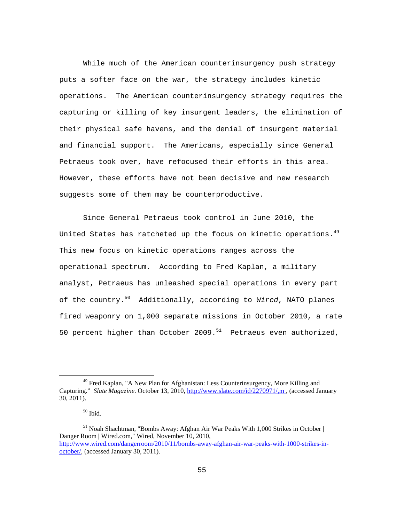While much of the American counterinsurgency push strategy puts a softer face on the war, the strategy includes kinetic operations. The American counterinsurgency strategy requires the capturing or killing of key insurgent leaders, the elimination of their physical safe havens, and the denial of insurgent material and financial support. The Americans, especially since General Petraeus took over, have refocused their efforts in this area. However, these efforts have not been decisive and new research suggests some of them may be counterproductive.

Since General Petraeus took control in June 2010, the United States has ratcheted up the focus on kinetic operations.  $49$ This new focus on kinetic operations ranges across the operational spectrum. According to Fred Kaplan, a military analyst, Petraeus has unleashed special operations in every part of the country.50 Additionally, according to *Wired*, NATO planes fired weaponry on 1,000 separate missions in October 2010, a rate 50 percent higher than October 2009.<sup>51</sup> Petraeus even authorized,

<sup>&</sup>lt;sup>49</sup> Fred Kaplan, "A New Plan for Afghanistan: Less Counterinsurgency, More Killing and Capturing." *Slate Magazine*. October 13, 2010, http://www.slate.com/id/2270971/,m , (accessed January 30, 2011).

 $50$  Ibid.

<sup>&</sup>lt;sup>51</sup> Noah Shachtman, "Bombs Away: Afghan Air War Peaks With 1,000 Strikes in October | Danger Room | Wired.com," Wired, November 10, 2010, http://www.wired.com/dangerroom/2010/11/bombs-away-afghan-air-war-peaks-with-1000-strikes-inoctober/, (accessed January 30, 2011).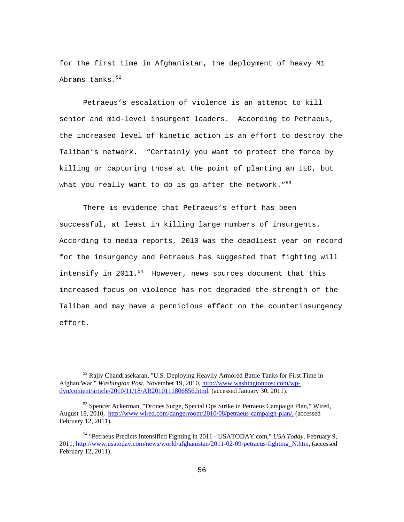for the first time in Afghanistan, the deployment of heavy M1 Abrams tanks. $52$ 

Petraeus's escalation of violence is an attempt to kill senior and mid-level insurgent leaders. According to Petraeus, the increased level of kinetic action is an effort to destroy the Taliban's network. "Certainly you want to protect the force by killing or capturing those at the point of planting an IED, but what you really want to do is go after the network.  $''^{53}$ 

There is evidence that Petraeus's effort has been successful, at least in killing large numbers of insurgents. According to media reports, 2010 was the deadliest year on record for the insurgency and Petraeus has suggested that fighting will intensify in 2011. $54$  However, news sources document that this increased focus on violence has not degraded the strength of the Taliban and may have a pernicious effect on the counterinsurgency effort.

<sup>&</sup>lt;sup>52</sup> Rajiv Chandrasekaran, "U.S. Deploying Heavily Armored Battle Tanks for First Time in Afghan War," *Washington Post*, November 19, 2010, http://www.washingtonpost.com/wpdyn/content/article/2010/11/18/AR2010111806856.html, (accessed January 30, 2011).

<sup>53</sup> Spencer Ackerman, "Drones Surge, Special Ops Strike in Petraeus Campaign Plan," Wired, August 18, 2010, http://www.wired.com/dangerroom/2010/08/petraeus-campaign-plan/, (accessed February 12, 2011).

<sup>54 &</sup>quot;Petraeus Predicts Intensified Fighting in 2011 - USATODAY.com," *USA Today*, February 9, 2011, http://www.usatoday.com/news/world/afghanistan/2011-02-09-petraeus-fighting\_N.htm, (accessed February 12, 2011).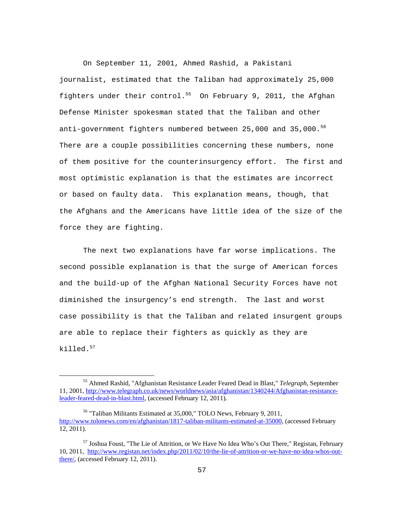On September 11, 2001, Ahmed Rashid, a Pakistani journalist, estimated that the Taliban had approximately 25,000 fighters under their control. $55$  On February 9, 2011, the Afghan Defense Minister spokesman stated that the Taliban and other anti-government fighters numbered between 25,000 and 35,000.<sup>56</sup> There are a couple possibilities concerning these numbers, none of them positive for the counterinsurgency effort. The first and most optimistic explanation is that the estimates are incorrect or based on faulty data. This explanation means, though, that the Afghans and the Americans have little idea of the size of the force they are fighting.

The next two explanations have far worse implications. The second possible explanation is that the surge of American forces and the build-up of the Afghan National Security Forces have not diminished the insurgency's end strength. The last and worst case possibility is that the Taliban and related insurgent groups are able to replace their fighters as quickly as they are killed.<sup>57</sup>

55 Ahmed Rashid, "Afghanistan Resistance Leader Feared Dead in Blast," *Telegraph*, September 11, 2001, http://www.telegraph.co.uk/news/worldnews/asia/afghanistan/1340244/Afghanistan-resistanceleader-feared-dead-in-blast.html, (accessed February 12, 2011).

<sup>56 &</sup>quot;Taliban Militants Estimated at 35,000," TOLO News, February 9, 2011, http://www.tolonews.com/en/afghanistan/1817-taliban-militants-estimated-at-35000, (accessed February 12, 2011).

<sup>&</sup>lt;sup>57</sup> Joshua Foust, "The Lie of Attrition, or We Have No Idea Who's Out There," Registan, February 10, 2011, http://www.registan.net/index.php/2011/02/10/the-lie-of-attrition-or-we-have-no-idea-whos-outthere/, (accessed February 12, 2011).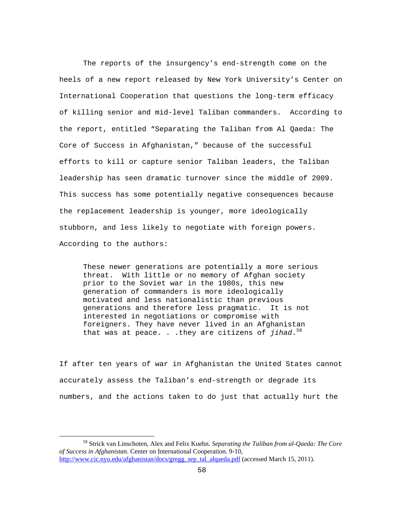The reports of the insurgency's end-strength come on the heels of a new report released by New York University's Center on International Cooperation that questions the long-term efficacy of killing senior and mid-level Taliban commanders. According to the report, entitled "Separating the Taliban from Al Qaeda: The Core of Success in Afghanistan," because of the successful efforts to kill or capture senior Taliban leaders, the Taliban leadership has seen dramatic turnover since the middle of 2009. This success has some potentially negative consequences because the replacement leadership is younger, more ideologically stubborn, and less likely to negotiate with foreign powers. According to the authors:

These newer generations are potentially a more serious threat. With little or no memory of Afghan society prior to the Soviet war in the 1980s, this new generation of commanders is more ideologically motivated and less nationalistic than previous generations and therefore less pragmatic. It is not interested in negotiations or compromise with foreigners. They have never lived in an Afghanistan that was at peace. . .they are citizens of *jihad*.<sup>58</sup>

If after ten years of war in Afghanistan the United States cannot accurately assess the Taliban's end-strength or degrade its numbers, and the actions taken to do just that actually hurt the

58 Strick van Linschoten, Alex and Felix Kuehn. *Separating the Taliban from al-Qaeda: The Core of Success in Afghanistan*. Center on International Cooperation. 9-10, http://www.cic.nyu.edu/afghanistan/docs/gregg\_sep\_tal\_alqaeda.pdf (accessed March 15, 2011).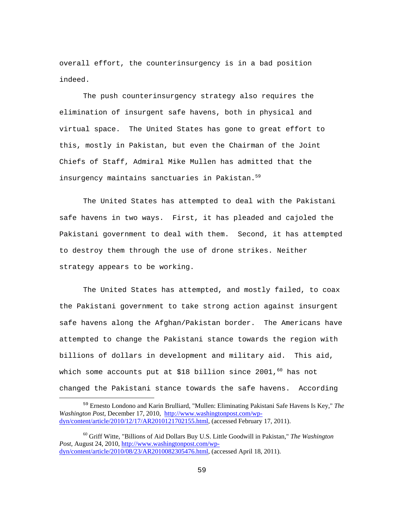overall effort, the counterinsurgency is in a bad position indeed.

The push counterinsurgency strategy also requires the elimination of insurgent safe havens, both in physical and virtual space. The United States has gone to great effort to this, mostly in Pakistan, but even the Chairman of the Joint Chiefs of Staff, Admiral Mike Mullen has admitted that the insurgency maintains sanctuaries in Pakistan.<sup>59</sup>

The United States has attempted to deal with the Pakistani safe havens in two ways. First, it has pleaded and cajoled the Pakistani government to deal with them. Second, it has attempted to destroy them through the use of drone strikes. Neither strategy appears to be working.

The United States has attempted, and mostly failed, to coax the Pakistani government to take strong action against insurgent safe havens along the Afghan/Pakistan border. The Americans have attempted to change the Pakistani stance towards the region with billions of dollars in development and military aid. This aid, which some accounts put at \$18 billion since 2001, $^{60}$  has not changed the Pakistani stance towards the safe havens. According

 <sup>59</sup> Ernesto Londono and Karin Brulliard, "Mullen: Eliminating Pakistani Safe Havens Is Key," *The Washington Post*, December 17, 2010, http://www.washingtonpost.com/wpdyn/content/article/2010/12/17/AR2010121702155.html, (accessed February 17, 2011).

<sup>60</sup> Griff Witte, "Billions of Aid Dollars Buy U.S. Little Goodwill in Pakistan," *The Washington Post*, August 24, 2010, http://www.washingtonpost.com/wpdyn/content/article/2010/08/23/AR2010082305476.html, (accessed April 18, 2011).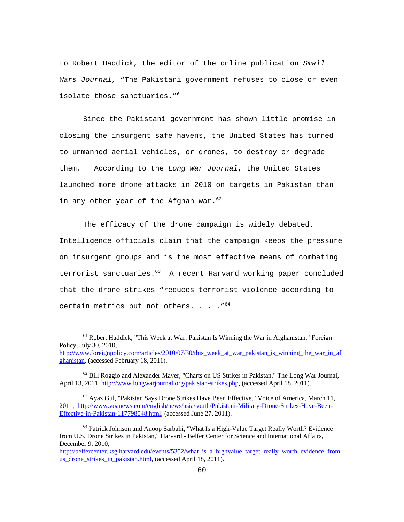to Robert Haddick, the editor of the online publication *Small Wars Journal*, "The Pakistani government refuses to close or even isolate those sanctuaries."<sup>61</sup>

Since the Pakistani government has shown little promise in closing the insurgent safe havens, the United States has turned to unmanned aerial vehicles, or drones, to destroy or degrade them. According to the *Long War Journal*, the United States launched more drone attacks in 2010 on targets in Pakistan than in any other year of the Afghan war. $62$ 

The efficacy of the drone campaign is widely debated. Intelligence officials claim that the campaign keeps the pressure on insurgent groups and is the most effective means of combating terrorist sanctuaries.<sup>63</sup> A recent Harvard working paper concluded that the drone strikes "reduces terrorist violence according to certain metrics but not others. . . . "64

<sup>&</sup>lt;sup>61</sup> Robert Haddick, "This Week at War: Pakistan Is Winning the War in Afghanistan," Foreign Policy, July 30, 2010, http://www.foreignpolicy.com/articles/2010/07/30/this week at war pakistan is winning the war in af

ghanistan, (accessed February 18, 2011).

 $62$  Bill Roggio and Alexander Mayer, "Charts on US Strikes in Pakistan," The Long War Journal, April 13, 2011, http://www.longwarjournal.org/pakistan-strikes.php, (accessed April 18, 2011).

 $^{63}$  Ayaz Gul, "Pakistan Says Drone Strikes Have Been Effective," Voice of America, March 11, 2011, http://www.voanews.com/english/news/asia/south/Pakistani-Military-Drone-Strikes-Have-Been-Effective-in-Pakistan-117798048.html, (accessed June 27, 2011).

<sup>&</sup>lt;sup>64</sup> Patrick Johnson and Anoop Sarbahi, "What Is a High-Value Target Really Worth? Evidence from U.S. Drone Strikes in Pakistan," Harvard - Belfer Center for Science and International Affairs, December 9, 2010,

http://belfercenter.ksg.harvard.edu/events/5352/what\_is\_a\_highvalue\_target\_really\_worth\_evidence\_from\_ us drone strikes in pakistan.html, (accessed April 18, 2011).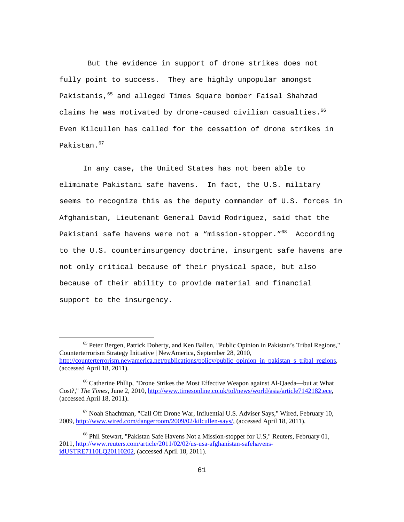But the evidence in support of drone strikes does not fully point to success. They are highly unpopular amongst Pakistanis,<sup>65</sup> and alleged Times Square bomber Faisal Shahzad claims he was motivated by drone-caused civilian casualties.<sup>66</sup> Even Kilcullen has called for the cessation of drone strikes in Pakistan.<sup>67</sup>

In any case, the United States has not been able to eliminate Pakistani safe havens. In fact, the U.S. military seems to recognize this as the deputy commander of U.S. forces in Afghanistan, Lieutenant General David Rodriguez, said that the Pakistani safe havens were not a "mission-stopper."<sup>68</sup> According to the U.S. counterinsurgency doctrine, insurgent safe havens are not only critical because of their physical space, but also because of their ability to provide material and financial support to the insurgency.

<sup>&</sup>lt;sup>65</sup> Peter Bergen, Patrick Doherty, and Ken Ballen, "Public Opinion in Pakistan's Tribal Regions," Counterterrorism Strategy Initiative | NewAmerica, September 28, 2010, http://counterterrorism.newamerica.net/publications/policy/public\_opinion\_in\_pakistan\_s\_tribal\_regions, (accessed April 18, 2011).

<sup>66</sup> Catherine Phllip, "Drone Strikes the Most Effective Weapon against Al-Qaeda—but at What Cost?," *The Times*, June 2, 2010, http://www.timesonline.co.uk/tol/news/world/asia/article7142182.ece, (accessed April 18, 2011).

<sup>67</sup> Noah Shachtman, "Call Off Drone War, Influential U.S. Adviser Says," Wired, February 10, 2009, http://www.wired.com/dangerroom/2009/02/kilcullen-says/, (accessed April 18, 2011).

 $68$  Phil Stewart, "Pakistan Safe Havens Not a Mission-stopper for U.S," Reuters, February 01, 2011, http://www.reuters.com/article/2011/02/02/us-usa-afghanistan-safehavensidUSTRE7110LQ20110202, (accessed April 18, 2011).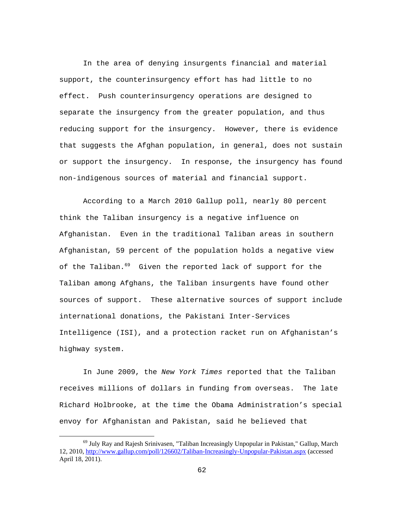In the area of denying insurgents financial and material support, the counterinsurgency effort has had little to no effect. Push counterinsurgency operations are designed to separate the insurgency from the greater population, and thus reducing support for the insurgency. However, there is evidence that suggests the Afghan population, in general, does not sustain or support the insurgency. In response, the insurgency has found non-indigenous sources of material and financial support.

According to a March 2010 Gallup poll, nearly 80 percent think the Taliban insurgency is a negative influence on Afghanistan. Even in the traditional Taliban areas in southern Afghanistan, 59 percent of the population holds a negative view of the Taliban.<sup>69</sup> Given the reported lack of support for the Taliban among Afghans, the Taliban insurgents have found other sources of support. These alternative sources of support include international donations, the Pakistani Inter-Services Intelligence (ISI), and a protection racket run on Afghanistan's highway system.

In June 2009, the *New York Times* reported that the Taliban receives millions of dollars in funding from overseas. The late Richard Holbrooke, at the time the Obama Administration's special envoy for Afghanistan and Pakistan, said he believed that

<sup>&</sup>lt;sup>69</sup> July Ray and Rajesh Srinivasen, "Taliban Increasingly Unpopular in Pakistan," Gallup, March 12, 2010, http://www.gallup.com/poll/126602/Taliban-Increasingly-Unpopular-Pakistan.aspx (accessed April 18, 2011).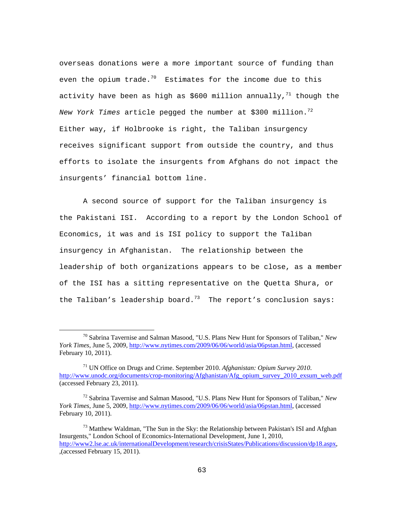overseas donations were a more important source of funding than even the opium trade. $70$  Estimates for the income due to this activity have been as high as \$600 million annually,  $71$  though the *New York Times* article pegged the number at \$300 million.<sup>72</sup> Either way, if Holbrooke is right, the Taliban insurgency receives significant support from outside the country, and thus efforts to isolate the insurgents from Afghans do not impact the insurgents' financial bottom line.

A second source of support for the Taliban insurgency is the Pakistani ISI. According to a report by the London School of Economics, it was and is ISI policy to support the Taliban insurgency in Afghanistan. The relationship between the leadership of both organizations appears to be close, as a member of the ISI has a sitting representative on the Quetta Shura, or the Taliban's leadership board.<sup>73</sup> The report's conclusion says:

70 Sabrina Tavernise and Salman Masood, "U.S. Plans New Hunt for Sponsors of Taliban," *New York Times*, June 5, 2009, http://www.nytimes.com/2009/06/06/world/asia/06pstan.html, (accessed February 10, 2011).

<sup>71</sup> UN Office on Drugs and Crime. September 2010. *Afghanistan: Opium Survey 2010*. http://www.unodc.org/documents/crop-monitoring/Afghanistan/Afg\_opium\_survey\_2010\_exsum\_web.pdf (accessed February 23, 2011).

<sup>72</sup> Sabrina Tavernise and Salman Masood, "U.S. Plans New Hunt for Sponsors of Taliban," *New York Times*, June 5, 2009, http://www.nytimes.com/2009/06/06/world/asia/06pstan.html, (accessed February 10, 2011).

 $^{73}$  Matthew Waldman, "The Sun in the Sky: the Relationship between Pakistan's ISI and Afghan Insurgents," London School of Economics-International Development, June 1, 2010, http://www2.lse.ac.uk/internationalDevelopment/research/crisisStates/Publications/discussion/dp18.aspx, ,(accessed February 15, 2011).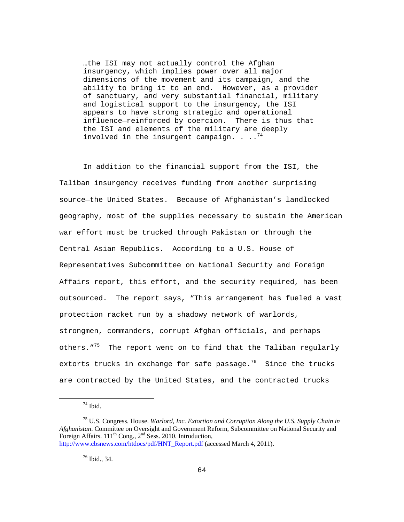…the ISI may not actually control the Afghan insurgency, which implies power over all major dimensions of the movement and its campaign, and the ability to bring it to an end. However, as a provider of sanctuary, and very substantial financial, military and logistical support to the insurgency, the ISI appears to have strong strategic and operational influence—reinforced by coercion. There is thus that the ISI and elements of the military are deeply involved in the insurgent campaign. . .  $^{74}$ 

In addition to the financial support from the ISI, the Taliban insurgency receives funding from another surprising source—the United States. Because of Afghanistan's landlocked geography, most of the supplies necessary to sustain the American war effort must be trucked through Pakistan or through the Central Asian Republics. According to a U.S. House of Representatives Subcommittee on National Security and Foreign Affairs report, this effort, and the security required, has been outsourced. The report says, "This arrangement has fueled a vast protection racket run by a shadowy network of warlords, strongmen, commanders, corrupt Afghan officials, and perhaps others."<sup>75</sup> The report went on to find that the Taliban regularly extorts trucks in exchange for safe passage.<sup>76</sup> Since the trucks are contracted by the United States, and the contracted trucks

 $74$  Ibid.

76 Ibid., 34.

<sup>75</sup> U.S. Congress. House. *Warlord, Inc. Extortion and Corruption Along the U.S. Supply Chain in Afghanistan*. Committee on Oversight and Government Reform, Subcommittee on National Security and Foreign Affairs.  $111^{th}$  Cong.,  $2^{nd}$  Sess. 2010. Introduction, http://www.cbsnews.com/htdocs/pdf/HNT\_Report.pdf (accessed March 4, 2011).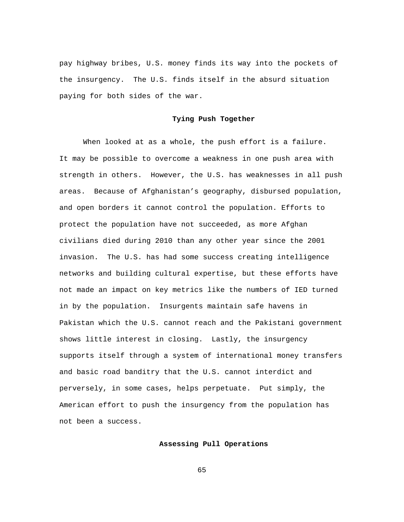pay highway bribes, U.S. money finds its way into the pockets of the insurgency. The U.S. finds itself in the absurd situation paying for both sides of the war.

## **Tying Push Together**

When looked at as a whole, the push effort is a failure. It may be possible to overcome a weakness in one push area with strength in others. However, the U.S. has weaknesses in all push areas. Because of Afghanistan's geography, disbursed population, and open borders it cannot control the population. Efforts to protect the population have not succeeded, as more Afghan civilians died during 2010 than any other year since the 2001 invasion. The U.S. has had some success creating intelligence networks and building cultural expertise, but these efforts have not made an impact on key metrics like the numbers of IED turned in by the population. Insurgents maintain safe havens in Pakistan which the U.S. cannot reach and the Pakistani government shows little interest in closing. Lastly, the insurgency supports itself through a system of international money transfers and basic road banditry that the U.S. cannot interdict and perversely, in some cases, helps perpetuate. Put simply, the American effort to push the insurgency from the population has not been a success.

### **Assessing Pull Operations**

65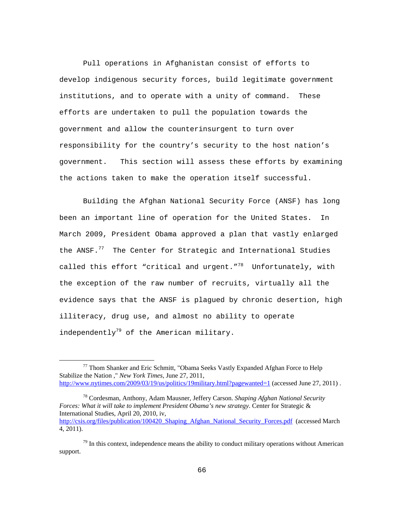Pull operations in Afghanistan consist of efforts to develop indigenous security forces, build legitimate government institutions, and to operate with a unity of command. These efforts are undertaken to pull the population towards the government and allow the counterinsurgent to turn over responsibility for the country's security to the host nation's government. This section will assess these efforts by examining the actions taken to make the operation itself successful.

Building the Afghan National Security Force (ANSF) has long been an important line of operation for the United States. In March 2009, President Obama approved a plan that vastly enlarged the ANSF.<sup>77</sup> The Center for Strategic and International Studies called this effort "critical and urgent."<sup>78</sup> Unfortunately, with the exception of the raw number of recruits, virtually all the evidence says that the ANSF is plagued by chronic desertion, high illiteracy, drug use, and almost no ability to operate independently<sup>79</sup> of the American military.

78 Cordesman, Anthony, Adam Mausner, Jeffery Carson. *Shaping Afghan National Security Forces: What it will take to implement President Obama's new strategy*. Center for Strategic & International Studies, April 20, 2010, iv, http://csis.org/files/publication/100420\_Shaping\_Afghan\_National\_Security\_Forces.pdf (accessed March 4, 2011).

 $77$  Thom Shanker and Eric Schmitt, "Obama Seeks Vastly Expanded Afghan Force to Help Stabilize the Nation ," *New York Times*, June 27, 2011, http://www.nytimes.com/2009/03/19/us/politics/19military.html?pagewanted=1 (accessed June 27, 2011).

 $<sup>79</sup>$  In this context, independence means the ability to conduct military operations without American</sup> support.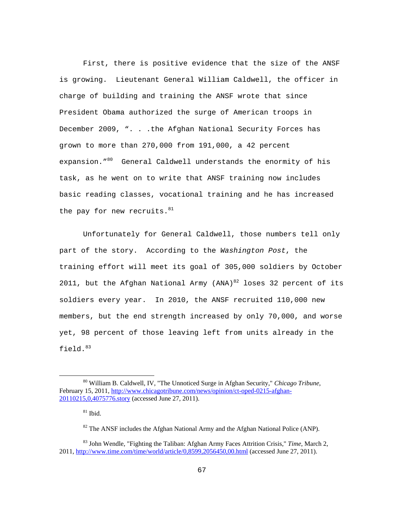First, there is positive evidence that the size of the ANSF is growing. Lieutenant General William Caldwell, the officer in charge of building and training the ANSF wrote that since President Obama authorized the surge of American troops in December 2009, ". . .the Afghan National Security Forces has grown to more than 270,000 from 191,000, a 42 percent expansion."<sup>80</sup> General Caldwell understands the enormity of his task, as he went on to write that ANSF training now includes basic reading classes, vocational training and he has increased the pay for new recruits.  $81$ 

Unfortunately for General Caldwell, those numbers tell only part of the story. According to the *Washington Post*, the training effort will meet its goal of 305,000 soldiers by October 2011, but the Afghan National Army  $(ANA)^{82}$  loses 32 percent of its soldiers every year. In 2010, the ANSF recruited 110,000 new members, but the end strength increased by only 70,000, and worse yet, 98 percent of those leaving left from units already in the field. $83$ 

80 William B. Caldwell, IV, "The Unnoticed Surge in Afghan Security," *Chicago Tribune*, February 15, 2011, http://www.chicagotribune.com/news/opinion/ct-oped-0215-afghan-20110215,0,4075776.story (accessed June 27, 2011).

 $81$  Ibid.

 $82$  The ANSF includes the Afghan National Army and the Afghan National Police (ANP).

<sup>83</sup> John Wendle, "Fighting the Taliban: Afghan Army Faces Attrition Crisis," *Time*, March 2, 2011, http://www.time.com/time/world/article/0,8599,2056450,00.html (accessed June 27, 2011).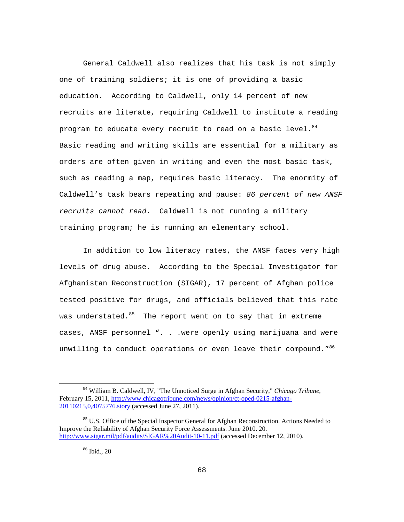General Caldwell also realizes that his task is not simply one of training soldiers; it is one of providing a basic education. According to Caldwell, only 14 percent of new recruits are literate, requiring Caldwell to institute a reading program to educate every recruit to read on a basic level.<sup>84</sup> Basic reading and writing skills are essential for a military as orders are often given in writing and even the most basic task, such as reading a map, requires basic literacy. The enormity of Caldwell's task bears repeating and pause: *86 percent of new ANSF recruits cannot read*. Caldwell is not running a military training program; he is running an elementary school.

In addition to low literacy rates, the ANSF faces very high levels of drug abuse. According to the Special Investigator for Afghanistan Reconstruction (SIGAR), 17 percent of Afghan police tested positive for drugs, and officials believed that this rate was understated.<sup>85</sup> The report went on to say that in extreme cases, ANSF personnel ". . .were openly using marijuana and were unwilling to conduct operations or even leave their compound."<sup>86</sup>

84 William B. Caldwell, IV, "The Unnoticed Surge in Afghan Security," *Chicago Tribune*, February 15, 2011, http://www.chicagotribune.com/news/opinion/ct-oped-0215-afghan-20110215,0,4075776.story (accessed June 27, 2011).

<sup>&</sup>lt;sup>85</sup> U.S. Office of the Special Inspector General for Afghan Reconstruction. Actions Needed to Improve the Reliability of Afghan Security Force Assessments. June 2010. 20. http://www.sigar.mil/pdf/audits/SIGAR%20Audit-10-11.pdf (accessed December 12, 2010).

<sup>86</sup> Ibid., 20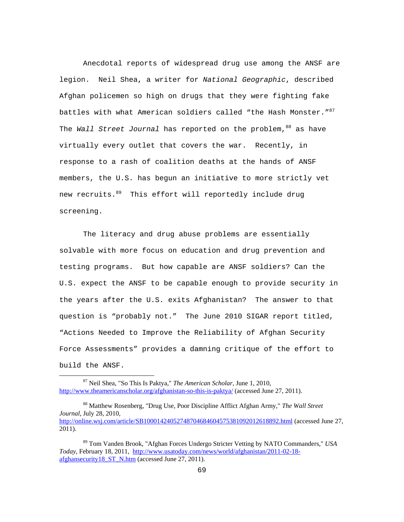Anecdotal reports of widespread drug use among the ANSF are legion. Neil Shea, a writer for *National Geographic*, described Afghan policemen so high on drugs that they were fighting fake battles with what American soldiers called "the Hash Monster."<sup>87</sup> The *Wall Street Journal* has reported on the problem,  $88$  as have virtually every outlet that covers the war. Recently, in response to a rash of coalition deaths at the hands of ANSF members, the U.S. has begun an initiative to more strictly vet new recruits.<sup>89</sup> This effort will reportedly include drug screening.

The literacy and drug abuse problems are essentially solvable with more focus on education and drug prevention and testing programs. But how capable are ANSF soldiers? Can the U.S. expect the ANSF to be capable enough to provide security in the years after the U.S. exits Afghanistan? The answer to that question is "probably not." The June 2010 SIGAR report titled, "Actions Needed to Improve the Reliability of Afghan Security Force Assessments" provides a damning critique of the effort to build the ANSF.

88 Matthew Rosenberg, "Drug Use, Poor Discipline Afflict Afghan Army," *The Wall Street Journal*, July 28, 2010, http://online.wsj.com/article/SB10001424052748704684604575381092012618892.html (accessed June 27, 2011).

87 Neil Shea, "So This Is Paktya," *The American Scholar*, June 1, 2010, http://www.theamericanscholar.org/afghanistan-so-this-is-paktya/ (accessed June 27, 2011).

<sup>89</sup> Tom Vanden Brook, "Afghan Forces Undergo Stricter Vetting by NATO Commanders," *USA Today*, February 18, 2011, http://www.usatoday.com/news/world/afghanistan/2011-02-18 afghansecurity18 ST\_N.htm (accessed June 27, 2011).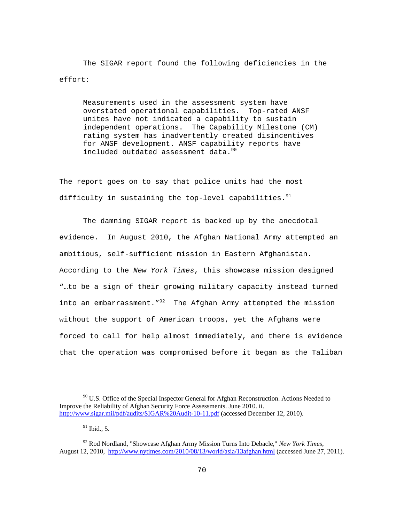The SIGAR report found the following deficiencies in the effort:

Measurements used in the assessment system have overstated operational capabilities. Top-rated ANSF unites have not indicated a capability to sustain independent operations. The Capability Milestone (CM) rating system has inadvertently created disincentives for ANSF development. ANSF capability reports have included outdated assessment data.<sup>90</sup>

The report goes on to say that police units had the most difficulty in sustaining the top-level capabilities. $91$ 

The damning SIGAR report is backed up by the anecdotal evidence. In August 2010, the Afghan National Army attempted an ambitious, self-sufficient mission in Eastern Afghanistan. According to the *New York Times*, this showcase mission designed "…to be a sign of their growing military capacity instead turned into an embarrassment."<sup>92</sup> The Afghan Army attempted the mission without the support of American troops, yet the Afghans were forced to call for help almost immediately, and there is evidence that the operation was compromised before it began as the Taliban

<sup>&</sup>lt;sup>90</sup> U.S. Office of the Special Inspector General for Afghan Reconstruction. Actions Needed to Improve the Reliability of Afghan Security Force Assessments. June 2010. ii. http://www.sigar.mil/pdf/audits/SIGAR%20Audit-10-11.pdf (accessed December 12, 2010).

 $91$  Ibid., 5.

<sup>92</sup> Rod Nordland, "Showcase Afghan Army Mission Turns Into Debacle," *New York Times*, August 12, 2010, http://www.nytimes.com/2010/08/13/world/asia/13afghan.html (accessed June 27, 2011).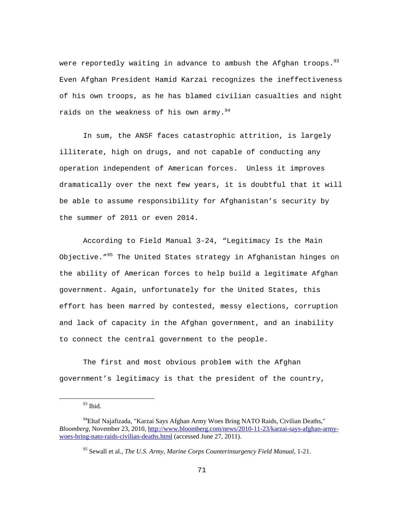were reportedly waiting in advance to ambush the Afghan troops.<sup>93</sup> Even Afghan President Hamid Karzai recognizes the ineffectiveness of his own troops, as he has blamed civilian casualties and night raids on the weakness of his own army.  $94$ 

In sum, the ANSF faces catastrophic attrition, is largely illiterate, high on drugs, and not capable of conducting any operation independent of American forces. Unless it improves dramatically over the next few years, it is doubtful that it will be able to assume responsibility for Afghanistan's security by the summer of 2011 or even 2014.

According to Field Manual 3-24, "Legitimacy Is the Main Objective."<sup>95</sup> The United States strategy in Afghanistan hinges on the ability of American forces to help build a legitimate Afghan government. Again, unfortunately for the United States, this effort has been marred by contested, messy elections, corruption and lack of capacity in the Afghan government, and an inability to connect the central government to the people.

The first and most obvious problem with the Afghan government's legitimacy is that the president of the country,

 $93$  Ibid.

<sup>&</sup>lt;sup>94</sup>Eltaf Najafizada, "Karzai Says Afghan Army Woes Bring NATO Raids, Civilian Deaths," *Bloomberg*, November 23, 2010, http://www.bloomberg.com/news/2010-11-23/karzai-says-afghan-armywoes-bring-nato-raids-civilian-deaths.html (accessed June 27, 2011).

<sup>95</sup> Sewall et al., *The U.S. Army, Marine Corps Counterinsurgency Field Manual,* 1-21.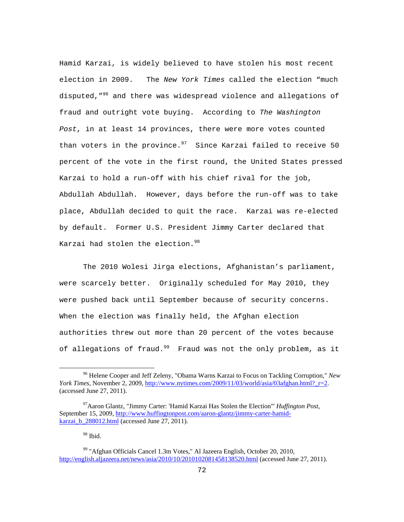Hamid Karzai, is widely believed to have stolen his most recent election in 2009. The *New York Times* called the election "much disputed, "<sup>96</sup> and there was widespread violence and allegations of fraud and outright vote buying. According to *The Washington Post*, in at least 14 provinces, there were more votes counted than voters in the province. $97$  Since Karzai failed to receive 50 percent of the vote in the first round, the United States pressed Karzai to hold a run-off with his chief rival for the job, Abdullah Abdullah. However, days before the run-off was to take place, Abdullah decided to quit the race. Karzai was re-elected by default. Former U.S. President Jimmy Carter declared that Karzai had stolen the election. 98

The 2010 Wolesi Jirga elections, Afghanistan's parliament, were scarcely better. Originally scheduled for May 2010, they were pushed back until September because of security concerns. When the election was finally held, the Afghan election authorities threw out more than 20 percent of the votes because of allegations of fraud.<sup>99</sup> Fraud was not the only problem, as it

98 Ibid.

96 Helene Cooper and Jeff Zeleny, "Obama Warns Karzai to Focus on Tackling Corruption," *New York Times*, November 2, 2009, http://www.nytimes.com/2009/11/03/world/asia/03afghan.html? r=2. (accessed June 27, 2011).

<sup>97</sup>Aaron Glantz, "Jimmy Carter: 'Hamid Karzai Has Stolen the Election'" *Huffington Post*, September 15, 2009, http://www.huffingtonpost.com/aaron-glantz/jimmy-carter-hamidkarzai b 288012.html (accessed June 27, 2011).

<sup>&</sup>lt;sup>99</sup> "Afghan Officials Cancel 1.3m Votes," Al Jazeera English, October 20, 2010, http://english.aljazeera.net/news/asia/2010/10/2010102081458138520.html (accessed June 27, 2011).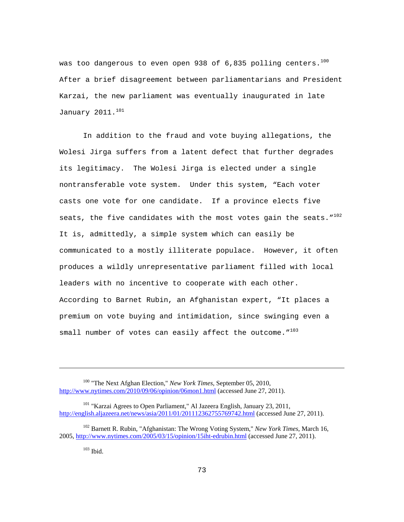was too dangerous to even open 938 of 6,835 polling centers.<sup>100</sup> After a brief disagreement between parliamentarians and President Karzai, the new parliament was eventually inaugurated in late January 2011.<sup>101</sup>

In addition to the fraud and vote buying allegations, the Wolesi Jirga suffers from a latent defect that further degrades its legitimacy. The Wolesi Jirga is elected under a single nontransferable vote system. Under this system, "Each voter casts one vote for one candidate. If a province elects five seats, the five candidates with the most votes gain the seats.  $''^{102}$ It is, admittedly, a simple system which can easily be communicated to a mostly illiterate populace. However, it often produces a wildly unrepresentative parliament filled with local leaders with no incentive to cooperate with each other. According to Barnet Rubin, an Afghanistan expert, "It places a premium on vote buying and intimidation, since swinging even a small number of votes can easily affect the outcome."<sup>103</sup>

L,

<sup>100 &</sup>quot;The Next Afghan Election," *New York Times*, September 05, 2010, http://www.nytimes.com/2010/09/06/opinion/06mon1.html (accessed June 27, 2011).

<sup>&</sup>lt;sup>101</sup> "Karzai Agrees to Open Parliament," Al Jazeera English, January 23, 2011, http://english.aljazeera.net/news/asia/2011/01/201112362755769742.html (accessed June 27, 2011).

<sup>102</sup> Barnett R. Rubin, "Afghanistan: The Wrong Voting System," *New York Times*, March 16, 2005, http://www.nytimes.com/2005/03/15/opinion/15iht-edrubin.html (accessed June 27, 2011).

 $103$  Ibid.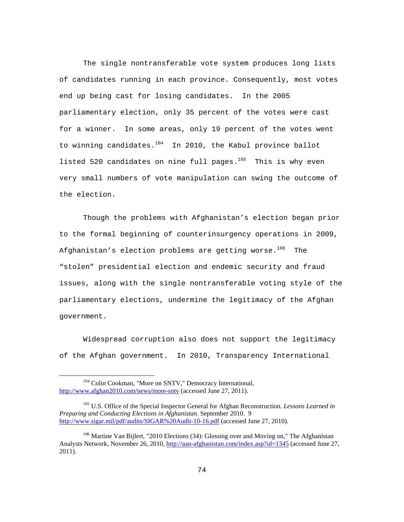The single nontransferable vote system produces long lists of candidates running in each province. Consequently, most votes end up being cast for losing candidates. In the 2005 parliamentary election, only 35 percent of the votes were cast for a winner. In some areas, only 19 percent of the votes went to winning candidates. $104$  In 2010, the Kabul province ballot listed 520 candidates on nine full pages. $105$  This is why even very small numbers of vote manipulation can swing the outcome of the election.

Though the problems with Afghanistan's election began prior to the formal beginning of counterinsurgency operations in 2009, Afghanistan's election problems are getting worse.<sup>106</sup> The "stolen" presidential election and endemic security and fraud issues, along with the single nontransferable voting style of the parliamentary elections, undermine the legitimacy of the Afghan government.

Widespread corruption also does not support the legitimacy of the Afghan government. In 2010, Transparency International

<sup>&</sup>lt;sup>104</sup> Colin Cookman, "More on SNTV," Democracy International, http://www.afghan2010.com/news/more-snty (accessed June 27, 2011).

<sup>105</sup> U.S. Office of the Special Inspector General for Afghan Reconstruction. *Lessons Learned in Preparing and Conducting Elections in Afghanistan*. September 2010. 9 http://www.sigar.mil/pdf/audits/SIGAR%20Audit-10-16.pdf (accessed June 27, 2010).

<sup>&</sup>lt;sup>106</sup> Martine Van Bijlert, "2010 Elections (34): Glossing over and Moving on," The Afghanistan Analysts Network, November 26, 2010, http://aan-afghanistan.com/index.asp?id=1345 (accessed June 27, 2011).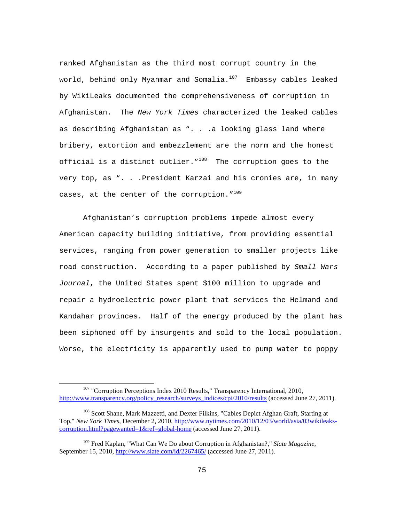ranked Afghanistan as the third most corrupt country in the world, behind only Myanmar and Somalia.<sup>107</sup> Embassy cables leaked by WikiLeaks documented the comprehensiveness of corruption in Afghanistan. The *New York Times* characterized the leaked cables as describing Afghanistan as ". . .a looking glass land where bribery, extortion and embezzlement are the norm and the honest official is a distinct outlier. $108$  The corruption goes to the very top, as ". . .President Karzai and his cronies are, in many cases, at the center of the corruption.  $''^{109}$ 

Afghanistan's corruption problems impede almost every American capacity building initiative, from providing essential services, ranging from power generation to smaller projects like road construction. According to a paper published by *Small Wars Journal*, the United States spent \$100 million to upgrade and repair a hydroelectric power plant that services the Helmand and Kandahar provinces. Half of the energy produced by the plant has been siphoned off by insurgents and sold to the local population. Worse, the electricity is apparently used to pump water to poppy

<sup>&</sup>lt;sup>107</sup> "Corruption Perceptions Index 2010 Results," Transparency International, 2010, http://www.transparency.org/policy\_research/surveys\_indices/cpi/2010/results (accessed June 27, 2011).

<sup>&</sup>lt;sup>108</sup> Scott Shane, Mark Mazzetti, and Dexter Filkins, "Cables Depict Afghan Graft, Starting at Top," *New York Times*, December 2, 2010, http://www.nytimes.com/2010/12/03/world/asia/03wikileakscorruption.html?pagewanted=1&ref=global-home (accessed June 27, 2011).

<sup>109</sup> Fred Kaplan, "What Can We Do about Corruption in Afghanistan?," *Slate Magazine*, September 15, 2010, http://www.slate.com/id/2267465/ (accessed June 27, 2011).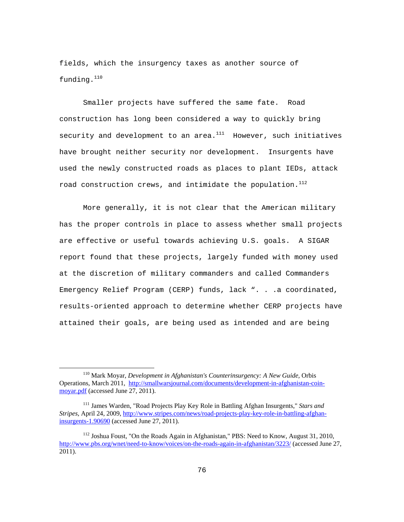fields, which the insurgency taxes as another source of funding.<sup>110</sup>

Smaller projects have suffered the same fate. Road construction has long been considered a way to quickly bring security and development to an area. $111$  However, such initiatives have brought neither security nor development. Insurgents have used the newly constructed roads as places to plant IEDs, attack road construction crews, and intimidate the population. $^{112}$ 

More generally, it is not clear that the American military has the proper controls in place to assess whether small projects are effective or useful towards achieving U.S. goals. A SIGAR report found that these projects, largely funded with money used at the discretion of military commanders and called Commanders Emergency Relief Program (CERP) funds, lack ". . .a coordinated, results-oriented approach to determine whether CERP projects have attained their goals, are being used as intended and are being

110 Mark Moyar, *Development in Afghanistan's Counterinsurgency: A New Guide,* Orbis Operations, March 2011, http://smallwarsjournal.com/documents/development-in-afghanistan-coinmoyar.pdf (accessed June 27, 2011).

<sup>111</sup> James Warden, "Road Projects Play Key Role in Battling Afghan Insurgents," *Stars and Stripes*, April 24, 2009, http://www.stripes.com/news/road-projects-play-key-role-in-battling-afghaninsurgents-1.90690 (accessed June 27, 2011).

<sup>&</sup>lt;sup>112</sup> Joshua Foust, "On the Roads Again in Afghanistan," PBS: Need to Know, August 31, 2010, http://www.pbs.org/wnet/need-to-know/voices/on-the-roads-again-in-afghanistan/3223/ (accessed June 27, 2011).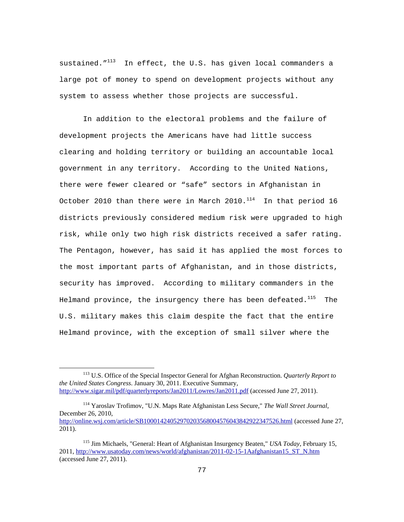sustained. $113$  In effect, the U.S. has given local commanders a large pot of money to spend on development projects without any system to assess whether those projects are successful.

In addition to the electoral problems and the failure of development projects the Americans have had little success clearing and holding territory or building an accountable local government in any territory. According to the United Nations, there were fewer cleared or "safe" sectors in Afghanistan in October 2010 than there were in March 2010. $114$  In that period 16 districts previously considered medium risk were upgraded to high risk, while only two high risk districts received a safer rating. The Pentagon, however, has said it has applied the most forces to the most important parts of Afghanistan, and in those districts, security has improved. According to military commanders in the Helmand province, the insurgency there has been defeated.<sup>115</sup> The U.S. military makes this claim despite the fact that the entire Helmand province, with the exception of small silver where the

114 Yaroslav Trofimov, "U.N. Maps Rate Afghanistan Less Secure," *The Wall Street Journal*, December 26, 2010, http://online.wsj.com/article/SB10001424052970203568004576043842922347526.html (accessed June 27, 2011).

113 U.S. Office of the Special Inspector General for Afghan Reconstruction. *Quarterly Report to the United States Congress*. January 30, 2011. Executive Summary, http://www.sigar.mil/pdf/quarterlyreports/Jan2011/Lowres/Jan2011.pdf (accessed June 27, 2011).

<sup>115</sup> Jim Michaels, "General: Heart of Afghanistan Insurgency Beaten," *USA Today*, February 15, 2011, http://www.usatoday.com/news/world/afghanistan/2011-02-15-1Aafghanistan15\_ST\_N.htm (accessed June 27, 2011).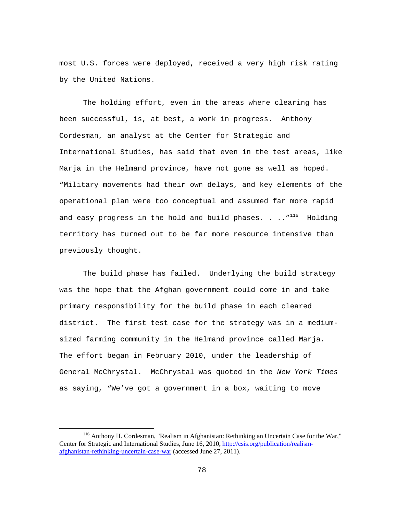most U.S. forces were deployed, received a very high risk rating by the United Nations.

The holding effort, even in the areas where clearing has been successful, is, at best, a work in progress. Anthony Cordesman, an analyst at the Center for Strategic and International Studies, has said that even in the test areas, like Marja in the Helmand province, have not gone as well as hoped. "Military movements had their own delays, and key elements of the operational plan were too conceptual and assumed far more rapid and easy progress in the hold and build phases.  $\ldots$  "<sup>116</sup> Holding territory has turned out to be far more resource intensive than previously thought.

The build phase has failed. Underlying the build strategy was the hope that the Afghan government could come in and take primary responsibility for the build phase in each cleared district. The first test case for the strategy was in a mediumsized farming community in the Helmand province called Marja. The effort began in February 2010, under the leadership of General McChrystal. McChrystal was quoted in the *New York Times* as saying, "We've got a government in a box, waiting to move

116 Anthony H. Cordesman, "Realism in Afghanistan: Rethinking an Uncertain Case for the War," Center for Strategic and International Studies, June 16, 2010, http://csis.org/publication/realismafghanistan-rethinking-uncertain-case-war (accessed June 27, 2011).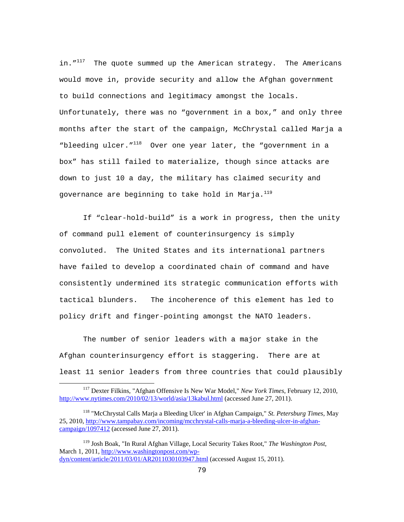in. $117$  The quote summed up the American strategy. The Americans would move in, provide security and allow the Afghan government to build connections and legitimacy amongst the locals. Unfortunately, there was no "government in a box," and only three months after the start of the campaign, McChrystal called Marja a "bleeding ulcer."<sup>118</sup> Over one year later, the "government in a box" has still failed to materialize, though since attacks are down to just 10 a day, the military has claimed security and governance are beginning to take hold in Marja. $^{119}$ 

If "clear-hold-build" is a work in progress, then the unity of command pull element of counterinsurgency is simply convoluted. The United States and its international partners have failed to develop a coordinated chain of command and have consistently undermined its strategic communication efforts with tactical blunders. The incoherence of this element has led to policy drift and finger-pointing amongst the NATO leaders.

The number of senior leaders with a major stake in the Afghan counterinsurgency effort is staggering. There are at least 11 senior leaders from three countries that could plausibly

117 Dexter Filkins, "Afghan Offensive Is New War Model," *New York Times*, February 12, 2010, http://www.nytimes.com/2010/02/13/world/asia/13kabul.html (accessed June 27, 2011).

<sup>118 &</sup>quot;McChrystal Calls Marja a Bleeding Ulcer' in Afghan Campaign," *St. Petersburg Times*, May 25, 2010, http://www.tampabay.com/incoming/mcchrystal-calls-marja-a-bleeding-ulcer-in-afghancampaign/1097412 (accessed June 27, 2011).

<sup>119</sup> Josh Boak, "In Rural Afghan Village, Local Security Takes Root," *The Washington Post*, March 1, 2011, http://www.washingtonpost.com/wpdyn/content/article/2011/03/01/AR2011030103947.html (accessed August 15, 2011).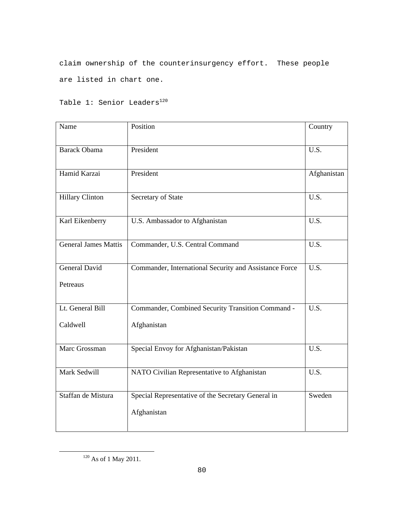claim ownership of the counterinsurgency effort. These people are listed in chart one.

Table 1: Senior Leaders<sup>120</sup>

| Name                         | Position                                                          | Country           |
|------------------------------|-------------------------------------------------------------------|-------------------|
| <b>Barack Obama</b>          | President                                                         | $\overline{U.S.}$ |
| Hamid Karzai                 | President                                                         | Afghanistan       |
| <b>Hillary Clinton</b>       | Secretary of State                                                | U.S.              |
| Karl Eikenberry              | U.S. Ambassador to Afghanistan                                    | U.S.              |
| <b>General James Mattis</b>  | Commander, U.S. Central Command                                   | $\overline{U.S.}$ |
| General David<br>Petreaus    | Commander, International Security and Assistance Force            | U.S.              |
| Lt. General Bill<br>Caldwell | Commander, Combined Security Transition Command -<br>Afghanistan  | U.S.              |
| Marc Grossman                | Special Envoy for Afghanistan/Pakistan                            | U.S.              |
| Mark Sedwill                 | NATO Civilian Representative to Afghanistan                       | U.S.              |
| Staffan de Mistura           | Special Representative of the Secretary General in<br>Afghanistan | Sweden            |

 $\frac{120}{\text{As of 1 May 2011.}}$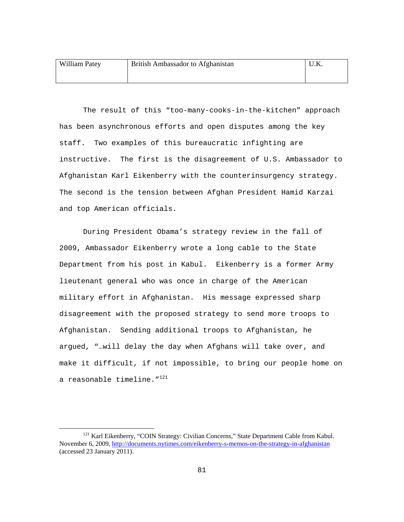| William Patey | British Ambassador to Afghanistan | U.N. |
|---------------|-----------------------------------|------|
|               |                                   |      |

The result of this "too-many-cooks-in-the-kitchen" approach has been asynchronous efforts and open disputes among the key staff. Two examples of this bureaucratic infighting are instructive. The first is the disagreement of U.S. Ambassador to Afghanistan Karl Eikenberry with the counterinsurgency strategy. The second is the tension between Afghan President Hamid Karzai and top American officials.

During President Obama's strategy review in the fall of 2009, Ambassador Eikenberry wrote a long cable to the State Department from his post in Kabul. Eikenberry is a former Army lieutenant general who was once in charge of the American military effort in Afghanistan. His message expressed sharp disagreement with the proposed strategy to send more troops to Afghanistan. Sending additional troops to Afghanistan, he argued, "…will delay the day when Afghans will take over, and make it difficult, if not impossible, to bring our people home on a reasonable timeline."<sup>121</sup>

<sup>&</sup>lt;sup>121</sup> Karl Eikenberry, "COIN Strategy: Civilian Concerns," State Department Cable from Kabul. November 6, 2009, http://documents.nytimes.com/eikenberry-s-memos-on-the-strategy-in-afghanistan (accessed 23 January 2011).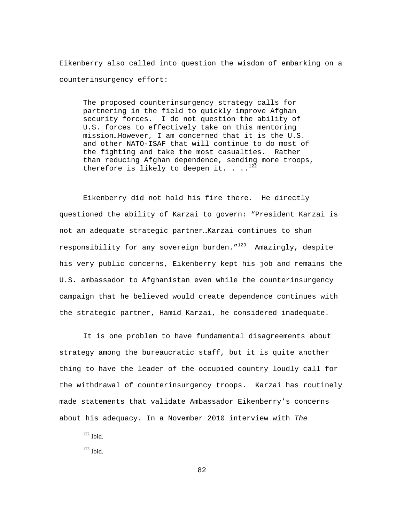Eikenberry also called into question the wisdom of embarking on a counterinsurgency effort:

The proposed counterinsurgency strategy calls for partnering in the field to quickly improve Afghan security forces. I do not question the ability of U.S. forces to effectively take on this mentoring mission…However, I am concerned that it is the U.S. and other NATO-ISAF that will continue to do most of the fighting and take the most casualties. Rather than reducing Afghan dependence, sending more troops, therefore is likely to deepen it. . .  $^{122}$ 

Eikenberry did not hold his fire there. He directly questioned the ability of Karzai to govern: "President Karzai is not an adequate strategic partner…Karzai continues to shun responsibility for any sovereign burden.  $123$  Amazingly, despite his very public concerns, Eikenberry kept his job and remains the U.S. ambassador to Afghanistan even while the counterinsurgency campaign that he believed would create dependence continues with the strategic partner, Hamid Karzai, he considered inadequate.

It is one problem to have fundamental disagreements about strategy among the bureaucratic staff, but it is quite another thing to have the leader of the occupied country loudly call for the withdrawal of counterinsurgency troops. Karzai has routinely made statements that validate Ambassador Eikenberry's concerns about his adequacy. In a November 2010 interview with *The*

122 Ibid.

 $123$  Ibid.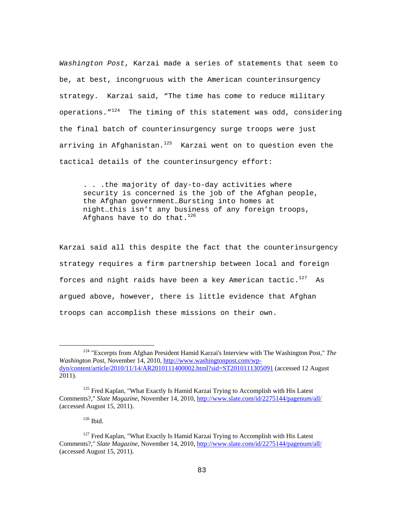*Washington Post*, Karzai made a series of statements that seem to be, at best, incongruous with the American counterinsurgency strategy. Karzai said, "The time has come to reduce military operations."124 The timing of this statement was odd, considering the final batch of counterinsurgency surge troops were just arriving in Afghanistan.<sup>125</sup> Karzai went on to question even the tactical details of the counterinsurgency effort:

. . .the majority of day-to-day activities where security is concerned is the job of the Afghan people, the Afghan government…Bursting into homes at night…this isn't any business of any foreign troops, Afghans have to do that.<sup>126</sup>

Karzai said all this despite the fact that the counterinsurgency strategy requires a firm partnership between local and foreign forces and night raids have been a key American tactic. $127$  As argued above, however, there is little evidence that Afghan troops can accomplish these missions on their own.

126 Ibid.

124 "Excerpts from Afghan President Hamid Karzai's Interview with The Washington Post," *The Washington Post*, November 14, 2010, http://www.washingtonpost.com/wpdyn/content/article/2010/11/14/AR2010111400002.html?sid=ST2010111305091 (accessed 12 August 2011).

<sup>&</sup>lt;sup>125</sup> Fred Kaplan, "What Exactly Is Hamid Karzai Trying to Accomplish with His Latest Comments?," *Slate Magazine*, November 14, 2010, http://www.slate.com/id/2275144/pagenum/all/ (accessed August 15, 2011).

 $127$  Fred Kaplan, "What Exactly Is Hamid Karzai Trying to Accomplish with His Latest Comments?," *Slate Magazine*, November 14, 2010, http://www.slate.com/id/2275144/pagenum/all/ (accessed August 15, 2011).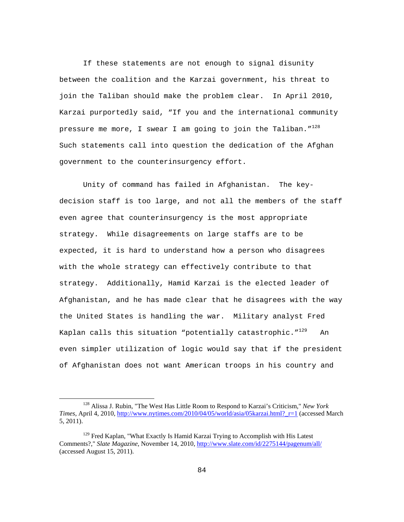If these statements are not enough to signal disunity between the coalition and the Karzai government, his threat to join the Taliban should make the problem clear. In April 2010, Karzai purportedly said, "If you and the international community pressure me more, I swear I am going to join the Taliban.  $''^{128}$ Such statements call into question the dedication of the Afghan government to the counterinsurgency effort.

 Unity of command has failed in Afghanistan. The keydecision staff is too large, and not all the members of the staff even agree that counterinsurgency is the most appropriate strategy. While disagreements on large staffs are to be expected, it is hard to understand how a person who disagrees with the whole strategy can effectively contribute to that strategy. Additionally, Hamid Karzai is the elected leader of Afghanistan, and he has made clear that he disagrees with the way the United States is handling the war. Military analyst Fred Kaplan calls this situation "potentially catastrophic."<sup>129</sup> An even simpler utilization of logic would say that if the president of Afghanistan does not want American troops in his country and

128 Alissa J. Rubin, "The West Has Little Room to Respond to Karzai's Criticism," *New York Times*, April 4, 2010, http://www.nytimes.com/2010/04/05/world/asia/05karzai.html?\_r=1 (accessed March 5, 2011).

<sup>&</sup>lt;sup>129</sup> Fred Kaplan, "What Exactly Is Hamid Karzai Trying to Accomplish with His Latest Comments?," *Slate Magazine*, November 14, 2010, http://www.slate.com/id/2275144/pagenum/all/ (accessed August 15, 2011).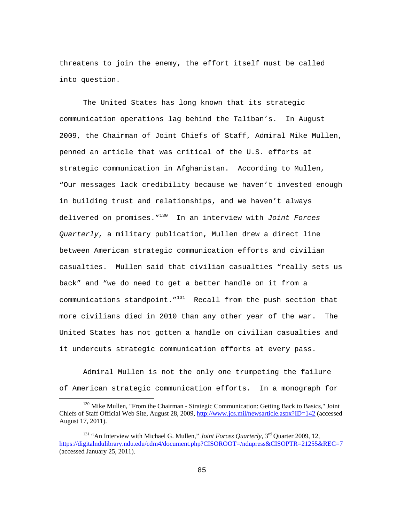threatens to join the enemy, the effort itself must be called into question.

 The United States has long known that its strategic communication operations lag behind the Taliban's. In August 2009, the Chairman of Joint Chiefs of Staff, Admiral Mike Mullen, penned an article that was critical of the U.S. efforts at strategic communication in Afghanistan. According to Mullen, "Our messages lack credibility because we haven't invested enough in building trust and relationships, and we haven't always delivered on promises."130 In an interview with *Joint Forces Quarterly*, a military publication, Mullen drew a direct line between American strategic communication efforts and civilian casualties. Mullen said that civilian casualties "really sets us back" and "we do need to get a better handle on it from a communications standpoint. $1^{131}$  Recall from the push section that more civilians died in 2010 than any other year of the war. The United States has not gotten a handle on civilian casualties and it undercuts strategic communication efforts at every pass.

 Admiral Mullen is not the only one trumpeting the failure of American strategic communication efforts. In a monograph for

<sup>&</sup>lt;sup>130</sup> Mike Mullen, "From the Chairman - Strategic Communication: Getting Back to Basics," Joint Chiefs of Staff Official Web Site, August 28, 2009, http://www.jcs.mil/newsarticle.aspx?ID=142 (accessed August 17, 2011).

<sup>&</sup>lt;sup>131</sup> "An Interview with Michael G. Mullen," *Joint Forces Quarterly*, 3<sup>rd</sup> Quarter 2009, 12, https://digitalndulibrary.ndu.edu/cdm4/document.php?CISOROOT=/ndupress&CISOPTR=21255&REC=7 (accessed January 25, 2011).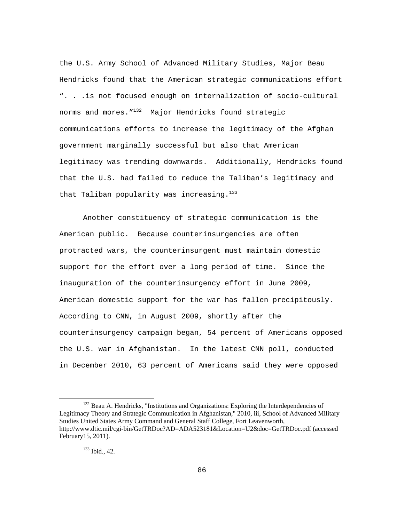the U.S. Army School of Advanced Military Studies, Major Beau Hendricks found that the American strategic communications effort ". . .is not focused enough on internalization of socio-cultural norms and mores.  $''^{132}$  Major Hendricks found strategic communications efforts to increase the legitimacy of the Afghan government marginally successful but also that American legitimacy was trending downwards. Additionally, Hendricks found that the U.S. had failed to reduce the Taliban's legitimacy and that Taliban popularity was increasing. $133$ 

Another constituency of strategic communication is the American public. Because counterinsurgencies are often protracted wars, the counterinsurgent must maintain domestic support for the effort over a long period of time. Since the inauguration of the counterinsurgency effort in June 2009, American domestic support for the war has fallen precipitously. According to CNN, in August 2009, shortly after the counterinsurgency campaign began, 54 percent of Americans opposed the U.S. war in Afghanistan. In the latest CNN poll, conducted in December 2010, 63 percent of Americans said they were opposed

<sup>&</sup>lt;sup>132</sup> Beau A. Hendricks, "Institutions and Organizations: Exploring the Interdependencies of Legitimacy Theory and Strategic Communication in Afghanistan," 2010, iii, School of Advanced Military Studies United States Army Command and General Staff College, Fort Leavenworth, http://www.dtic.mil/cgi-bin/GetTRDoc?AD=ADA523181&Location=U2&doc=GetTRDoc.pdf (accessed February15, 2011).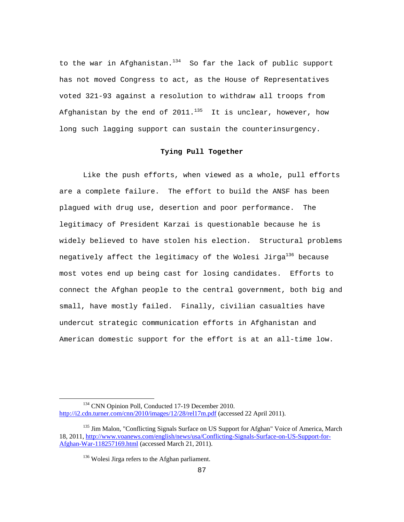to the war in Afghanistan. $134$  So far the lack of public support has not moved Congress to act, as the House of Representatives voted 321-93 against a resolution to withdraw all troops from Afghanistan by the end of 2011. $^{135}$  It is unclear, however, how long such lagging support can sustain the counterinsurgency.

## **Tying Pull Together**

 Like the push efforts, when viewed as a whole, pull efforts are a complete failure. The effort to build the ANSF has been plagued with drug use, desertion and poor performance. The legitimacy of President Karzai is questionable because he is widely believed to have stolen his election. Structural problems negatively affect the legitimacy of the Wolesi Jirga<sup>136</sup> because most votes end up being cast for losing candidates. Efforts to connect the Afghan people to the central government, both big and small, have mostly failed. Finally, civilian casualties have undercut strategic communication efforts in Afghanistan and American domestic support for the effort is at an all-time low.

<sup>&</sup>lt;sup>134</sup> CNN Opinion Poll, Conducted 17-19 December 2010. http://i2.cdn.turner.com/cnn/2010/images/12/28/rel17m.pdf (accessed 22 April 2011).

<sup>&</sup>lt;sup>135</sup> Jim Malon, "Conflicting Signals Surface on US Support for Afghan" Voice of America, March 18, 2011, http://www.voanews.com/english/news/usa/Conflicting-Signals-Surface-on-US-Support-for-Afghan-War-118257169.html (accessed March 21, 2011).

<sup>&</sup>lt;sup>136</sup> Wolesi Jirga refers to the Afghan parliament.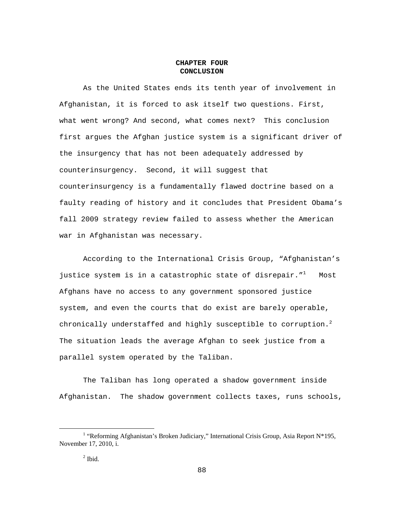## **CHAPTER FOUR CONCLUSION**

 As the United States ends its tenth year of involvement in Afghanistan, it is forced to ask itself two questions. First, what went wrong? And second, what comes next? This conclusion first argues the Afghan justice system is a significant driver of the insurgency that has not been adequately addressed by counterinsurgency. Second, it will suggest that counterinsurgency is a fundamentally flawed doctrine based on a faulty reading of history and it concludes that President Obama's fall 2009 strategy review failed to assess whether the American war in Afghanistan was necessary.

 According to the International Crisis Group, "Afghanistan's justice system is in a catastrophic state of disrepair. $"$ <sup>1</sup> Most Afghans have no access to any government sponsored justice system, and even the courts that do exist are barely operable, chronically understaffed and highly susceptible to corruption. $^2$ The situation leads the average Afghan to seek justice from a parallel system operated by the Taliban.

The Taliban has long operated a shadow government inside Afghanistan. The shadow government collects taxes, runs schools,

<sup>&</sup>lt;u>1</u> <sup>1</sup> "Reforming Afghanistan's Broken Judiciary," International Crisis Group, Asia Report N\*195, November 17, 2010, i.

 $<sup>2</sup>$  Ibid.</sup>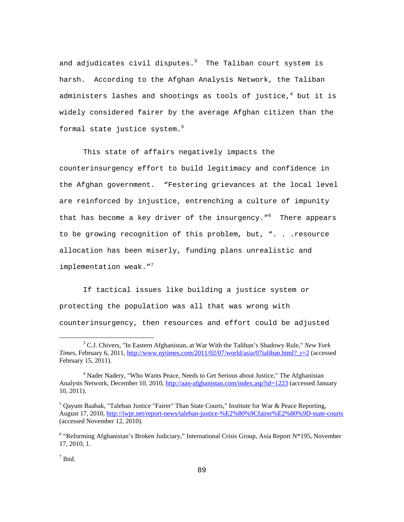and adjudicates civil disputes. $^3$  The Taliban court system is harsh. According to the Afghan Analysis Network, the Taliban administers lashes and shootings as tools of justice, $^4$  but it is widely considered fairer by the average Afghan citizen than the formal state justice system.<sup>5</sup>

This state of affairs negatively impacts the counterinsurgency effort to build legitimacy and confidence in the Afghan government. "Festering grievances at the local level are reinforced by injustice, entrenching a culture of impunity that has become a key driver of the insurgency."<sup>6</sup> There appears to be growing recognition of this problem, but, ". . .resource allocation has been miserly, funding plans unrealistic and implementation weak."<sup>7</sup>

If tactical issues like building a justice system or protecting the population was all that was wrong with counterinsurgency, then resources and effort could be adjusted

 $<sup>7</sup>$  Ibid.</sup>

 $\frac{1}{3}$  C.J. Chivers, "In Eastern Afghanistan, at War With the Taliban's Shadowy Rule," *New York Times*, February 6, 2011, http://www.nytimes.com/2011/02/07/world/asia/07taliban.html?\_r=2 (accessed February 15, 2011).

<sup>&</sup>lt;sup>4</sup> Nader Nadery, "Who Wants Peace, Needs to Get Serious about Justice," The Afghanistan Analysts Network, December 10, 2010, http://aan-afghanistan.com/index.asp?id=1223 (accessed January 10, 2011).

 $<sup>5</sup>$  Qayum Baabak, "Taleban Justice "Fairer" Than State Courts," Institute for War & Peace Reporting,</sup> August 17, 2010, http://iwpr.net/report-news/taleban-justice-%E2%80%9Cfairer%E2%80%9D-state-courts (accessed November 12, 2010).

<sup>&</sup>lt;sup>6</sup> "Reforming Afghanistan's Broken Judiciary," International Crisis Group, Asia Report N\*195, November 17, 2010, 1.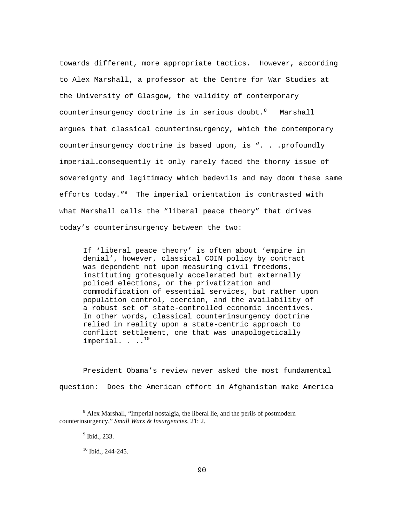towards different, more appropriate tactics. However, according to Alex Marshall, a professor at the Centre for War Studies at the University of Glasgow, the validity of contemporary counterinsurgency doctrine is in serious doubt.<sup>8</sup> Marshall argues that classical counterinsurgency, which the contemporary counterinsurgency doctrine is based upon, is ". . . profoundly imperial…consequently it only rarely faced the thorny issue of sovereignty and legitimacy which bedevils and may doom these same efforts today."<sup>9</sup> The imperial orientation is contrasted with what Marshall calls the "liberal peace theory" that drives today's counterinsurgency between the two:

If 'liberal peace theory' is often about 'empire in denial', however, classical COIN policy by contract was dependent not upon measuring civil freedoms, instituting grotesquely accelerated but externally policed elections, or the privatization and commodification of essential services, but rather upon population control, coercion, and the availability of a robust set of state-controlled economic incentives. In other words, classical counterinsurgency doctrine relied in reality upon a state-centric approach to conflict settlement, one that was unapologetically imperial.  $\cdot \cdot \cdot$ <sup>10</sup>

 President Obama's review never asked the most fundamental question: Does the American effort in Afghanistan make America

<sup>8</sup> <sup>8</sup> Alex Marshall, "Imperial nostalgia, the liberal lie, and the perils of postmodern counterinsurgency," *Small Wars & Insurgencies*, 21: 2.

<sup>&</sup>lt;sup>9</sup> Ibid., 233.

 $10$  Ibid., 244-245.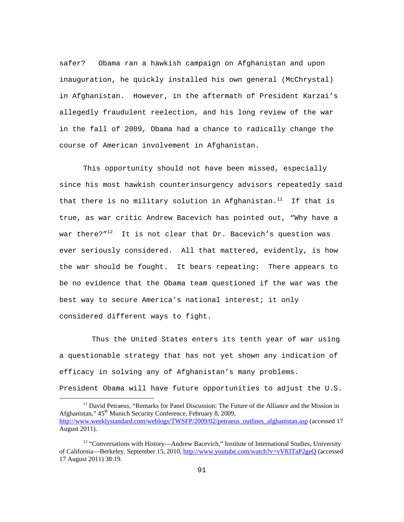safer? Obama ran a hawkish campaign on Afghanistan and upon inauguration, he quickly installed his own general (McChrystal) in Afghanistan. However, in the aftermath of President Karzai's allegedly fraudulent reelection, and his long review of the war in the fall of 2009, Obama had a chance to radically change the course of American involvement in Afghanistan.

 This opportunity should not have been missed, especially since his most hawkish counterinsurgency advisors repeatedly said that there is no military solution in Afghanistan.<sup>11</sup> If that is true, as war critic Andrew Bacevich has pointed out, "Why have a war there?" $^{12}$  It is not clear that Dr. Bacevich's question was ever seriously considered. All that mattered, evidently, is how the war should be fought. It bears repeating: There appears to be no evidence that the Obama team questioned if the war was the best way to secure America's national interest; it only considered different ways to fight.

 Thus the United States enters its tenth year of war using a questionable strategy that has not yet shown any indication of efficacy in solving any of Afghanistan's many problems.

President Obama will have future opportunities to adjust the U.S.

<sup>11</sup> David Petraeus, "Remarks for Panel Discussion: The Future of the Alliance and the Mission in Afghanistan,"  $45<sup>th</sup>$  Munich Security Conference, February 8, 2009, http://www.weeklystandard.com/weblogs/TWSFP/2009/02/petraeus\_outlines\_afghanistan.asp (accessed 17 August 2011).

<sup>&</sup>lt;sup>12</sup> "Conversations with History—Andrew Bacevich," Institute of International Studies, University of California—Berkeley, September 15, 2010, http://www.youtube.com/watch?v=vV83TaP2geQ (accessed 17 August 2011) 38:19.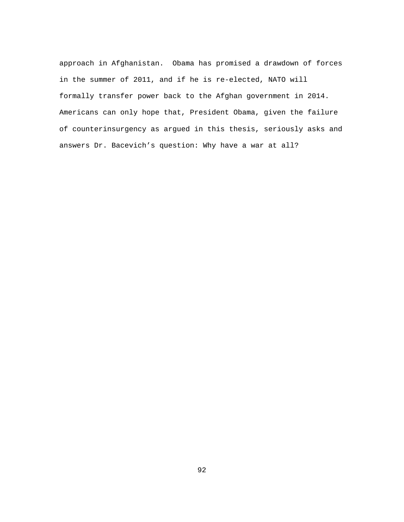approach in Afghanistan. Obama has promised a drawdown of forces in the summer of 2011, and if he is re-elected, NATO will formally transfer power back to the Afghan government in 2014. Americans can only hope that, President Obama, given the failure of counterinsurgency as argued in this thesis, seriously asks and answers Dr. Bacevich's question: Why have a war at all?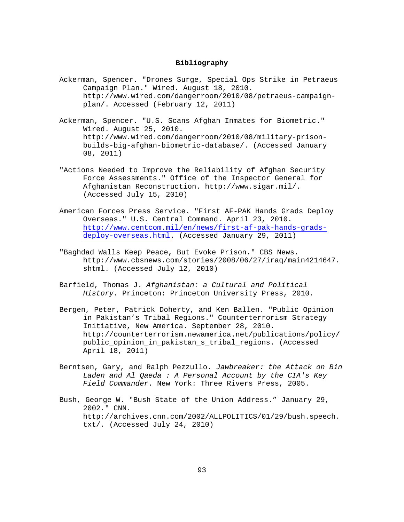## **Bibliography**

- Ackerman, Spencer. "Drones Surge, Special Ops Strike in Petraeus Campaign Plan." Wired. August 18, 2010. http://www.wired.com/dangerroom/2010/08/petraeus-campaignplan/. Accessed (February 12, 2011)
- Ackerman, Spencer. "U.S. Scans Afghan Inmates for Biometric." Wired. August 25, 2010. http://www.wired.com/dangerroom/2010/08/military-prisonbuilds-big-afghan-biometric-database/. (Accessed January 08, 2011)
- "Actions Needed to Improve the Reliability of Afghan Security Force Assessments." Office of the Inspector General for Afghanistan Reconstruction. http://www.sigar.mil/. (Accessed July 15, 2010)
- American Forces Press Service. "First AF-PAK Hands Grads Deploy Overseas." U.S. Central Command. April 23, 2010. http://www.centcom.mil/en/news/first-af-pak-hands-gradsdeploy-overseas.html. (Accessed January 29, 2011)
- "Baghdad Walls Keep Peace, But Evoke Prison." CBS News. http://www.cbsnews.com/stories/2008/06/27/iraq/main4214647. shtml. (Accessed July 12, 2010)
- Barfield, Thomas J. *Afghanistan: a Cultural and Political History*. Princeton: Princeton University Press, 2010.
- Bergen, Peter, Patrick Doherty, and Ken Ballen. "Public Opinion in Pakistan's Tribal Regions." Counterterrorism Strategy Initiative, New America. September 28, 2010. http://counterterrorism.newamerica.net/publications/policy/ public\_opinion\_in\_pakistan\_s\_tribal\_regions. (Accessed April 18, 2011)
- Berntsen, Gary, and Ralph Pezzullo. *Jawbreaker: the Attack on Bin Laden and Al Qaeda : A Personal Account by the CIA's Key Field Commander*. New York: Three Rivers Press, 2005.
- Bush, George W. "Bush State of the Union Address." January 29, 2002." CNN. http://archives.cnn.com/2002/ALLPOLITICS/01/29/bush.speech. txt/. (Accessed July 24, 2010)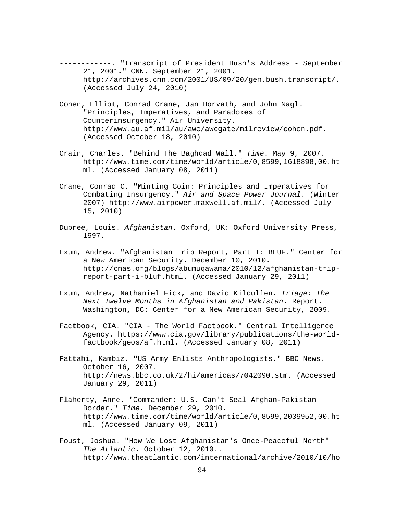- ------------. "Transcript of President Bush's Address September 21, 2001." CNN. September 21, 2001. http://archives.cnn.com/2001/US/09/20/gen.bush.transcript/. (Accessed July 24, 2010)
- Cohen, Elliot, Conrad Crane, Jan Horvath, and John Nagl. "Principles, Imperatives, and Paradoxes of Counterinsurgency." Air University. http://www.au.af.mil/au/awc/awcgate/milreview/cohen.pdf. (Accessed October 18, 2010)
- Crain, Charles. "Behind The Baghdad Wall." *Time*. May 9, 2007. http://www.time.com/time/world/article/0,8599,1618898,00.ht ml. (Accessed January 08, 2011)
- Crane, Conrad C. "Minting Coin: Principles and Imperatives for Combating Insurgency." *Air and Space Power Journal*. (Winter 2007) http://www.airpower.maxwell.af.mil/. (Accessed July 15, 2010)
- Dupree, Louis. *Afghanistan*. Oxford, UK: Oxford University Press, 1997.
- Exum, Andrew. "Afghanistan Trip Report, Part I: BLUF." Center for a New American Security. December 10, 2010. http://cnas.org/blogs/abumuqawama/2010/12/afghanistan-tripreport-part-i-bluf.html. (Accessed January 29, 2011)
- Exum, Andrew, Nathaniel Fick, and David Kilcullen. *Triage: The Next Twelve Months in Afghanistan and Pakistan*. Report. Washington, DC: Center for a New American Security, 2009.
- Factbook, CIA. "CIA The World Factbook." Central Intelligence Agency. https://www.cia.gov/library/publications/the-worldfactbook/geos/af.html. (Accessed January 08, 2011)
- Fattahi, Kambiz. "US Army Enlists Anthropologists." BBC News. October 16, 2007. http://news.bbc.co.uk/2/hi/americas/7042090.stm. (Accessed January 29, 2011)
- Flaherty, Anne. "Commander: U.S. Can't Seal Afghan-Pakistan Border." *Time*. December 29, 2010. http://www.time.com/time/world/article/0,8599,2039952,00.ht ml. (Accessed January 09, 2011)
- Foust, Joshua. "How We Lost Afghanistan's Once-Peaceful North" *The Atlantic*. October 12, 2010.. http://www.theatlantic.com/international/archive/2010/10/ho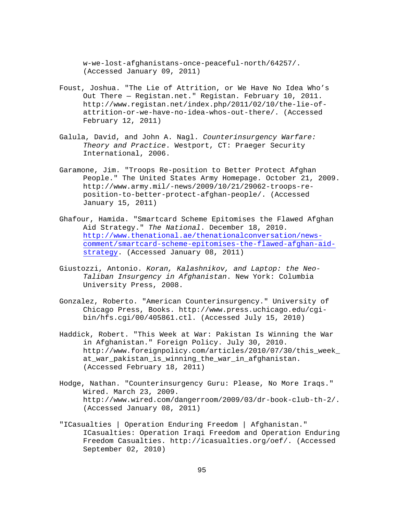w-we-lost-afghanistans-once-peaceful-north/64257/. (Accessed January 09, 2011)

- Foust, Joshua. "The Lie of Attrition, or We Have No Idea Who's Out There — Registan.net." Registan. February 10, 2011. http://www.registan.net/index.php/2011/02/10/the-lie-ofattrition-or-we-have-no-idea-whos-out-there/. (Accessed February 12, 2011)
- Galula, David, and John A. Nagl. *Counterinsurgency Warfare: Theory and Practice*. Westport, CT: Praeger Security International, 2006.
- Garamone, Jim. "Troops Re-position to Better Protect Afghan People." The United States Army Homepage. October 21, 2009. http://www.army.mil/-news/2009/10/21/29062-troops-reposition-to-better-protect-afghan-people/. (Accessed January 15, 2011)
- Ghafour, Hamida. "Smartcard Scheme Epitomises the Flawed Afghan Aid Strategy." *The National*. December 18, 2010. http://www.thenational.ae/thenationalconversation/newscomment/smartcard-scheme-epitomises-the-flawed-afghan-aidstrategy. (Accessed January 08, 2011)
- Giustozzi, Antonio. *Koran, Kalashnikov, and Laptop: the Neo-Taliban Insurgency in Afghanistan*. New York: Columbia University Press, 2008.
- Gonzalez, Roberto. "American Counterinsurgency." University of Chicago Press, Books. http://www.press.uchicago.edu/cgibin/hfs.cgi/00/405861.ctl. (Accessed July 15, 2010)
- Haddick, Robert. "This Week at War: Pakistan Is Winning the War in Afghanistan." Foreign Policy. July 30, 2010. http://www.foreignpolicy.com/articles/2010/07/30/this\_week\_ at\_war\_pakistan\_is\_winning\_the\_war\_in\_afghanistan. (Accessed February 18, 2011)
- Hodge, Nathan. "Counterinsurgency Guru: Please, No More Iraqs." Wired. March 23, 2009. http://www.wired.com/dangerroom/2009/03/dr-book-club-th-2/. (Accessed January 08, 2011)
- "ICasualties | Operation Enduring Freedom | Afghanistan." ICasualties: Operation Iraqi Freedom and Operation Enduring Freedom Casualties. http://icasualties.org/oef/. (Accessed September 02, 2010)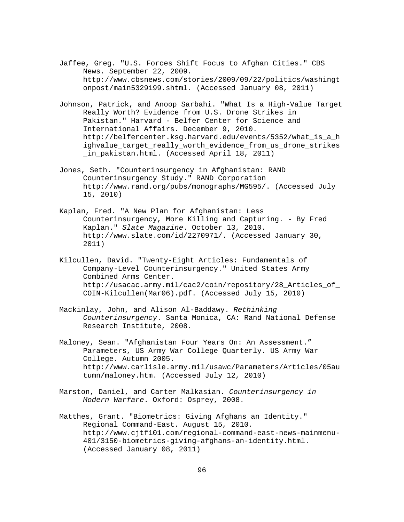- Jaffee, Greg. "U.S. Forces Shift Focus to Afghan Cities." CBS News. September 22, 2009. http://www.cbsnews.com/stories/2009/09/22/politics/washingt onpost/main5329199.shtml. (Accessed January 08, 2011)
- Johnson, Patrick, and Anoop Sarbahi. "What Is a High-Value Target Really Worth? Evidence from U.S. Drone Strikes in Pakistan." Harvard - Belfer Center for Science and International Affairs. December 9, 2010. http://belfercenter.ksg.harvard.edu/events/5352/what\_is\_a\_h ighvalue\_target\_really\_worth\_evidence\_from\_us\_drone\_strikes \_in\_pakistan.html. (Accessed April 18, 2011)
- Jones, Seth. "Counterinsurgency in Afghanistan: RAND Counterinsurgency Study." RAND Corporation http://www.rand.org/pubs/monographs/MG595/. (Accessed July 15, 2010)
- Kaplan, Fred. "A New Plan for Afghanistan: Less Counterinsurgency, More Killing and Capturing. - By Fred Kaplan." *Slate Magazine*. October 13, 2010. http://www.slate.com/id/2270971/. (Accessed January 30, 2011)
- Kilcullen, David. "Twenty-Eight Articles: Fundamentals of Company-Level Counterinsurgency." United States Army Combined Arms Center. http://usacac.army.mil/cac2/coin/repository/28\_Articles\_of\_ COIN-Kilcullen(Mar06).pdf. (Accessed July 15, 2010)
- Mackinlay, John, and Alison Al-Baddawy. *Rethinking Counterinsurgency*. Santa Monica, CA: Rand National Defense Research Institute, 2008.
- Maloney, Sean. "Afghanistan Four Years On: An Assessment." Parameters, US Army War College Quarterly. US Army War College. Autumn 2005. http://www.carlisle.army.mil/usawc/Parameters/Articles/05au tumn/maloney.htm. (Accessed July 12, 2010)
- Marston, Daniel, and Carter Malkasian. *Counterinsurgency in Modern Warfare*. Oxford: Osprey, 2008.
- Matthes, Grant. "Biometrics: Giving Afghans an Identity." Regional Command-East. August 15, 2010. http://www.cjtf101.com/regional-command-east-news-mainmenu-401/3150-biometrics-giving-afghans-an-identity.html. (Accessed January 08, 2011)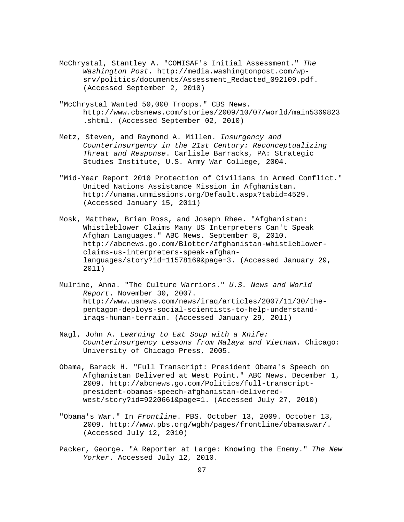- McChrystal, Stantley A. "COMISAF's Initial Assessment." *The Washington Post*. http://media.washingtonpost.com/wpsrv/politics/documents/Assessment\_Redacted\_092109.pdf. (Accessed September 2, 2010)
- "McChrystal Wanted 50,000 Troops." CBS News. http://www.cbsnews.com/stories/2009/10/07/world/main5369823 .shtml. (Accessed September 02, 2010)
- Metz, Steven, and Raymond A. Millen. *Insurgency and Counterinsurgency in the 21st Century: Reconceptualizing Threat and Response*. Carlisle Barracks, PA: Strategic Studies Institute, U.S. Army War College, 2004.
- "Mid-Year Report 2010 Protection of Civilians in Armed Conflict." United Nations Assistance Mission in Afghanistan. http://unama.unmissions.org/Default.aspx?tabid=4529. (Accessed January 15, 2011)
- Mosk, Matthew, Brian Ross, and Joseph Rhee. "Afghanistan: Whistleblower Claims Many US Interpreters Can't Speak Afghan Languages." ABC News. September 8, 2010. http://abcnews.go.com/Blotter/afghanistan-whistleblowerclaims-us-interpreters-speak-afghanlanguages/story?id=11578169&page=3. (Accessed January 29, 2011)
- Mulrine, Anna. "The Culture Warriors." *U.S. News and World Report*. November 30, 2007. http://www.usnews.com/news/iraq/articles/2007/11/30/thepentagon-deploys-social-scientists-to-help-understandiraqs-human-terrain. (Accessed January 29, 2011)
- Nagl, John A. *Learning to Eat Soup with a Knife: Counterinsurgency Lessons from Malaya and Vietnam*. Chicago: University of Chicago Press, 2005.
- Obama, Barack H. "Full Transcript: President Obama's Speech on Afghanistan Delivered at West Point." ABC News. December 1, 2009. http://abcnews.go.com/Politics/full-transcriptpresident-obamas-speech-afghanistan-deliveredwest/story?id=9220661&page=1. (Accessed July 27, 2010)
- "Obama's War." In *Frontline*. PBS. October 13, 2009. October 13, 2009. http://www.pbs.org/wgbh/pages/frontline/obamaswar/. (Accessed July 12, 2010)
- Packer, George. "A Reporter at Large: Knowing the Enemy." *The New Yorker*. Accessed July 12, 2010.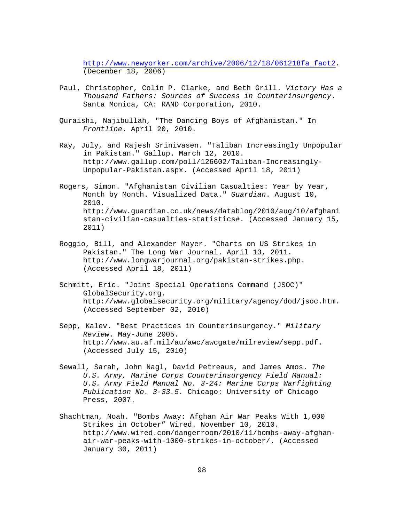http://www.newyorker.com/archive/2006/12/18/061218fa\_fact2. (December 18, 2006)

- Paul, Christopher, Colin P. Clarke, and Beth Grill. *Victory Has a Thousand Fathers: Sources of Success in Counterinsurgency*. Santa Monica, CA: RAND Corporation, 2010.
- Quraishi, Najibullah, "The Dancing Boys of Afghanistan." In *Frontline*. April 20, 2010.
- Ray, July, and Rajesh Srinivasen. "Taliban Increasingly Unpopular in Pakistan." Gallup. March 12, 2010. http://www.gallup.com/poll/126602/Taliban-Increasingly-Unpopular-Pakistan.aspx. (Accessed April 18, 2011)
- Rogers, Simon. "Afghanistan Civilian Casualties: Year by Year, Month by Month. Visualized Data." *Guardian*. August 10, 2010. http://www.guardian.co.uk/news/datablog/2010/aug/10/afghani stan-civilian-casualties-statistics#. (Accessed January 15, 2011)
- Roggio, Bill, and Alexander Mayer. "Charts on US Strikes in Pakistan." The Long War Journal. April 13, 2011. http://www.longwarjournal.org/pakistan-strikes.php. (Accessed April 18, 2011)
- Schmitt, Eric. "Joint Special Operations Command (JSOC)" GlobalSecurity.org. http://www.globalsecurity.org/military/agency/dod/jsoc.htm. (Accessed September 02, 2010)
- Sepp, Kalev. "Best Practices in Counterinsurgency." *Military Review*. May-June 2005. http://www.au.af.mil/au/awc/awcgate/milreview/sepp.pdf. (Accessed July 15, 2010)
- Sewall, Sarah, John Nagl, David Petreaus, and James Amos. *The U.S. Army, Marine Corps Counterinsurgency Field Manual: U.S. Army Field Manual No. 3-24: Marine Corps Warfighting Publication No. 3-33.5.* Chicago: University of Chicago Press, 2007.
- Shachtman, Noah. "Bombs Away: Afghan Air War Peaks With 1,000 Strikes in October" Wired. November 10, 2010. http://www.wired.com/dangerroom/2010/11/bombs-away-afghanair-war-peaks-with-1000-strikes-in-october/. (Accessed January 30, 2011)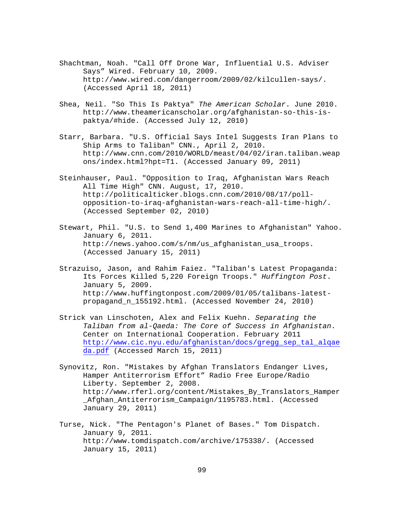- Shachtman, Noah. "Call Off Drone War, Influential U.S. Adviser Says" Wired. February 10, 2009. http://www.wired.com/dangerroom/2009/02/kilcullen-says/. (Accessed April 18, 2011)
- Shea, Neil. "So This Is Paktya" *The American Scholar*. June 2010. http://www.theamericanscholar.org/afghanistan-so-this-ispaktya/#hide. (Accessed July 12, 2010)
- Starr, Barbara. "U.S. Official Says Intel Suggests Iran Plans to Ship Arms to Taliban" CNN., April 2, 2010. http://www.cnn.com/2010/WORLD/meast/04/02/iran.taliban.weap ons/index.html?hpt=T1. (Accessed January 09, 2011)
- Steinhauser, Paul. "Opposition to Iraq, Afghanistan Wars Reach All Time High" CNN. August, 17, 2010. http://politicalticker.blogs.cnn.com/2010/08/17/pollopposition-to-iraq-afghanistan-wars-reach-all-time-high/. (Accessed September 02, 2010)
- Stewart, Phil. "U.S. to Send 1,400 Marines to Afghanistan" Yahoo. January 6, 2011. http://news.yahoo.com/s/nm/us\_afghanistan\_usa\_troops. (Accessed January 15, 2011)
- Strazuiso, Jason, and Rahim Faiez. "Taliban's Latest Propaganda: Its Forces Killed 5,220 Foreign Troops." *Huffington Post*. January 5, 2009. http://www.huffingtonpost.com/2009/01/05/talibans-latestpropagand\_n\_155192.html. (Accessed November 24, 2010)
- Strick van Linschoten, Alex and Felix Kuehn. *Separating the Taliban from al-Qaeda: The Core of Success in Afghanistan*. Center on International Cooperation. February 2011 http://www.cic.nyu.edu/afghanistan/docs/gregg\_sep\_tal\_alqae da.pdf (Accessed March 15, 2011)
- Synovitz, Ron. "Mistakes by Afghan Translators Endanger Lives, Hamper Antiterrorism Effort" Radio Free Europe/Radio Liberty. September 2, 2008. http://www.rferl.org/content/Mistakes\_By\_Translators\_Hamper \_Afghan\_Antiterrorism\_Campaign/1195783.html. (Accessed January 29, 2011)
- Turse, Nick. "The Pentagon's Planet of Bases." Tom Dispatch. January 9, 2011. http://www.tomdispatch.com/archive/175338/. (Accessed January 15, 2011)